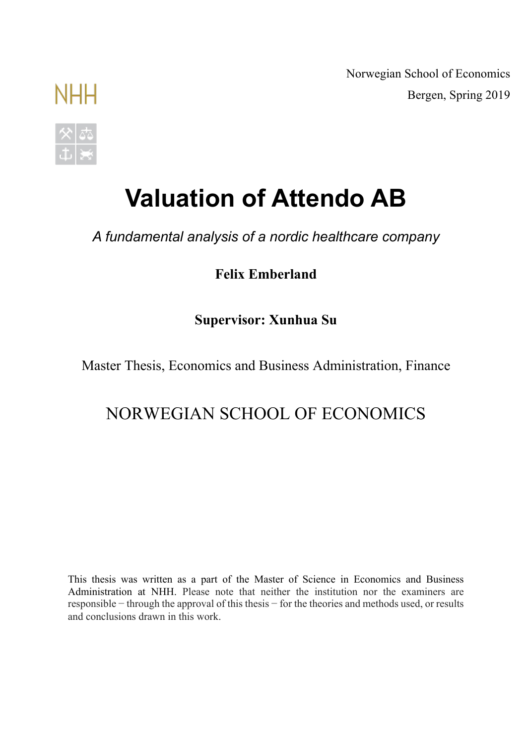Norwegian School of Economics Bergen, Spring 2019

# **Valuation of Attendo AB**

*A fundamental analysis of a nordic healthcare company*

**Felix Emberland**

**Supervisor: Xunhua Su**

Master Thesis, Economics and Business Administration, Finance

# NORWEGIAN SCHOOL OF ECONOMICS

This thesis was written as a part of the Master of Science in Economics and Business Administration at NHH. Please note that neither the institution nor the examiners are responsible − through the approval of this thesis − for the theories and methods used, or results and conclusions drawn in this work.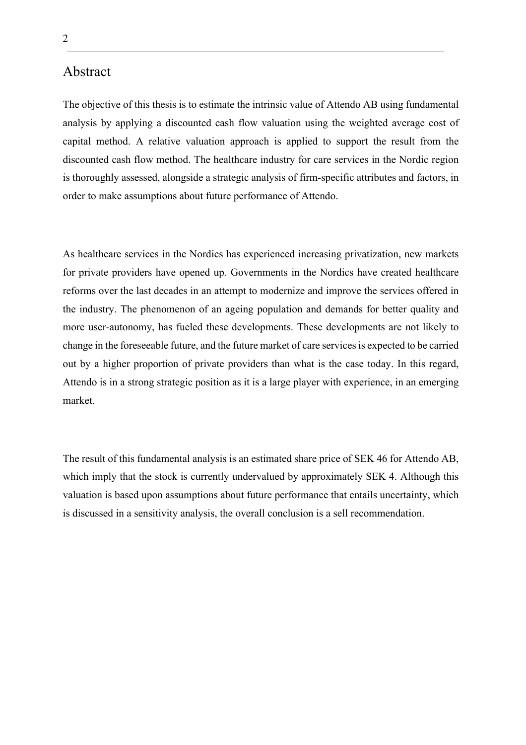# Abstract

The objective of this thesis is to estimate the intrinsic value of Attendo AB using fundamental analysis by applying a discounted cash flow valuation using the weighted average cost of capital method. A relative valuation approach is applied to support the result from the discounted cash flow method. The healthcare industry for care services in the Nordic region is thoroughly assessed, alongside a strategic analysis of firm-specific attributes and factors, in order to make assumptions about future performance of Attendo.

As healthcare services in the Nordics has experienced increasing privatization, new markets for private providers have opened up. Governments in the Nordics have created healthcare reforms over the last decades in an attempt to modernize and improve the services offered in the industry. The phenomenon of an ageing population and demands for better quality and more user-autonomy, has fueled these developments. These developments are not likely to change in the foreseeable future, and the future market of care services is expected to be carried out by a higher proportion of private providers than what is the case today. In this regard, Attendo is in a strong strategic position as it is a large player with experience, in an emerging market.

The result of this fundamental analysis is an estimated share price of SEK 46 for Attendo AB, which imply that the stock is currently undervalued by approximately SEK 4. Although this valuation is based upon assumptions about future performance that entails uncertainty, which is discussed in a sensitivity analysis, the overall conclusion is a sell recommendation.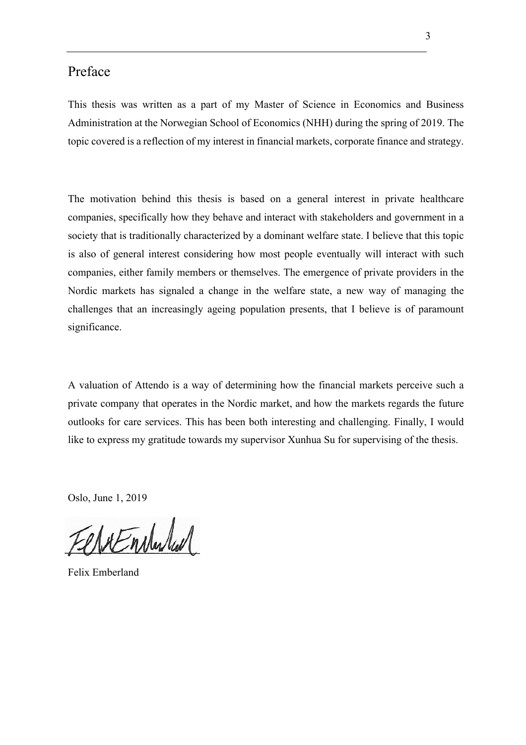# Preface

This thesis was written as a part of my Master of Science in Economics and Business Administration at the Norwegian School of Economics (NHH) during the spring of 2019. The topic covered is a reflection of my interest in financial markets, corporate finance and strategy.

The motivation behind this thesis is based on a general interest in private healthcare companies, specifically how they behave and interact with stakeholders and government in a society that is traditionally characterized by a dominant welfare state. I believe that this topic is also of general interest considering how most people eventually will interact with such companies, either family members or themselves. The emergence of private providers in the Nordic markets has signaled a change in the welfare state, a new way of managing the challenges that an increasingly ageing population presents, that I believe is of paramount significance.

A valuation of Attendo is a way of determining how the financial markets perceive such a private company that operates in the Nordic market, and how the markets regards the future outlooks for care services. This has been both interesting and challenging. Finally, I would like to express my gratitude towards my supervisor Xunhua Su for supervising of the thesis.

Oslo, June 1, 2019

eretardad

Felix Emberland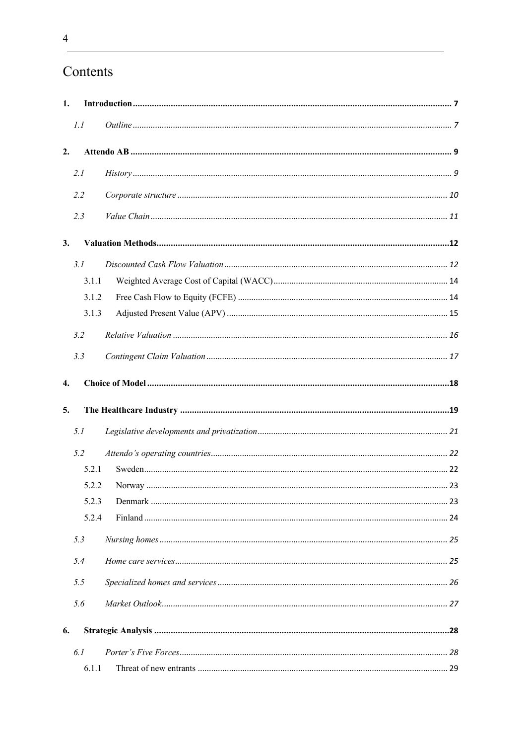# Contents

| 1. |              |  |
|----|--------------|--|
|    | 1.1          |  |
| 2. |              |  |
|    | 2.1          |  |
|    | 2.2          |  |
|    | 2.3          |  |
| 3. |              |  |
|    | 3.1          |  |
|    | 3.1.1        |  |
|    | 3.1.2        |  |
|    | 3.1.3        |  |
|    | 3.2          |  |
|    | 3.3          |  |
|    |              |  |
| 4. |              |  |
|    |              |  |
| 5. |              |  |
|    | 5.1          |  |
|    | 5.2          |  |
|    | 5.2.1        |  |
|    | 5.2.2        |  |
|    | 5.2.3        |  |
|    | 5.2.4        |  |
|    | 5.3          |  |
|    | 5.4          |  |
|    | 5.5          |  |
|    | 5.6          |  |
| 6. |              |  |
|    |              |  |
|    | 6.1<br>6.1.1 |  |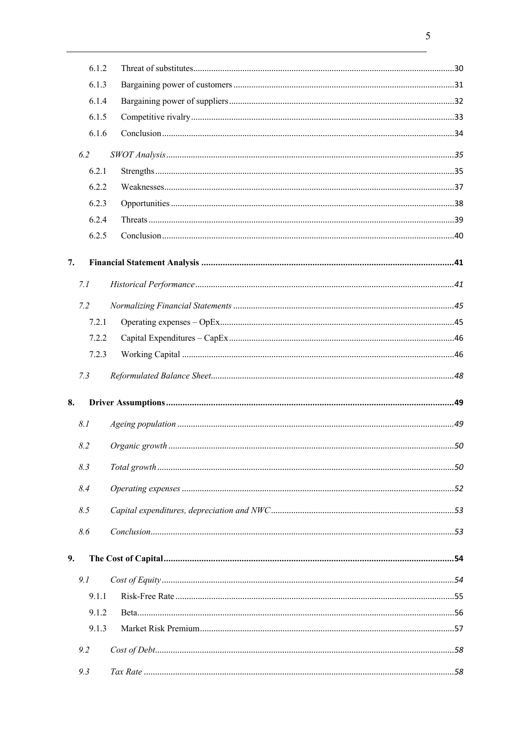|    | 6.1.2 |  |
|----|-------|--|
|    | 6.1.3 |  |
|    | 6.1.4 |  |
|    | 6.1.5 |  |
|    | 6.1.6 |  |
|    | 6.2   |  |
|    | 6.2.1 |  |
|    | 6.2.2 |  |
|    | 6.2.3 |  |
|    | 6.2.4 |  |
|    | 6.2.5 |  |
| 7. |       |  |
|    | 7.1   |  |
|    |       |  |
|    | 7.2   |  |
|    | 7.2.1 |  |
|    | 7.2.2 |  |
|    | 7.2.3 |  |
|    | 7.3   |  |
| 8. |       |  |
|    | 8.1   |  |
|    | 8.2   |  |
|    | 8.3   |  |
|    | 8.4   |  |
|    | 8.5   |  |
|    | 8.6   |  |
| 9. |       |  |
|    | 9.1   |  |
|    | 9.1.1 |  |
|    | 9.1.2 |  |
|    | 9.1.3 |  |
|    | 9.2   |  |
|    | 9.3   |  |
|    |       |  |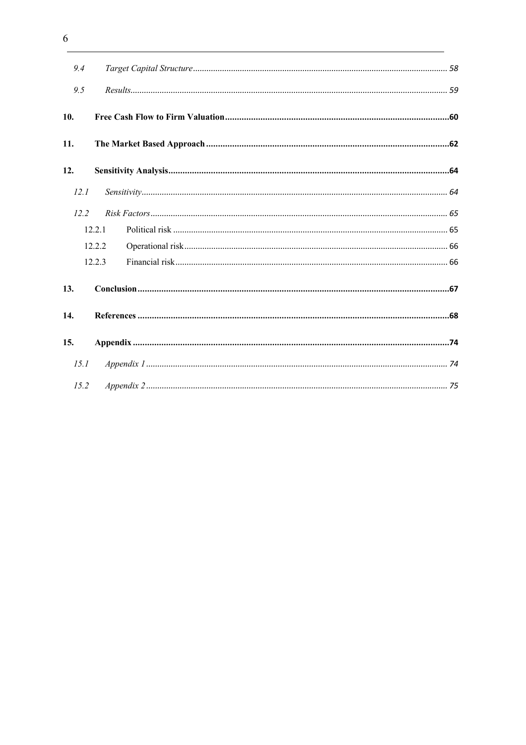| 9.4  |        |  |
|------|--------|--|
| 9.5  |        |  |
| 10.  |        |  |
| 11.  |        |  |
| 12.  |        |  |
| 12.1 |        |  |
| 12.2 |        |  |
|      | 12.2.1 |  |
|      | 12.2.2 |  |
|      | 12.2.3 |  |
| 13.  |        |  |
| 14.  |        |  |
| 15.  |        |  |
| 15.1 |        |  |
| 15.2 |        |  |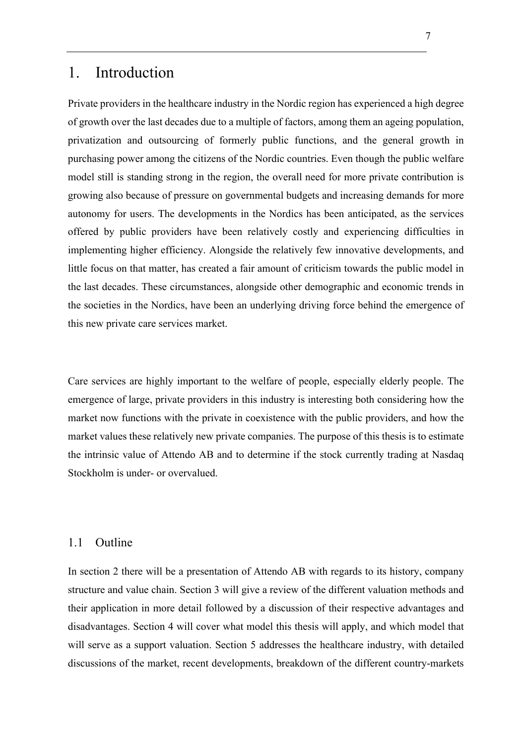# 1. Introduction

Private providers in the healthcare industry in the Nordic region has experienced a high degree of growth over the last decades due to a multiple of factors, among them an ageing population, privatization and outsourcing of formerly public functions, and the general growth in purchasing power among the citizens of the Nordic countries. Even though the public welfare model still is standing strong in the region, the overall need for more private contribution is growing also because of pressure on governmental budgets and increasing demands for more autonomy for users. The developments in the Nordics has been anticipated, as the services offered by public providers have been relatively costly and experiencing difficulties in implementing higher efficiency. Alongside the relatively few innovative developments, and little focus on that matter, has created a fair amount of criticism towards the public model in the last decades. These circumstances, alongside other demographic and economic trends in the societies in the Nordics, have been an underlying driving force behind the emergence of this new private care services market.

Care services are highly important to the welfare of people, especially elderly people. The emergence of large, private providers in this industry is interesting both considering how the market now functions with the private in coexistence with the public providers, and how the market values these relatively new private companies. The purpose of this thesis is to estimate the intrinsic value of Attendo AB and to determine if the stock currently trading at Nasdaq Stockholm is under- or overvalued.

## 1.1 Outline

In section 2 there will be a presentation of Attendo AB with regards to its history, company structure and value chain. Section 3 will give a review of the different valuation methods and their application in more detail followed by a discussion of their respective advantages and disadvantages. Section 4 will cover what model this thesis will apply, and which model that will serve as a support valuation. Section 5 addresses the healthcare industry, with detailed discussions of the market, recent developments, breakdown of the different country-markets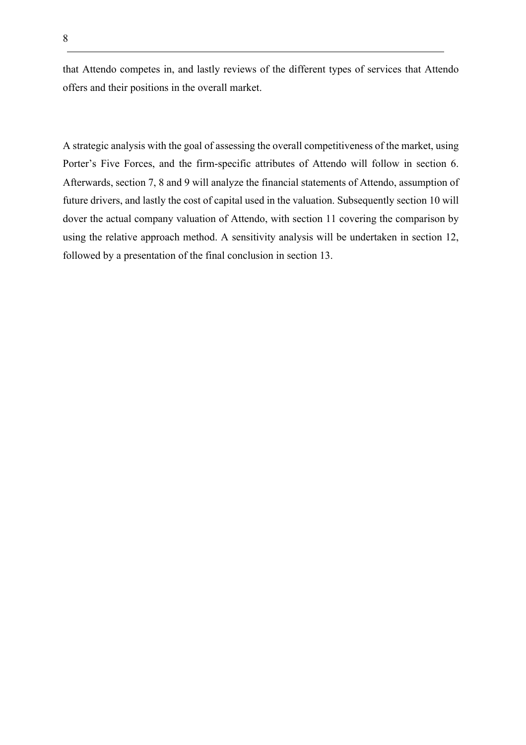that Attendo competes in, and lastly reviews of the different types of services that Attendo offers and their positions in the overall market.

A strategic analysis with the goal of assessing the overall competitiveness of the market, using Porter's Five Forces, and the firm-specific attributes of Attendo will follow in section 6. Afterwards, section 7, 8 and 9 will analyze the financial statements of Attendo, assumption of future drivers, and lastly the cost of capital used in the valuation. Subsequently section 10 will dover the actual company valuation of Attendo, with section 11 covering the comparison by using the relative approach method. A sensitivity analysis will be undertaken in section 12, followed by a presentation of the final conclusion in section 13.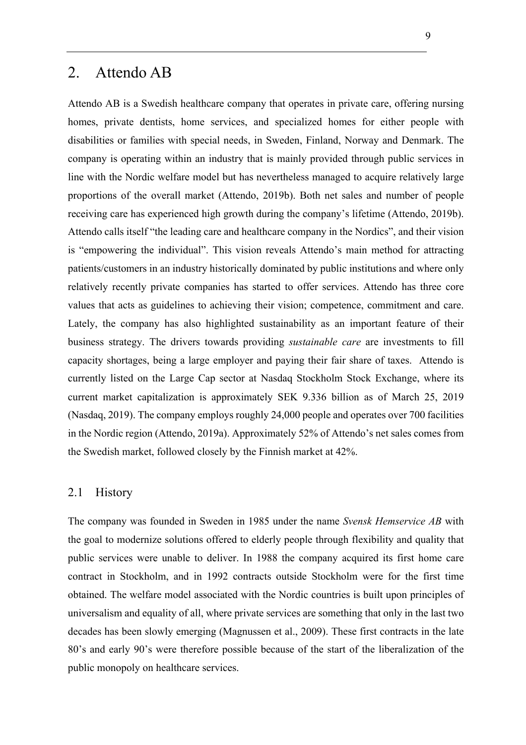# 2. Attendo AB

Attendo AB is a Swedish healthcare company that operates in private care, offering nursing homes, private dentists, home services, and specialized homes for either people with disabilities or families with special needs, in Sweden, Finland, Norway and Denmark. The company is operating within an industry that is mainly provided through public services in line with the Nordic welfare model but has nevertheless managed to acquire relatively large proportions of the overall market (Attendo, 2019b). Both net sales and number of people receiving care has experienced high growth during the company's lifetime (Attendo, 2019b). Attendo calls itself "the leading care and healthcare company in the Nordics", and their vision is "empowering the individual". This vision reveals Attendo's main method for attracting patients/customers in an industry historically dominated by public institutions and where only relatively recently private companies has started to offer services. Attendo has three core values that acts as guidelines to achieving their vision; competence, commitment and care. Lately, the company has also highlighted sustainability as an important feature of their business strategy. The drivers towards providing *sustainable care* are investments to fill capacity shortages, being a large employer and paying their fair share of taxes. Attendo is currently listed on the Large Cap sector at Nasdaq Stockholm Stock Exchange, where its current market capitalization is approximately SEK 9.336 billion as of March 25, 2019 (Nasdaq, 2019). The company employs roughly 24,000 people and operates over 700 facilities in the Nordic region (Attendo, 2019a). Approximately 52% of Attendo's net sales comes from the Swedish market, followed closely by the Finnish market at 42%.

## 2.1 History

The company was founded in Sweden in 1985 under the name *Svensk Hemservice AB* with the goal to modernize solutions offered to elderly people through flexibility and quality that public services were unable to deliver. In 1988 the company acquired its first home care contract in Stockholm, and in 1992 contracts outside Stockholm were for the first time obtained. The welfare model associated with the Nordic countries is built upon principles of universalism and equality of all, where private services are something that only in the last two decades has been slowly emerging (Magnussen et al., 2009). These first contracts in the late 80's and early 90's were therefore possible because of the start of the liberalization of the public monopoly on healthcare services.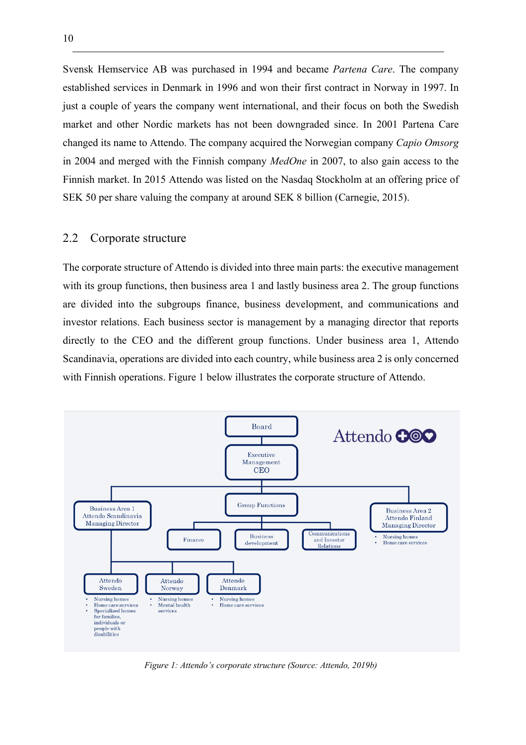Svensk Hemservice AB was purchased in 1994 and became *Partena Care*. The company established services in Denmark in 1996 and won their first contract in Norway in 1997. In just a couple of years the company went international, and their focus on both the Swedish market and other Nordic markets has not been downgraded since. In 2001 Partena Care changed its name to Attendo. The company acquired the Norwegian company *Capio Omsorg* in 2004 and merged with the Finnish company *MedOne* in 2007, to also gain access to the Finnish market. In 2015 Attendo was listed on the Nasdaq Stockholm at an offering price of SEK 50 per share valuing the company at around SEK 8 billion (Carnegie, 2015).

## 2.2 Corporate structure

The corporate structure of Attendo is divided into three main parts: the executive management with its group functions, then business area 1 and lastly business area 2. The group functions are divided into the subgroups finance, business development, and communications and investor relations. Each business sector is management by a managing director that reports directly to the CEO and the different group functions. Under business area 1, Attendo Scandinavia, operations are divided into each country, while business area 2 is only concerned with Finnish operations. Figure 1 below illustrates the corporate structure of Attendo.



*Figure 1: Attendo's corporate structure (Source: Attendo, 2019b)*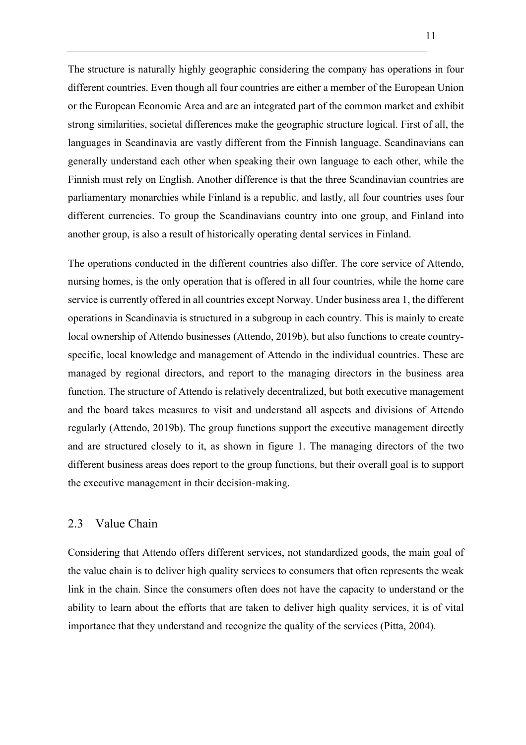The structure is naturally highly geographic considering the company has operations in four different countries. Even though all four countries are either a member of the European Union or the European Economic Area and are an integrated part of the common market and exhibit strong similarities, societal differences make the geographic structure logical. First of all, the languages in Scandinavia are vastly different from the Finnish language. Scandinavians can generally understand each other when speaking their own language to each other, while the Finnish must rely on English. Another difference is that the three Scandinavian countries are parliamentary monarchies while Finland is a republic, and lastly, all four countries uses four different currencies. To group the Scandinavians country into one group, and Finland into another group, is also a result of historically operating dental services in Finland.

The operations conducted in the different countries also differ. The core service of Attendo, nursing homes, is the only operation that is offered in all four countries, while the home care service is currently offered in all countries except Norway. Under business area 1, the different operations in Scandinavia is structured in a subgroup in each country. This is mainly to create local ownership of Attendo businesses (Attendo, 2019b), but also functions to create countryspecific, local knowledge and management of Attendo in the individual countries. These are managed by regional directors, and report to the managing directors in the business area function. The structure of Attendo is relatively decentralized, but both executive management and the board takes measures to visit and understand all aspects and divisions of Attendo regularly (Attendo, 2019b). The group functions support the executive management directly and are structured closely to it, as shown in figure 1. The managing directors of the two different business areas does report to the group functions, but their overall goal is to support the executive management in their decision-making.

## 2.3 Value Chain

Considering that Attendo offers different services, not standardized goods, the main goal of the value chain is to deliver high quality services to consumers that often represents the weak link in the chain. Since the consumers often does not have the capacity to understand or the ability to learn about the efforts that are taken to deliver high quality services, it is of vital importance that they understand and recognize the quality of the services (Pitta, 2004).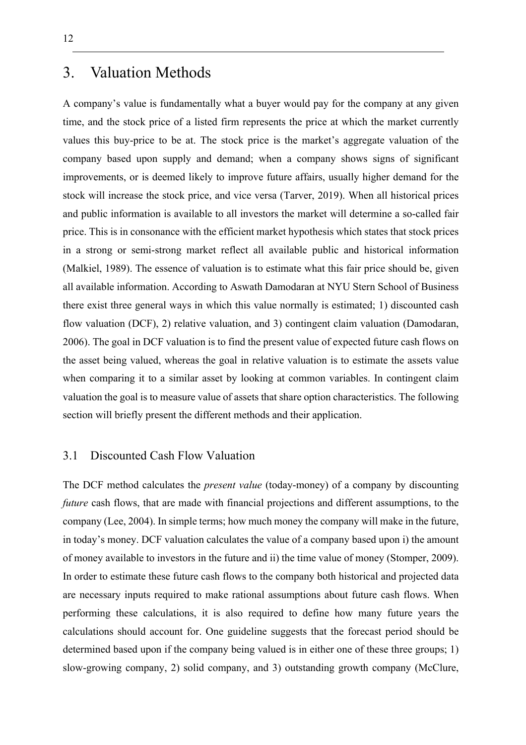# 3. Valuation Methods

A company's value is fundamentally what a buyer would pay for the company at any given time, and the stock price of a listed firm represents the price at which the market currently values this buy-price to be at. The stock price is the market's aggregate valuation of the company based upon supply and demand; when a company shows signs of significant improvements, or is deemed likely to improve future affairs, usually higher demand for the stock will increase the stock price, and vice versa (Tarver, 2019). When all historical prices and public information is available to all investors the market will determine a so-called fair price. This is in consonance with the efficient market hypothesis which states that stock prices in a strong or semi-strong market reflect all available public and historical information (Malkiel, 1989). The essence of valuation is to estimate what this fair price should be, given all available information. According to Aswath Damodaran at NYU Stern School of Business there exist three general ways in which this value normally is estimated; 1) discounted cash flow valuation (DCF), 2) relative valuation, and 3) contingent claim valuation (Damodaran, 2006). The goal in DCF valuation is to find the present value of expected future cash flows on the asset being valued, whereas the goal in relative valuation is to estimate the assets value when comparing it to a similar asset by looking at common variables. In contingent claim valuation the goal is to measure value of assets that share option characteristics. The following section will briefly present the different methods and their application.

## 3.1 Discounted Cash Flow Valuation

The DCF method calculates the *present value* (today-money) of a company by discounting *future* cash flows, that are made with financial projections and different assumptions, to the company (Lee, 2004). In simple terms; how much money the company will make in the future, in today's money. DCF valuation calculates the value of a company based upon i) the amount of money available to investors in the future and ii) the time value of money (Stomper, 2009). In order to estimate these future cash flows to the company both historical and projected data are necessary inputs required to make rational assumptions about future cash flows. When performing these calculations, it is also required to define how many future years the calculations should account for. One guideline suggests that the forecast period should be determined based upon if the company being valued is in either one of these three groups; 1) slow-growing company, 2) solid company, and 3) outstanding growth company (McClure,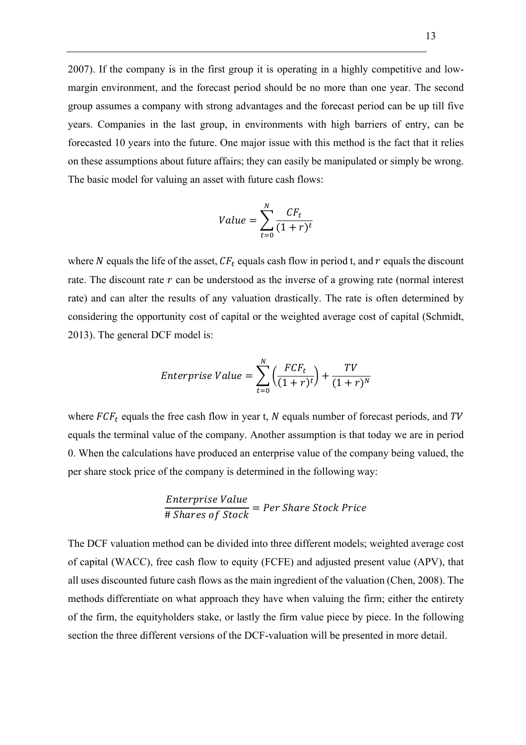2007). If the company is in the first group it is operating in a highly competitive and lowmargin environment, and the forecast period should be no more than one year. The second group assumes a company with strong advantages and the forecast period can be up till five years. Companies in the last group, in environments with high barriers of entry, can be forecasted 10 years into the future. One major issue with this method is the fact that it relies on these assumptions about future affairs; they can easily be manipulated or simply be wrong. The basic model for valuing an asset with future cash flows:

$$
Value = \sum_{t=0}^{N} \frac{CF_t}{(1+r)^t}
$$

where N equals the life of the asset,  $CF_t$  equals cash flow in period t, and  $r$  equals the discount rate. The discount rate  $r$  can be understood as the inverse of a growing rate (normal interest rate) and can alter the results of any valuation drastically. The rate is often determined by considering the opportunity cost of capital or the weighted average cost of capital (Schmidt, 2013). The general DCF model is:

*Enterprise Value* = 
$$
\sum_{t=0}^{N} \left( \frac{FCF_t}{(1+r)^t} \right) + \frac{TV}{(1+r)^N}
$$

where  $FCF_t$  equals the free cash flow in year t, N equals number of forecast periods, and TV equals the terminal value of the company. Another assumption is that today we are in period 0. When the calculations have produced an enterprise value of the company being valued, the per share stock price of the company is determined in the following way:

Enterprise Value  
\n
$$
\#
$$
 Shares of Stock = Per Share Stock Price

The DCF valuation method can be divided into three different models; weighted average cost of capital (WACC), free cash flow to equity (FCFE) and adjusted present value (APV), that all uses discounted future cash flows as the main ingredient of the valuation (Chen, 2008). The methods differentiate on what approach they have when valuing the firm; either the entirety of the firm, the equityholders stake, or lastly the firm value piece by piece. In the following section the three different versions of the DCF-valuation will be presented in more detail.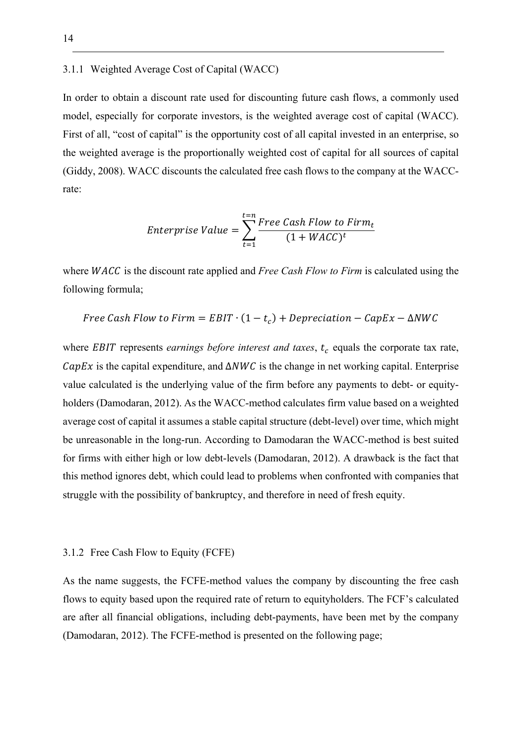#### 3.1.1 Weighted Average Cost of Capital (WACC)

In order to obtain a discount rate used for discounting future cash flows, a commonly used model, especially for corporate investors, is the weighted average cost of capital (WACC). First of all, "cost of capital" is the opportunity cost of all capital invested in an enterprise, so the weighted average is the proportionally weighted cost of capital for all sources of capital (Giddy, 2008). WACC discounts the calculated free cash flows to the company at the WACCrate:

*Interprise Value* = 
$$
\sum_{t=1}^{t=n} \frac{Free Cash Flow to Firm_t}{(1 + WACC)^t}
$$

where *WACC* is the discount rate applied and *Free Cash Flow to Firm* is calculated using the following formula;

Free Cash Flow to Firm = EBIT 
$$
\cdot (1 - t_c) + Depreciation - CapEx - \Delta NWC
$$

where *EBIT* represents *earnings before interest and taxes*,  $t_c$  equals the corporate tax rate,  $CapEx$  is the capital expenditure, and  $\triangle NWC$  is the change in net working capital. Enterprise value calculated is the underlying value of the firm before any payments to debt- or equityholders (Damodaran, 2012). As the WACC-method calculates firm value based on a weighted average cost of capital it assumes a stable capital structure (debt-level) over time, which might be unreasonable in the long-run. According to Damodaran the WACC-method is best suited for firms with either high or low debt-levels (Damodaran, 2012). A drawback is the fact that this method ignores debt, which could lead to problems when confronted with companies that struggle with the possibility of bankruptcy, and therefore in need of fresh equity.

#### 3.1.2 Free Cash Flow to Equity (FCFE)

As the name suggests, the FCFE-method values the company by discounting the free cash flows to equity based upon the required rate of return to equityholders. The FCF's calculated are after all financial obligations, including debt-payments, have been met by the company (Damodaran, 2012). The FCFE-method is presented on the following page;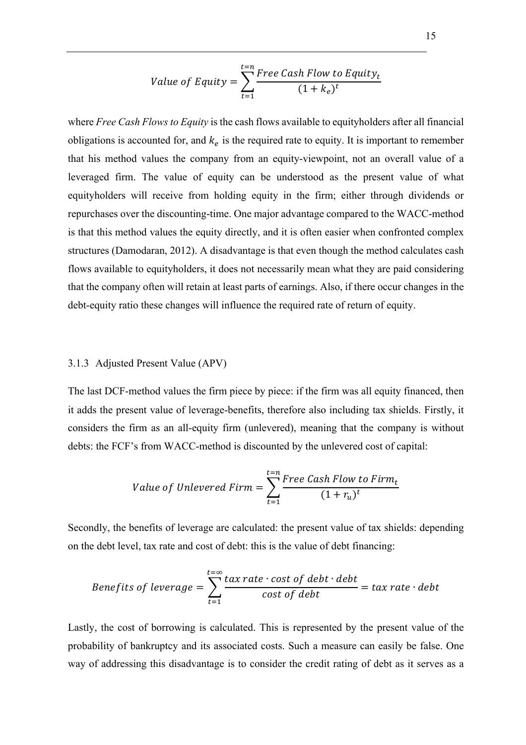Value of Equity = 
$$
\sum_{t=1}^{t=n} \frac{Free \ Cash \ Flow \ to \ Equity_t}{(1 + k_e)^t}
$$

where *Free Cash Flows to Equity* is the cash flows available to equityholders after all financial obligations is accounted for, and  $k_e$  is the required rate to equity. It is important to remember that his method values the company from an equity-viewpoint, not an overall value of a leveraged firm. The value of equity can be understood as the present value of what equityholders will receive from holding equity in the firm; either through dividends or repurchases over the discounting-time. One major advantage compared to the WACC-method is that this method values the equity directly, and it is often easier when confronted complex structures (Damodaran, 2012). A disadvantage is that even though the method calculates cash flows available to equityholders, it does not necessarily mean what they are paid considering that the company often will retain at least parts of earnings. Also, if there occur changes in the debt-equity ratio these changes will influence the required rate of return of equity.

#### 3.1.3 Adjusted Present Value (APV)

The last DCF-method values the firm piece by piece: if the firm was all equity financed, then it adds the present value of leverage-benefits, therefore also including tax shields. Firstly, it considers the firm as an all-equity firm (unlevered), meaning that the company is without debts: the FCF's from WACC-method is discounted by the unlevered cost of capital:

Value of Unlevered Firm = 
$$
\sum_{t=1}^{t=n} \frac{Free \ Cash \ Flow \ to \ Firm_t}{(1+r_u)^t}
$$

Secondly, the benefits of leverage are calculated: the present value of tax shields: depending on the debt level, tax rate and cost of debt: this is the value of debt financing:

Benefits of leverage 
$$
= \sum_{t=1}^{t=\infty} \frac{tax\ rate \cdot cost\ of\ debt \cdot debt}{cost\ of\ debt} = tax\ rate \cdot debt
$$

Lastly, the cost of borrowing is calculated. This is represented by the present value of the probability of bankruptcy and its associated costs. Such a measure can easily be false. One way of addressing this disadvantage is to consider the credit rating of debt as it serves as a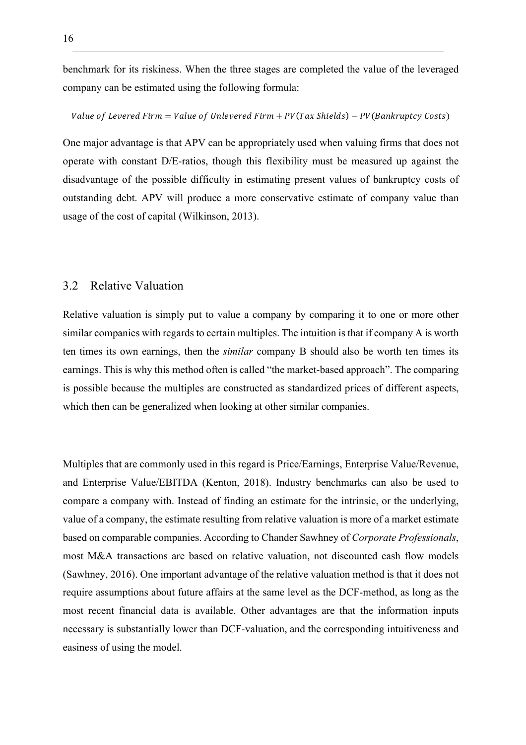benchmark for its riskiness. When the three stages are completed the value of the leveraged company can be estimated using the following formula:

#### Value of Levered Firm = Value of Unlevered Firm +  $PV(Tax \, Shields) - PV(Bankruptcy \, Costs)$

One major advantage is that APV can be appropriately used when valuing firms that does not operate with constant D/E-ratios, though this flexibility must be measured up against the disadvantage of the possible difficulty in estimating present values of bankruptcy costs of outstanding debt. APV will produce a more conservative estimate of company value than usage of the cost of capital (Wilkinson, 2013).

# 3.2 Relative Valuation

Relative valuation is simply put to value a company by comparing it to one or more other similar companies with regards to certain multiples. The intuition is that if company A is worth ten times its own earnings, then the *similar* company B should also be worth ten times its earnings. This is why this method often is called "the market-based approach". The comparing is possible because the multiples are constructed as standardized prices of different aspects, which then can be generalized when looking at other similar companies.

Multiples that are commonly used in this regard is Price/Earnings, Enterprise Value/Revenue, and Enterprise Value/EBITDA (Kenton, 2018). Industry benchmarks can also be used to compare a company with. Instead of finding an estimate for the intrinsic, or the underlying, value of a company, the estimate resulting from relative valuation is more of a market estimate based on comparable companies. According to Chander Sawhney of *Corporate Professionals*, most M&A transactions are based on relative valuation, not discounted cash flow models (Sawhney, 2016). One important advantage of the relative valuation method is that it does not require assumptions about future affairs at the same level as the DCF-method, as long as the most recent financial data is available. Other advantages are that the information inputs necessary is substantially lower than DCF-valuation, and the corresponding intuitiveness and easiness of using the model.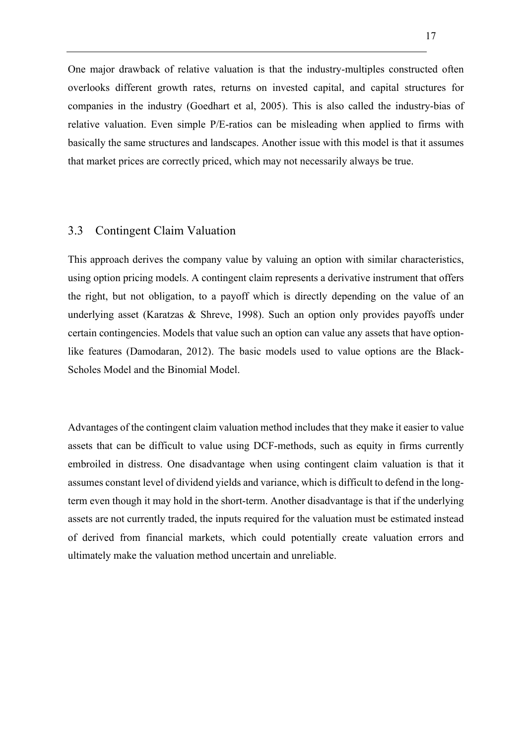One major drawback of relative valuation is that the industry-multiples constructed often overlooks different growth rates, returns on invested capital, and capital structures for companies in the industry (Goedhart et al, 2005). This is also called the industry-bias of relative valuation. Even simple P/E-ratios can be misleading when applied to firms with basically the same structures and landscapes. Another issue with this model is that it assumes that market prices are correctly priced, which may not necessarily always be true.

#### 3.3 Contingent Claim Valuation

This approach derives the company value by valuing an option with similar characteristics, using option pricing models. A contingent claim represents a derivative instrument that offers the right, but not obligation, to a payoff which is directly depending on the value of an underlying asset (Karatzas & Shreve, 1998). Such an option only provides payoffs under certain contingencies. Models that value such an option can value any assets that have optionlike features (Damodaran, 2012). The basic models used to value options are the Black-Scholes Model and the Binomial Model.

Advantages of the contingent claim valuation method includes that they make it easier to value assets that can be difficult to value using DCF-methods, such as equity in firms currently embroiled in distress. One disadvantage when using contingent claim valuation is that it assumes constant level of dividend yields and variance, which is difficult to defend in the longterm even though it may hold in the short-term. Another disadvantage is that if the underlying assets are not currently traded, the inputs required for the valuation must be estimated instead of derived from financial markets, which could potentially create valuation errors and ultimately make the valuation method uncertain and unreliable.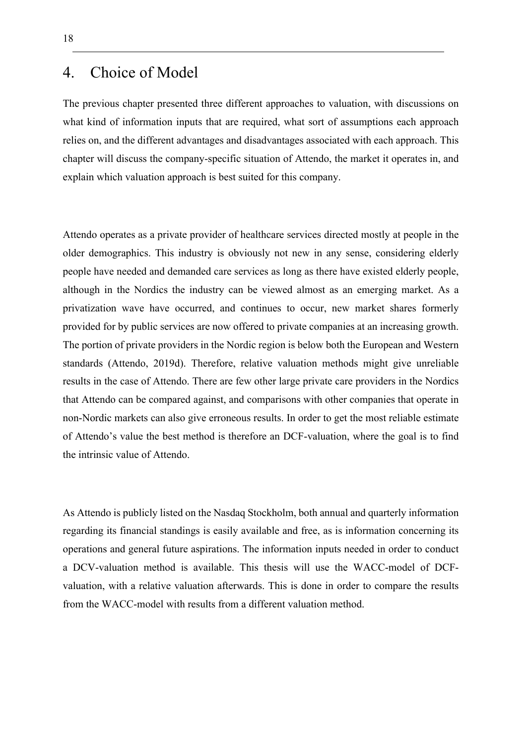# 4. Choice of Model

The previous chapter presented three different approaches to valuation, with discussions on what kind of information inputs that are required, what sort of assumptions each approach relies on, and the different advantages and disadvantages associated with each approach. This chapter will discuss the company-specific situation of Attendo, the market it operates in, and explain which valuation approach is best suited for this company.

Attendo operates as a private provider of healthcare services directed mostly at people in the older demographics. This industry is obviously not new in any sense, considering elderly people have needed and demanded care services as long as there have existed elderly people, although in the Nordics the industry can be viewed almost as an emerging market. As a privatization wave have occurred, and continues to occur, new market shares formerly provided for by public services are now offered to private companies at an increasing growth. The portion of private providers in the Nordic region is below both the European and Western standards (Attendo, 2019d). Therefore, relative valuation methods might give unreliable results in the case of Attendo. There are few other large private care providers in the Nordics that Attendo can be compared against, and comparisons with other companies that operate in non-Nordic markets can also give erroneous results. In order to get the most reliable estimate of Attendo's value the best method is therefore an DCF-valuation, where the goal is to find the intrinsic value of Attendo.

As Attendo is publicly listed on the Nasdaq Stockholm, both annual and quarterly information regarding its financial standings is easily available and free, as is information concerning its operations and general future aspirations. The information inputs needed in order to conduct a DCV-valuation method is available. This thesis will use the WACC-model of DCFvaluation, with a relative valuation afterwards. This is done in order to compare the results from the WACC-model with results from a different valuation method.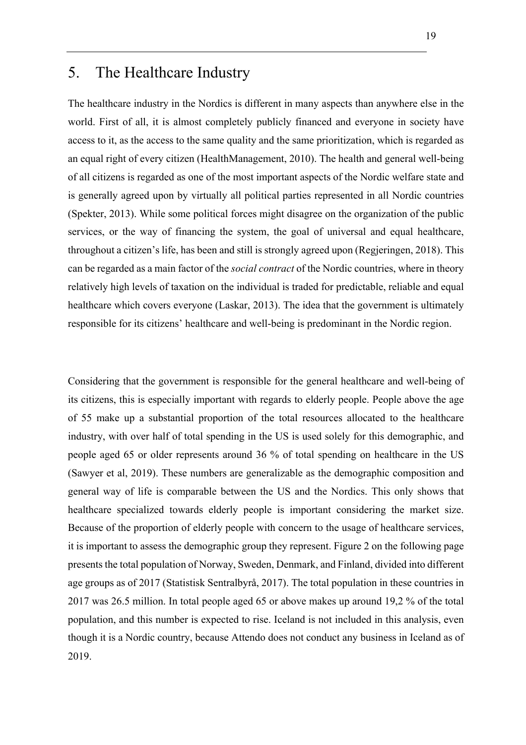# 5. The Healthcare Industry

The healthcare industry in the Nordics is different in many aspects than anywhere else in the world. First of all, it is almost completely publicly financed and everyone in society have access to it, as the access to the same quality and the same prioritization, which is regarded as an equal right of every citizen (HealthManagement, 2010). The health and general well-being of all citizens is regarded as one of the most important aspects of the Nordic welfare state and is generally agreed upon by virtually all political parties represented in all Nordic countries (Spekter, 2013). While some political forces might disagree on the organization of the public services, or the way of financing the system, the goal of universal and equal healthcare, throughout a citizen's life, has been and still is strongly agreed upon (Regjeringen, 2018). This can be regarded as a main factor of the *social contract* of the Nordic countries, where in theory relatively high levels of taxation on the individual is traded for predictable, reliable and equal healthcare which covers everyone (Laskar, 2013). The idea that the government is ultimately responsible for its citizens' healthcare and well-being is predominant in the Nordic region.

Considering that the government is responsible for the general healthcare and well-being of its citizens, this is especially important with regards to elderly people. People above the age of 55 make up a substantial proportion of the total resources allocated to the healthcare industry, with over half of total spending in the US is used solely for this demographic, and people aged 65 or older represents around 36 % of total spending on healthcare in the US (Sawyer et al, 2019). These numbers are generalizable as the demographic composition and general way of life is comparable between the US and the Nordics. This only shows that healthcare specialized towards elderly people is important considering the market size. Because of the proportion of elderly people with concern to the usage of healthcare services, it is important to assess the demographic group they represent. Figure 2 on the following page presents the total population of Norway, Sweden, Denmark, and Finland, divided into different age groups as of 2017 (Statistisk Sentralbyrå, 2017). The total population in these countries in 2017 was 26.5 million. In total people aged 65 or above makes up around 19,2 % of the total population, and this number is expected to rise. Iceland is not included in this analysis, even though it is a Nordic country, because Attendo does not conduct any business in Iceland as of 2019.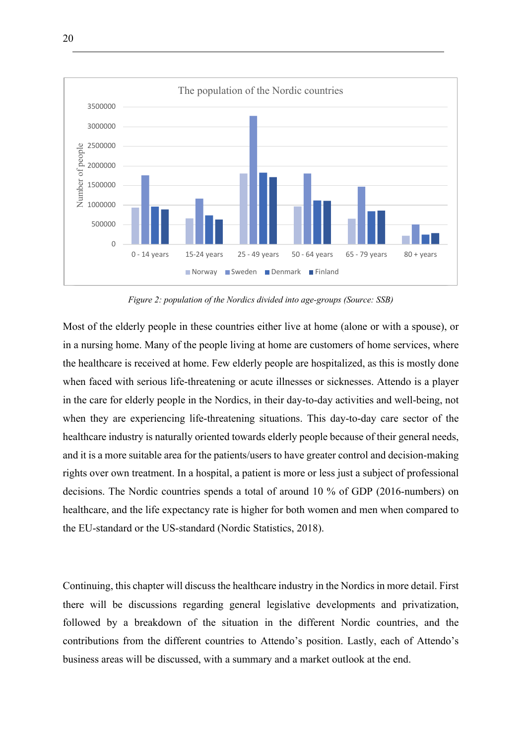

*Figure 2: population of the Nordics divided into age-groups (Source: SSB)*

Most of the elderly people in these countries either live at home (alone or with a spouse), or in a nursing home. Many of the people living at home are customers of home services, where the healthcare is received at home. Few elderly people are hospitalized, as this is mostly done when faced with serious life-threatening or acute illnesses or sicknesses. Attendo is a player in the care for elderly people in the Nordics, in their day-to-day activities and well-being, not when they are experiencing life-threatening situations. This day-to-day care sector of the healthcare industry is naturally oriented towards elderly people because of their general needs, and it is a more suitable area for the patients/users to have greater control and decision-making rights over own treatment. In a hospital, a patient is more or less just a subject of professional decisions. The Nordic countries spends a total of around 10 % of GDP (2016-numbers) on healthcare, and the life expectancy rate is higher for both women and men when compared to the EU-standard or the US-standard (Nordic Statistics, 2018).

Continuing, this chapter will discuss the healthcare industry in the Nordics in more detail. First there will be discussions regarding general legislative developments and privatization, followed by a breakdown of the situation in the different Nordic countries, and the contributions from the different countries to Attendo's position. Lastly, each of Attendo's business areas will be discussed, with a summary and a market outlook at the end.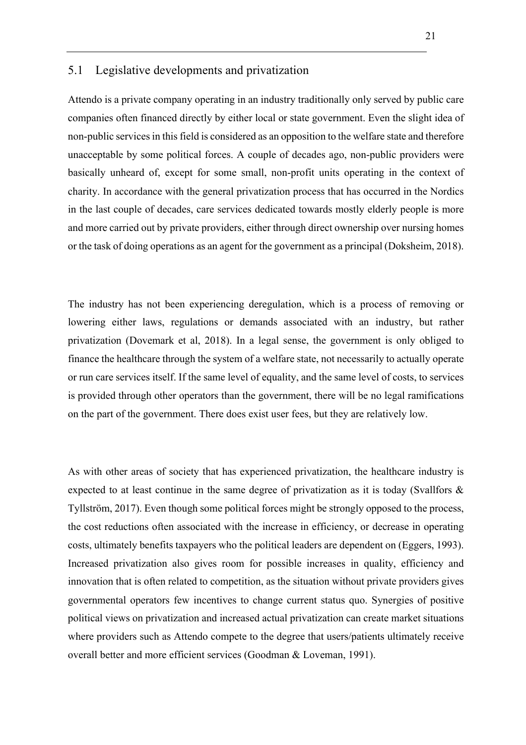# 5.1 Legislative developments and privatization

Attendo is a private company operating in an industry traditionally only served by public care companies often financed directly by either local or state government. Even the slight idea of non-public services in this field is considered as an opposition to the welfare state and therefore unacceptable by some political forces. A couple of decades ago, non-public providers were basically unheard of, except for some small, non-profit units operating in the context of charity. In accordance with the general privatization process that has occurred in the Nordics in the last couple of decades, care services dedicated towards mostly elderly people is more and more carried out by private providers, either through direct ownership over nursing homes or the task of doing operations as an agent for the government as a principal (Doksheim, 2018).

The industry has not been experiencing deregulation, which is a process of removing or lowering either laws, regulations or demands associated with an industry, but rather privatization (Dovemark et al, 2018). In a legal sense, the government is only obliged to finance the healthcare through the system of a welfare state, not necessarily to actually operate or run care services itself. If the same level of equality, and the same level of costs, to services is provided through other operators than the government, there will be no legal ramifications on the part of the government. There does exist user fees, but they are relatively low.

As with other areas of society that has experienced privatization, the healthcare industry is expected to at least continue in the same degree of privatization as it is today (Svallfors & Tyllström, 2017). Even though some political forces might be strongly opposed to the process, the cost reductions often associated with the increase in efficiency, or decrease in operating costs, ultimately benefits taxpayers who the political leaders are dependent on (Eggers, 1993). Increased privatization also gives room for possible increases in quality, efficiency and innovation that is often related to competition, as the situation without private providers gives governmental operators few incentives to change current status quo. Synergies of positive political views on privatization and increased actual privatization can create market situations where providers such as Attendo compete to the degree that users/patients ultimately receive overall better and more efficient services (Goodman & Loveman, 1991).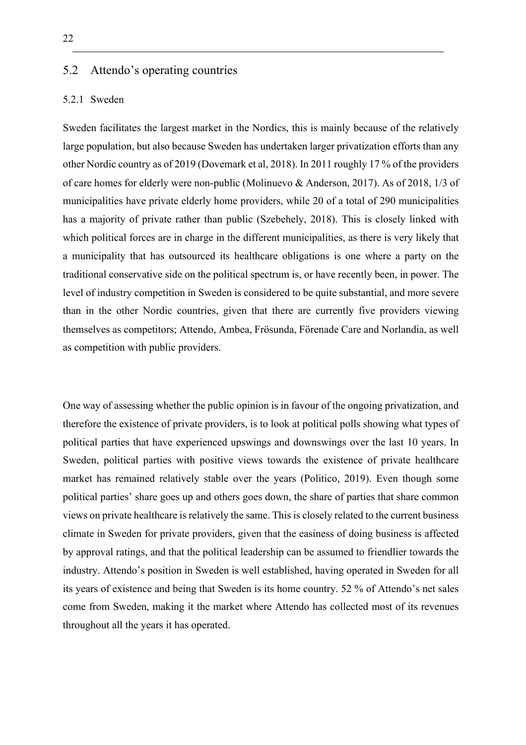## 5.2 Attendo's operating countries

#### 5.2.1 Sweden

Sweden facilitates the largest market in the Nordics, this is mainly because of the relatively large population, but also because Sweden has undertaken larger privatization efforts than any other Nordic country as of 2019 (Dovemark et al, 2018). In 2011 roughly 17 % of the providers of care homes for elderly were non-public (Molinuevo & Anderson, 2017). As of 2018, 1/3 of municipalities have private elderly home providers, while 20 of a total of 290 municipalities has a majority of private rather than public (Szebehely, 2018). This is closely linked with which political forces are in charge in the different municipalities, as there is very likely that a municipality that has outsourced its healthcare obligations is one where a party on the traditional conservative side on the political spectrum is, or have recently been, in power. The level of industry competition in Sweden is considered to be quite substantial, and more severe than in the other Nordic countries, given that there are currently five providers viewing themselves as competitors; Attendo, Ambea, Frösunda, Förenade Care and Norlandia, as well as competition with public providers.

One way of assessing whether the public opinion is in favour of the ongoing privatization, and therefore the existence of private providers, is to look at political polls showing what types of political parties that have experienced upswings and downswings over the last 10 years. In Sweden, political parties with positive views towards the existence of private healthcare market has remained relatively stable over the years (Politico, 2019). Even though some political parties' share goes up and others goes down, the share of parties that share common views on private healthcare is relatively the same. This is closely related to the current business climate in Sweden for private providers, given that the easiness of doing business is affected by approval ratings, and that the political leadership can be assumed to friendlier towards the industry. Attendo's position in Sweden is well established, having operated in Sweden for all its years of existence and being that Sweden is its home country. 52 % of Attendo's net sales come from Sweden, making it the market where Attendo has collected most of its revenues throughout all the years it has operated.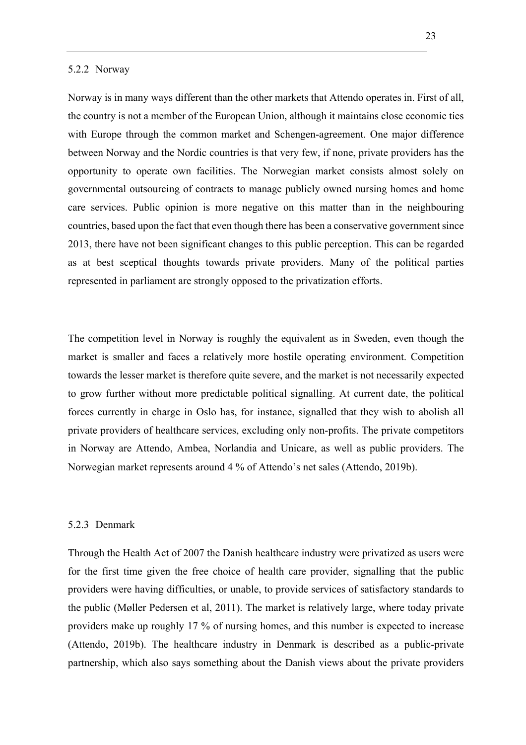#### 5.2.2 Norway

Norway is in many ways different than the other markets that Attendo operates in. First of all, the country is not a member of the European Union, although it maintains close economic ties with Europe through the common market and Schengen-agreement. One major difference between Norway and the Nordic countries is that very few, if none, private providers has the opportunity to operate own facilities. The Norwegian market consists almost solely on governmental outsourcing of contracts to manage publicly owned nursing homes and home care services. Public opinion is more negative on this matter than in the neighbouring countries, based upon the fact that even though there has been a conservative government since 2013, there have not been significant changes to this public perception. This can be regarded as at best sceptical thoughts towards private providers. Many of the political parties represented in parliament are strongly opposed to the privatization efforts.

The competition level in Norway is roughly the equivalent as in Sweden, even though the market is smaller and faces a relatively more hostile operating environment. Competition towards the lesser market is therefore quite severe, and the market is not necessarily expected to grow further without more predictable political signalling. At current date, the political forces currently in charge in Oslo has, for instance, signalled that they wish to abolish all private providers of healthcare services, excluding only non-profits. The private competitors in Norway are Attendo, Ambea, Norlandia and Unicare, as well as public providers. The Norwegian market represents around 4 % of Attendo's net sales (Attendo, 2019b).

#### 5.2.3 Denmark

Through the Health Act of 2007 the Danish healthcare industry were privatized as users were for the first time given the free choice of health care provider, signalling that the public providers were having difficulties, or unable, to provide services of satisfactory standards to the public (Møller Pedersen et al, 2011). The market is relatively large, where today private providers make up roughly 17 % of nursing homes, and this number is expected to increase (Attendo, 2019b). The healthcare industry in Denmark is described as a public-private partnership, which also says something about the Danish views about the private providers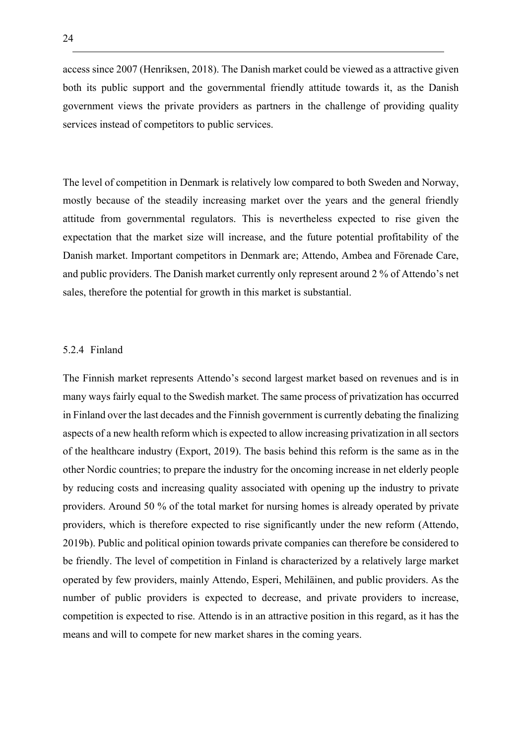access since 2007 (Henriksen, 2018). The Danish market could be viewed as a attractive given both its public support and the governmental friendly attitude towards it, as the Danish government views the private providers as partners in the challenge of providing quality services instead of competitors to public services.

The level of competition in Denmark is relatively low compared to both Sweden and Norway, mostly because of the steadily increasing market over the years and the general friendly attitude from governmental regulators. This is nevertheless expected to rise given the expectation that the market size will increase, and the future potential profitability of the Danish market. Important competitors in Denmark are; Attendo, Ambea and Förenade Care, and public providers. The Danish market currently only represent around 2 % of Attendo's net sales, therefore the potential for growth in this market is substantial.

#### 5.2.4 Finland

The Finnish market represents Attendo's second largest market based on revenues and is in many ways fairly equal to the Swedish market. The same process of privatization has occurred in Finland over the last decades and the Finnish government is currently debating the finalizing aspects of a new health reform which is expected to allow increasing privatization in all sectors of the healthcare industry (Export, 2019). The basis behind this reform is the same as in the other Nordic countries; to prepare the industry for the oncoming increase in net elderly people by reducing costs and increasing quality associated with opening up the industry to private providers. Around 50 % of the total market for nursing homes is already operated by private providers, which is therefore expected to rise significantly under the new reform (Attendo, 2019b). Public and political opinion towards private companies can therefore be considered to be friendly. The level of competition in Finland is characterized by a relatively large market operated by few providers, mainly Attendo, Esperi, Mehiläinen, and public providers. As the number of public providers is expected to decrease, and private providers to increase, competition is expected to rise. Attendo is in an attractive position in this regard, as it has the means and will to compete for new market shares in the coming years.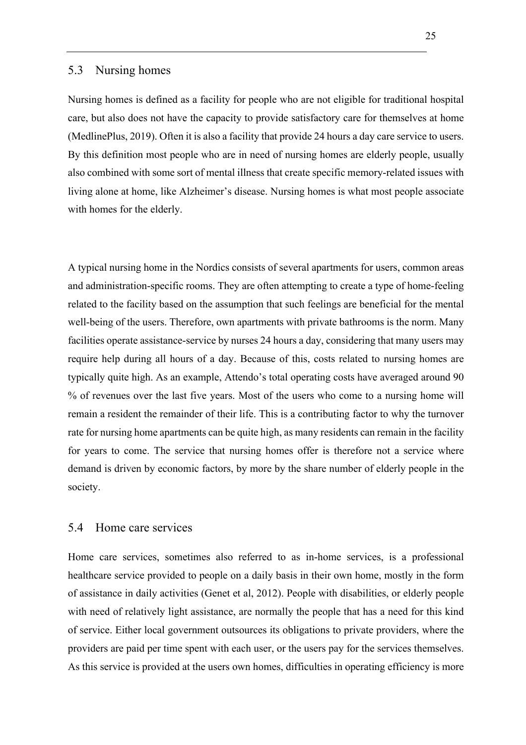#### 5.3 Nursing homes

Nursing homes is defined as a facility for people who are not eligible for traditional hospital care, but also does not have the capacity to provide satisfactory care for themselves at home (MedlinePlus, 2019). Often it is also a facility that provide 24 hours a day care service to users. By this definition most people who are in need of nursing homes are elderly people, usually also combined with some sort of mental illness that create specific memory-related issues with living alone at home, like Alzheimer's disease. Nursing homes is what most people associate with homes for the elderly.

A typical nursing home in the Nordics consists of several apartments for users, common areas and administration-specific rooms. They are often attempting to create a type of home-feeling related to the facility based on the assumption that such feelings are beneficial for the mental well-being of the users. Therefore, own apartments with private bathrooms is the norm. Many facilities operate assistance-service by nurses 24 hours a day, considering that many users may require help during all hours of a day. Because of this, costs related to nursing homes are typically quite high. As an example, Attendo's total operating costs have averaged around 90 % of revenues over the last five years. Most of the users who come to a nursing home will remain a resident the remainder of their life. This is a contributing factor to why the turnover rate for nursing home apartments can be quite high, as many residents can remain in the facility for years to come. The service that nursing homes offer is therefore not a service where demand is driven by economic factors, by more by the share number of elderly people in the society.

## 5.4 Home care services

Home care services, sometimes also referred to as in-home services, is a professional healthcare service provided to people on a daily basis in their own home, mostly in the form of assistance in daily activities (Genet et al, 2012). People with disabilities, or elderly people with need of relatively light assistance, are normally the people that has a need for this kind of service. Either local government outsources its obligations to private providers, where the providers are paid per time spent with each user, or the users pay for the services themselves. As this service is provided at the users own homes, difficulties in operating efficiency is more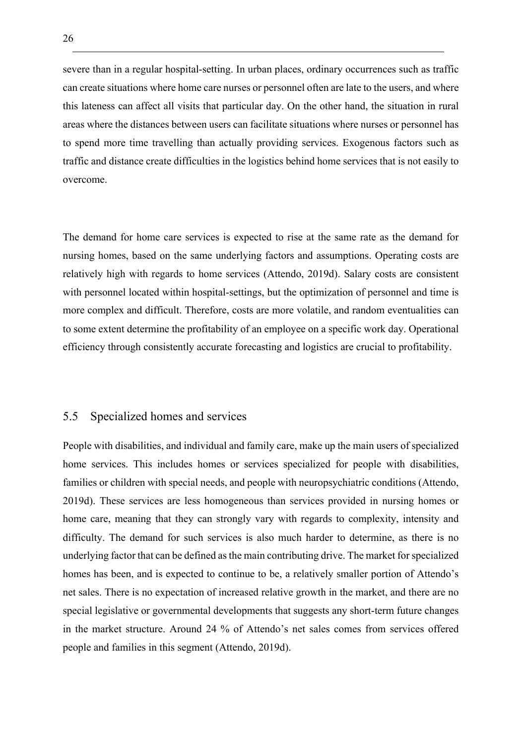severe than in a regular hospital-setting. In urban places, ordinary occurrences such as traffic can create situations where home care nurses or personnel often are late to the users, and where this lateness can affect all visits that particular day. On the other hand, the situation in rural areas where the distances between users can facilitate situations where nurses or personnel has to spend more time travelling than actually providing services. Exogenous factors such as traffic and distance create difficulties in the logistics behind home services that is not easily to overcome.

The demand for home care services is expected to rise at the same rate as the demand for nursing homes, based on the same underlying factors and assumptions. Operating costs are relatively high with regards to home services (Attendo, 2019d). Salary costs are consistent with personnel located within hospital-settings, but the optimization of personnel and time is more complex and difficult. Therefore, costs are more volatile, and random eventualities can to some extent determine the profitability of an employee on a specific work day. Operational efficiency through consistently accurate forecasting and logistics are crucial to profitability.

## 5.5 Specialized homes and services

People with disabilities, and individual and family care, make up the main users of specialized home services. This includes homes or services specialized for people with disabilities, families or children with special needs, and people with neuropsychiatric conditions (Attendo, 2019d). These services are less homogeneous than services provided in nursing homes or home care, meaning that they can strongly vary with regards to complexity, intensity and difficulty. The demand for such services is also much harder to determine, as there is no underlying factor that can be defined as the main contributing drive. The market for specialized homes has been, and is expected to continue to be, a relatively smaller portion of Attendo's net sales. There is no expectation of increased relative growth in the market, and there are no special legislative or governmental developments that suggests any short-term future changes in the market structure. Around 24 % of Attendo's net sales comes from services offered people and families in this segment (Attendo, 2019d).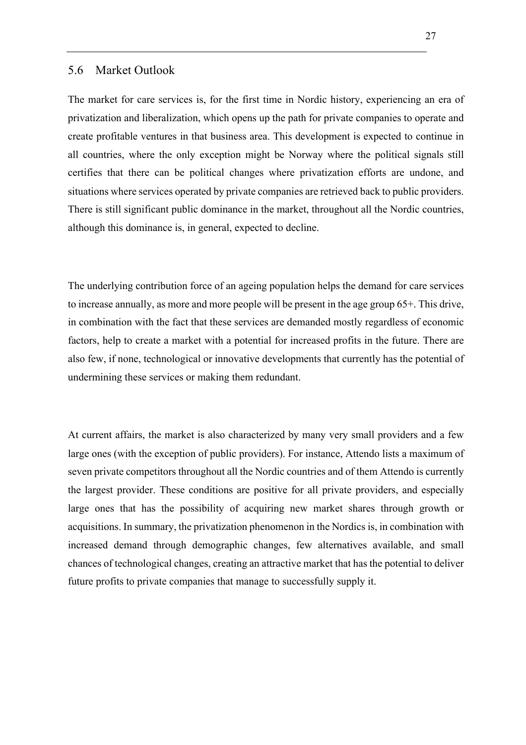#### 5.6 Market Outlook

The market for care services is, for the first time in Nordic history, experiencing an era of privatization and liberalization, which opens up the path for private companies to operate and create profitable ventures in that business area. This development is expected to continue in all countries, where the only exception might be Norway where the political signals still certifies that there can be political changes where privatization efforts are undone, and situations where services operated by private companies are retrieved back to public providers. There is still significant public dominance in the market, throughout all the Nordic countries, although this dominance is, in general, expected to decline.

The underlying contribution force of an ageing population helps the demand for care services to increase annually, as more and more people will be present in the age group 65+. This drive, in combination with the fact that these services are demanded mostly regardless of economic factors, help to create a market with a potential for increased profits in the future. There are also few, if none, technological or innovative developments that currently has the potential of undermining these services or making them redundant.

At current affairs, the market is also characterized by many very small providers and a few large ones (with the exception of public providers). For instance, Attendo lists a maximum of seven private competitors throughout all the Nordic countries and of them Attendo is currently the largest provider. These conditions are positive for all private providers, and especially large ones that has the possibility of acquiring new market shares through growth or acquisitions. In summary, the privatization phenomenon in the Nordics is, in combination with increased demand through demographic changes, few alternatives available, and small chances of technological changes, creating an attractive market that has the potential to deliver future profits to private companies that manage to successfully supply it.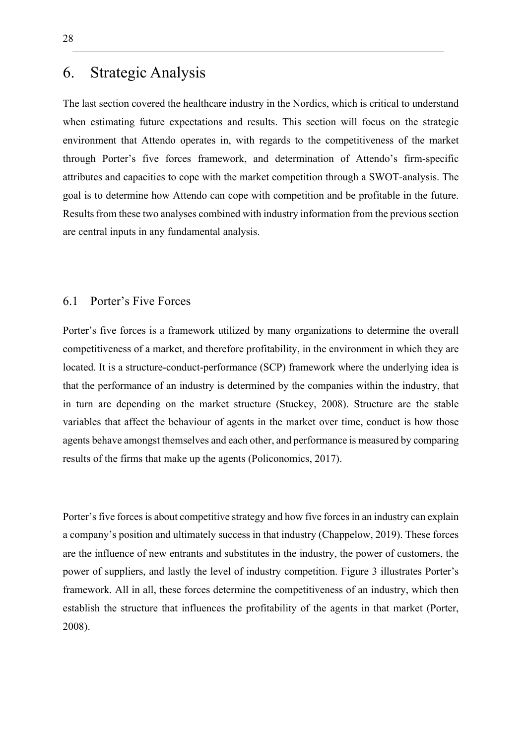# 6. Strategic Analysis

The last section covered the healthcare industry in the Nordics, which is critical to understand when estimating future expectations and results. This section will focus on the strategic environment that Attendo operates in, with regards to the competitiveness of the market through Porter's five forces framework, and determination of Attendo's firm-specific attributes and capacities to cope with the market competition through a SWOT-analysis. The goal is to determine how Attendo can cope with competition and be profitable in the future. Results from these two analyses combined with industry information from the previous section are central inputs in any fundamental analysis.

## 6.1 Porter's Five Forces

Porter's five forces is a framework utilized by many organizations to determine the overall competitiveness of a market, and therefore profitability, in the environment in which they are located. It is a structure-conduct-performance (SCP) framework where the underlying idea is that the performance of an industry is determined by the companies within the industry, that in turn are depending on the market structure (Stuckey, 2008). Structure are the stable variables that affect the behaviour of agents in the market over time, conduct is how those agents behave amongst themselves and each other, and performance is measured by comparing results of the firms that make up the agents (Policonomics, 2017).

Porter's five forces is about competitive strategy and how five forces in an industry can explain a company's position and ultimately success in that industry (Chappelow, 2019). These forces are the influence of new entrants and substitutes in the industry, the power of customers, the power of suppliers, and lastly the level of industry competition. Figure 3 illustrates Porter's framework. All in all, these forces determine the competitiveness of an industry, which then establish the structure that influences the profitability of the agents in that market (Porter, 2008).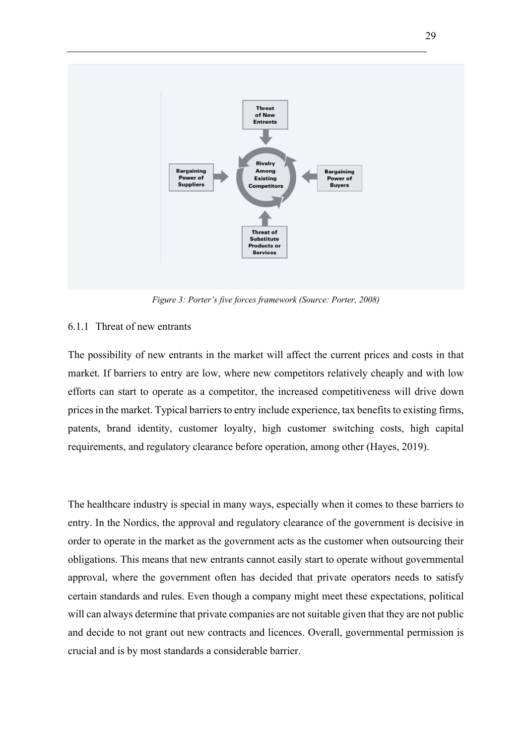

*Figure 3: Porter's five forces framework (Source: Porter, 2008)*

## 6.1.1 Threat of new entrants

The possibility of new entrants in the market will affect the current prices and costs in that market. If barriers to entry are low, where new competitors relatively cheaply and with low efforts can start to operate as a competitor, the increased competitiveness will drive down prices in the market. Typical barriers to entry include experience, tax benefits to existing firms, patents, brand identity, customer loyalty, high customer switching costs, high capital requirements, and regulatory clearance before operation, among other (Hayes, 2019).

The healthcare industry is special in many ways, especially when it comes to these barriers to entry. In the Nordics, the approval and regulatory clearance of the government is decisive in order to operate in the market as the government acts as the customer when outsourcing their obligations. This means that new entrants cannot easily start to operate without governmental approval, where the government often has decided that private operators needs to satisfy certain standards and rules. Even though a company might meet these expectations, political will can always determine that private companies are not suitable given that they are not public and decide to not grant out new contracts and licences. Overall, governmental permission is crucial and is by most standards a considerable barrier.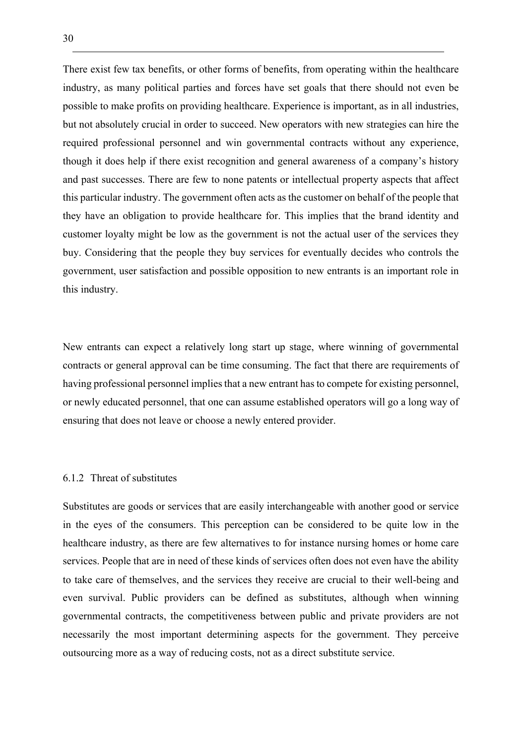There exist few tax benefits, or other forms of benefits, from operating within the healthcare industry, as many political parties and forces have set goals that there should not even be possible to make profits on providing healthcare. Experience is important, as in all industries, but not absolutely crucial in order to succeed. New operators with new strategies can hire the required professional personnel and win governmental contracts without any experience, though it does help if there exist recognition and general awareness of a company's history and past successes. There are few to none patents or intellectual property aspects that affect this particular industry. The government often acts as the customer on behalf of the people that they have an obligation to provide healthcare for. This implies that the brand identity and customer loyalty might be low as the government is not the actual user of the services they buy. Considering that the people they buy services for eventually decides who controls the government, user satisfaction and possible opposition to new entrants is an important role in this industry.

New entrants can expect a relatively long start up stage, where winning of governmental contracts or general approval can be time consuming. The fact that there are requirements of having professional personnel implies that a new entrant has to compete for existing personnel, or newly educated personnel, that one can assume established operators will go a long way of ensuring that does not leave or choose a newly entered provider.

#### 6.1.2 Threat of substitutes

Substitutes are goods or services that are easily interchangeable with another good or service in the eyes of the consumers. This perception can be considered to be quite low in the healthcare industry, as there are few alternatives to for instance nursing homes or home care services. People that are in need of these kinds of services often does not even have the ability to take care of themselves, and the services they receive are crucial to their well-being and even survival. Public providers can be defined as substitutes, although when winning governmental contracts, the competitiveness between public and private providers are not necessarily the most important determining aspects for the government. They perceive outsourcing more as a way of reducing costs, not as a direct substitute service.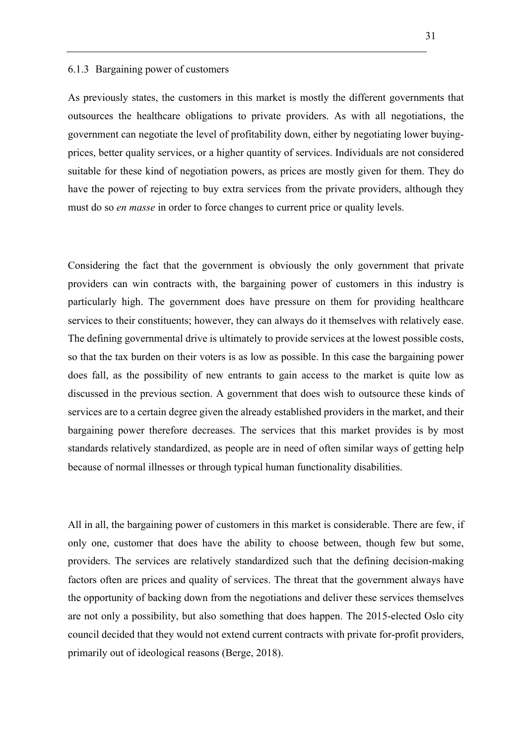#### 6.1.3 Bargaining power of customers

As previously states, the customers in this market is mostly the different governments that outsources the healthcare obligations to private providers. As with all negotiations, the government can negotiate the level of profitability down, either by negotiating lower buyingprices, better quality services, or a higher quantity of services. Individuals are not considered suitable for these kind of negotiation powers, as prices are mostly given for them. They do have the power of rejecting to buy extra services from the private providers, although they must do so *en masse* in order to force changes to current price or quality levels.

Considering the fact that the government is obviously the only government that private providers can win contracts with, the bargaining power of customers in this industry is particularly high. The government does have pressure on them for providing healthcare services to their constituents; however, they can always do it themselves with relatively ease. The defining governmental drive is ultimately to provide services at the lowest possible costs, so that the tax burden on their voters is as low as possible. In this case the bargaining power does fall, as the possibility of new entrants to gain access to the market is quite low as discussed in the previous section. A government that does wish to outsource these kinds of services are to a certain degree given the already established providers in the market, and their bargaining power therefore decreases. The services that this market provides is by most standards relatively standardized, as people are in need of often similar ways of getting help because of normal illnesses or through typical human functionality disabilities.

All in all, the bargaining power of customers in this market is considerable. There are few, if only one, customer that does have the ability to choose between, though few but some, providers. The services are relatively standardized such that the defining decision-making factors often are prices and quality of services. The threat that the government always have the opportunity of backing down from the negotiations and deliver these services themselves are not only a possibility, but also something that does happen. The 2015-elected Oslo city council decided that they would not extend current contracts with private for-profit providers, primarily out of ideological reasons (Berge, 2018).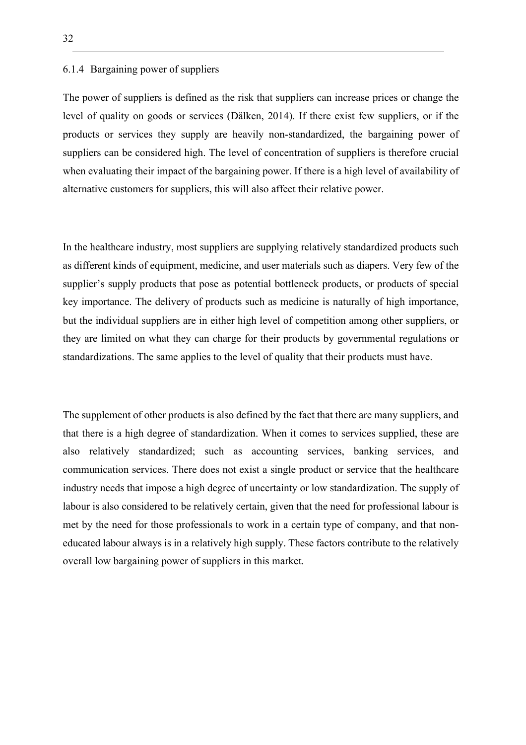#### 6.1.4 Bargaining power of suppliers

The power of suppliers is defined as the risk that suppliers can increase prices or change the level of quality on goods or services (Dälken, 2014). If there exist few suppliers, or if the products or services they supply are heavily non-standardized, the bargaining power of suppliers can be considered high. The level of concentration of suppliers is therefore crucial when evaluating their impact of the bargaining power. If there is a high level of availability of alternative customers for suppliers, this will also affect their relative power.

In the healthcare industry, most suppliers are supplying relatively standardized products such as different kinds of equipment, medicine, and user materials such as diapers. Very few of the supplier's supply products that pose as potential bottleneck products, or products of special key importance. The delivery of products such as medicine is naturally of high importance, but the individual suppliers are in either high level of competition among other suppliers, or they are limited on what they can charge for their products by governmental regulations or standardizations. The same applies to the level of quality that their products must have.

The supplement of other products is also defined by the fact that there are many suppliers, and that there is a high degree of standardization. When it comes to services supplied, these are also relatively standardized; such as accounting services, banking services, and communication services. There does not exist a single product or service that the healthcare industry needs that impose a high degree of uncertainty or low standardization. The supply of labour is also considered to be relatively certain, given that the need for professional labour is met by the need for those professionals to work in a certain type of company, and that noneducated labour always is in a relatively high supply. These factors contribute to the relatively overall low bargaining power of suppliers in this market.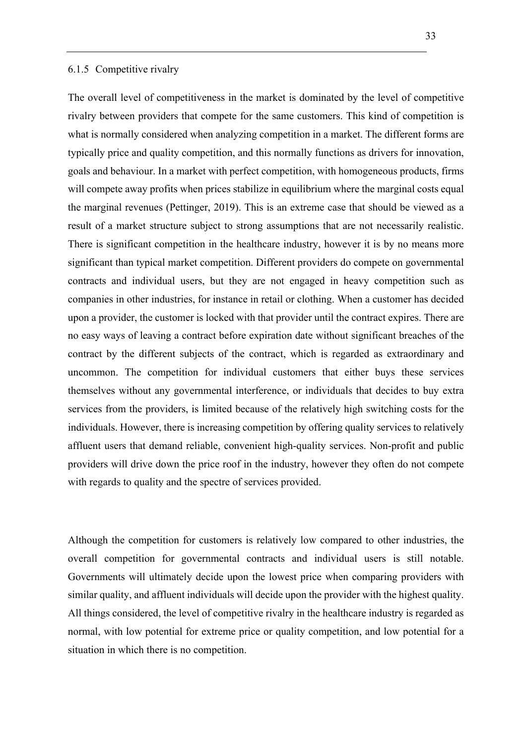#### 6.1.5 Competitive rivalry

The overall level of competitiveness in the market is dominated by the level of competitive rivalry between providers that compete for the same customers. This kind of competition is what is normally considered when analyzing competition in a market. The different forms are typically price and quality competition, and this normally functions as drivers for innovation, goals and behaviour. In a market with perfect competition, with homogeneous products, firms will compete away profits when prices stabilize in equilibrium where the marginal costs equal the marginal revenues (Pettinger, 2019). This is an extreme case that should be viewed as a result of a market structure subject to strong assumptions that are not necessarily realistic. There is significant competition in the healthcare industry, however it is by no means more significant than typical market competition. Different providers do compete on governmental contracts and individual users, but they are not engaged in heavy competition such as companies in other industries, for instance in retail or clothing. When a customer has decided upon a provider, the customer is locked with that provider until the contract expires. There are no easy ways of leaving a contract before expiration date without significant breaches of the contract by the different subjects of the contract, which is regarded as extraordinary and uncommon. The competition for individual customers that either buys these services themselves without any governmental interference, or individuals that decides to buy extra services from the providers, is limited because of the relatively high switching costs for the individuals. However, there is increasing competition by offering quality services to relatively affluent users that demand reliable, convenient high-quality services. Non-profit and public providers will drive down the price roof in the industry, however they often do not compete with regards to quality and the spectre of services provided.

Although the competition for customers is relatively low compared to other industries, the overall competition for governmental contracts and individual users is still notable. Governments will ultimately decide upon the lowest price when comparing providers with similar quality, and affluent individuals will decide upon the provider with the highest quality. All things considered, the level of competitive rivalry in the healthcare industry is regarded as normal, with low potential for extreme price or quality competition, and low potential for a situation in which there is no competition.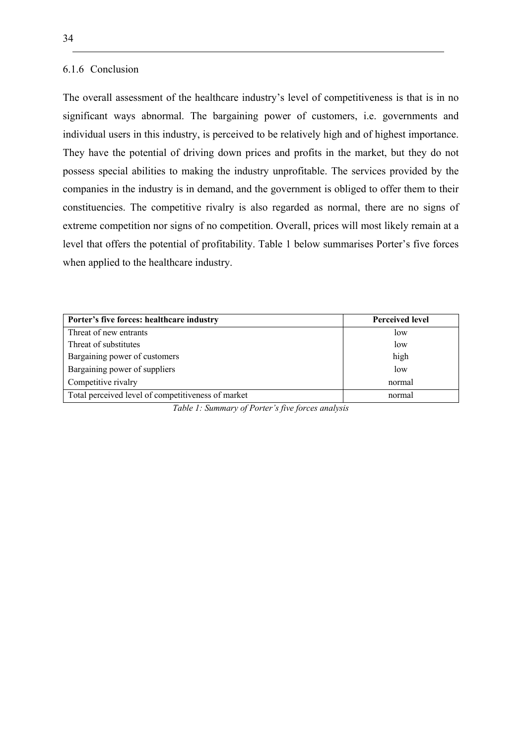#### 6.1.6 Conclusion

The overall assessment of the healthcare industry's level of competitiveness is that is in no significant ways abnormal. The bargaining power of customers, i.e. governments and individual users in this industry, is perceived to be relatively high and of highest importance. They have the potential of driving down prices and profits in the market, but they do not possess special abilities to making the industry unprofitable. The services provided by the companies in the industry is in demand, and the government is obliged to offer them to their constituencies. The competitive rivalry is also regarded as normal, there are no signs of extreme competition nor signs of no competition. Overall, prices will most likely remain at a level that offers the potential of profitability. Table 1 below summarises Porter's five forces when applied to the healthcare industry.

| Porter's five forces: healthcare industry          | <b>Perceived level</b> |  |
|----------------------------------------------------|------------------------|--|
| Threat of new entrants                             | low                    |  |
| Threat of substitutes                              | low                    |  |
| Bargaining power of customers                      | high                   |  |
| Bargaining power of suppliers                      | low                    |  |
| Competitive rivalry                                | normal                 |  |
| Total perceived level of competitiveness of market | normal                 |  |

*Table 1: Summary of Porter's five forces analysis*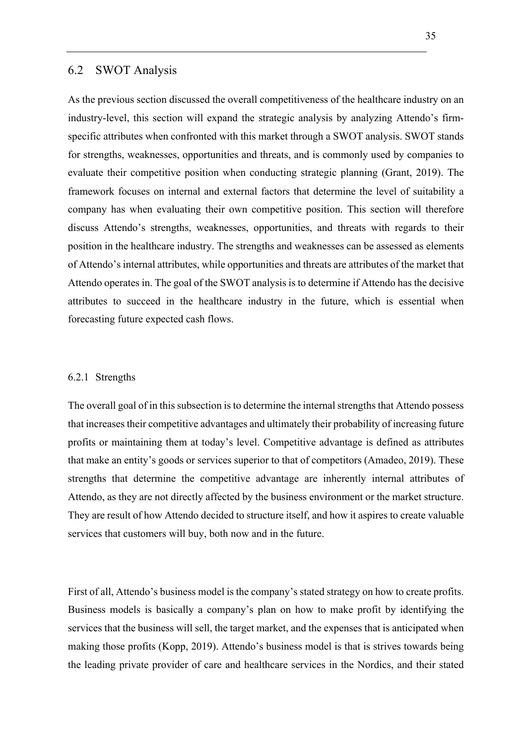# 6.2 SWOT Analysis

As the previous section discussed the overall competitiveness of the healthcare industry on an industry-level, this section will expand the strategic analysis by analyzing Attendo's firmspecific attributes when confronted with this market through a SWOT analysis. SWOT stands for strengths, weaknesses, opportunities and threats, and is commonly used by companies to evaluate their competitive position when conducting strategic planning (Grant, 2019). The framework focuses on internal and external factors that determine the level of suitability a company has when evaluating their own competitive position. This section will therefore discuss Attendo's strengths, weaknesses, opportunities, and threats with regards to their position in the healthcare industry. The strengths and weaknesses can be assessed as elements of Attendo's internal attributes, while opportunities and threats are attributes of the market that Attendo operates in. The goal of the SWOT analysis is to determine if Attendo has the decisive attributes to succeed in the healthcare industry in the future, which is essential when forecasting future expected cash flows.

#### 6.2.1 Strengths

The overall goal of in this subsection is to determine the internal strengths that Attendo possess that increases their competitive advantages and ultimately their probability of increasing future profits or maintaining them at today's level. Competitive advantage is defined as attributes that make an entity's goods or services superior to that of competitors (Amadeo, 2019). These strengths that determine the competitive advantage are inherently internal attributes of Attendo, as they are not directly affected by the business environment or the market structure. They are result of how Attendo decided to structure itself, and how it aspires to create valuable services that customers will buy, both now and in the future.

First of all, Attendo's business model is the company's stated strategy on how to create profits. Business models is basically a company's plan on how to make profit by identifying the services that the business will sell, the target market, and the expenses that is anticipated when making those profits (Kopp, 2019). Attendo's business model is that is strives towards being the leading private provider of care and healthcare services in the Nordics, and their stated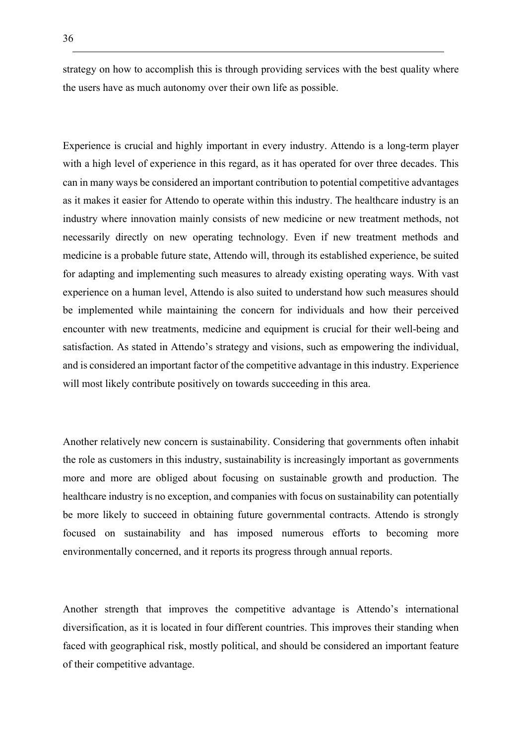strategy on how to accomplish this is through providing services with the best quality where the users have as much autonomy over their own life as possible.

Experience is crucial and highly important in every industry. Attendo is a long-term player with a high level of experience in this regard, as it has operated for over three decades. This can in many ways be considered an important contribution to potential competitive advantages as it makes it easier for Attendo to operate within this industry. The healthcare industry is an industry where innovation mainly consists of new medicine or new treatment methods, not necessarily directly on new operating technology. Even if new treatment methods and medicine is a probable future state, Attendo will, through its established experience, be suited for adapting and implementing such measures to already existing operating ways. With vast experience on a human level, Attendo is also suited to understand how such measures should be implemented while maintaining the concern for individuals and how their perceived encounter with new treatments, medicine and equipment is crucial for their well-being and satisfaction. As stated in Attendo's strategy and visions, such as empowering the individual, and is considered an important factor of the competitive advantage in this industry. Experience will most likely contribute positively on towards succeeding in this area.

Another relatively new concern is sustainability. Considering that governments often inhabit the role as customers in this industry, sustainability is increasingly important as governments more and more are obliged about focusing on sustainable growth and production. The healthcare industry is no exception, and companies with focus on sustainability can potentially be more likely to succeed in obtaining future governmental contracts. Attendo is strongly focused on sustainability and has imposed numerous efforts to becoming more environmentally concerned, and it reports its progress through annual reports.

Another strength that improves the competitive advantage is Attendo's international diversification, as it is located in four different countries. This improves their standing when faced with geographical risk, mostly political, and should be considered an important feature of their competitive advantage.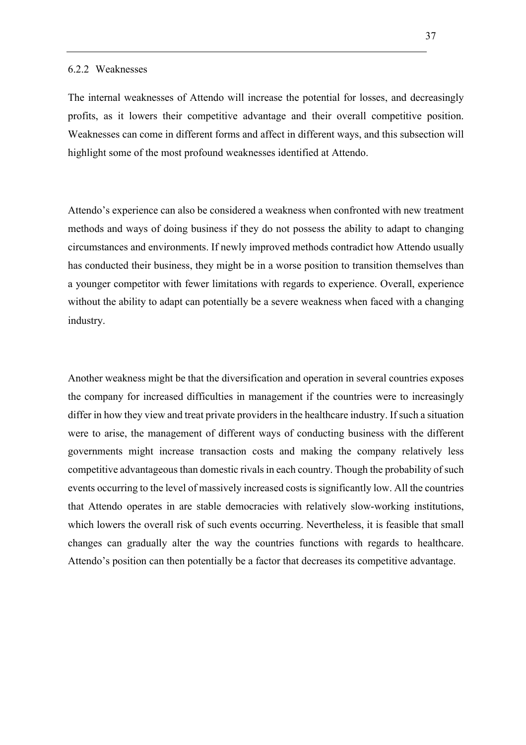#### 6.2.2 Weaknesses

The internal weaknesses of Attendo will increase the potential for losses, and decreasingly profits, as it lowers their competitive advantage and their overall competitive position. Weaknesses can come in different forms and affect in different ways, and this subsection will highlight some of the most profound weaknesses identified at Attendo.

Attendo's experience can also be considered a weakness when confronted with new treatment methods and ways of doing business if they do not possess the ability to adapt to changing circumstances and environments. If newly improved methods contradict how Attendo usually has conducted their business, they might be in a worse position to transition themselves than a younger competitor with fewer limitations with regards to experience. Overall, experience without the ability to adapt can potentially be a severe weakness when faced with a changing industry.

Another weakness might be that the diversification and operation in several countries exposes the company for increased difficulties in management if the countries were to increasingly differ in how they view and treat private providers in the healthcare industry. If such a situation were to arise, the management of different ways of conducting business with the different governments might increase transaction costs and making the company relatively less competitive advantageous than domestic rivals in each country. Though the probability of such events occurring to the level of massively increased costs is significantly low. All the countries that Attendo operates in are stable democracies with relatively slow-working institutions, which lowers the overall risk of such events occurring. Nevertheless, it is feasible that small changes can gradually alter the way the countries functions with regards to healthcare. Attendo's position can then potentially be a factor that decreases its competitive advantage.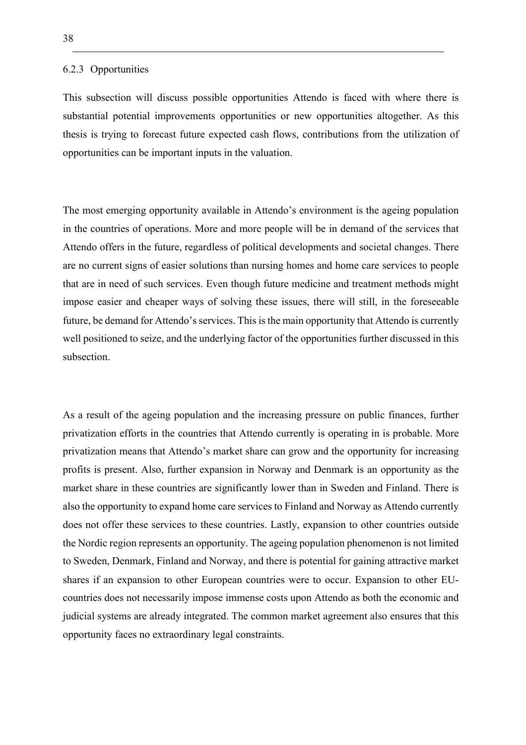#### 6.2.3 Opportunities

This subsection will discuss possible opportunities Attendo is faced with where there is substantial potential improvements opportunities or new opportunities altogether. As this thesis is trying to forecast future expected cash flows, contributions from the utilization of opportunities can be important inputs in the valuation.

The most emerging opportunity available in Attendo's environment is the ageing population in the countries of operations. More and more people will be in demand of the services that Attendo offers in the future, regardless of political developments and societal changes. There are no current signs of easier solutions than nursing homes and home care services to people that are in need of such services. Even though future medicine and treatment methods might impose easier and cheaper ways of solving these issues, there will still, in the foreseeable future, be demand for Attendo's services. This is the main opportunity that Attendo is currently well positioned to seize, and the underlying factor of the opportunities further discussed in this subsection.

As a result of the ageing population and the increasing pressure on public finances, further privatization efforts in the countries that Attendo currently is operating in is probable. More privatization means that Attendo's market share can grow and the opportunity for increasing profits is present. Also, further expansion in Norway and Denmark is an opportunity as the market share in these countries are significantly lower than in Sweden and Finland. There is also the opportunity to expand home care services to Finland and Norway as Attendo currently does not offer these services to these countries. Lastly, expansion to other countries outside the Nordic region represents an opportunity. The ageing population phenomenon is not limited to Sweden, Denmark, Finland and Norway, and there is potential for gaining attractive market shares if an expansion to other European countries were to occur. Expansion to other EUcountries does not necessarily impose immense costs upon Attendo as both the economic and judicial systems are already integrated. The common market agreement also ensures that this opportunity faces no extraordinary legal constraints.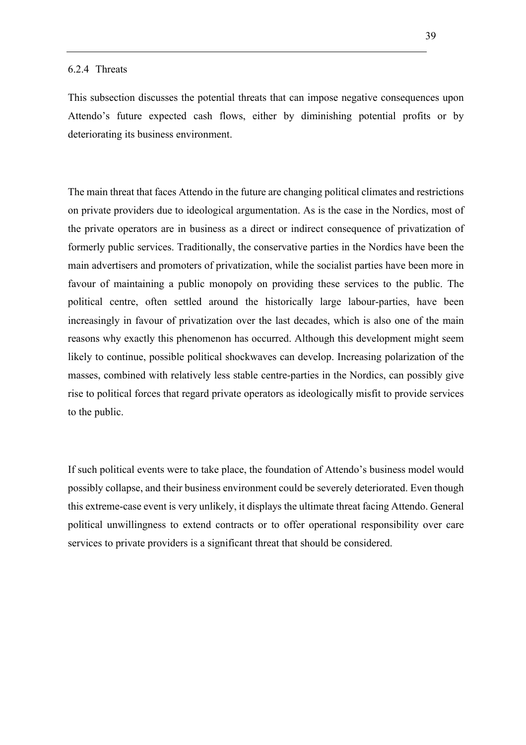This subsection discusses the potential threats that can impose negative consequences upon Attendo's future expected cash flows, either by diminishing potential profits or by deteriorating its business environment.

The main threat that faces Attendo in the future are changing political climates and restrictions on private providers due to ideological argumentation. As is the case in the Nordics, most of the private operators are in business as a direct or indirect consequence of privatization of formerly public services. Traditionally, the conservative parties in the Nordics have been the main advertisers and promoters of privatization, while the socialist parties have been more in favour of maintaining a public monopoly on providing these services to the public. The political centre, often settled around the historically large labour-parties, have been increasingly in favour of privatization over the last decades, which is also one of the main reasons why exactly this phenomenon has occurred. Although this development might seem likely to continue, possible political shockwaves can develop. Increasing polarization of the masses, combined with relatively less stable centre-parties in the Nordics, can possibly give rise to political forces that regard private operators as ideologically misfit to provide services to the public.

If such political events were to take place, the foundation of Attendo's business model would possibly collapse, and their business environment could be severely deteriorated. Even though this extreme-case event is very unlikely, it displays the ultimate threat facing Attendo. General political unwillingness to extend contracts or to offer operational responsibility over care services to private providers is a significant threat that should be considered.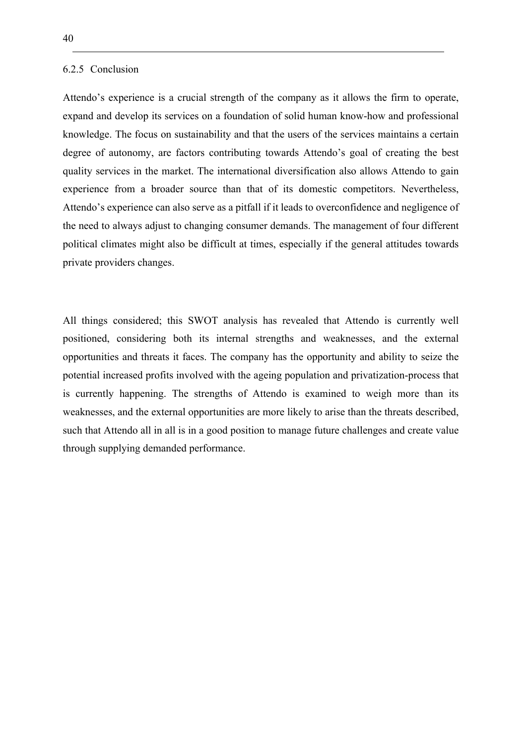#### 6.2.5 Conclusion

Attendo's experience is a crucial strength of the company as it allows the firm to operate, expand and develop its services on a foundation of solid human know-how and professional knowledge. The focus on sustainability and that the users of the services maintains a certain degree of autonomy, are factors contributing towards Attendo's goal of creating the best quality services in the market. The international diversification also allows Attendo to gain experience from a broader source than that of its domestic competitors. Nevertheless, Attendo's experience can also serve as a pitfall if it leads to overconfidence and negligence of the need to always adjust to changing consumer demands. The management of four different political climates might also be difficult at times, especially if the general attitudes towards private providers changes.

All things considered; this SWOT analysis has revealed that Attendo is currently well positioned, considering both its internal strengths and weaknesses, and the external opportunities and threats it faces. The company has the opportunity and ability to seize the potential increased profits involved with the ageing population and privatization-process that is currently happening. The strengths of Attendo is examined to weigh more than its weaknesses, and the external opportunities are more likely to arise than the threats described, such that Attendo all in all is in a good position to manage future challenges and create value through supplying demanded performance.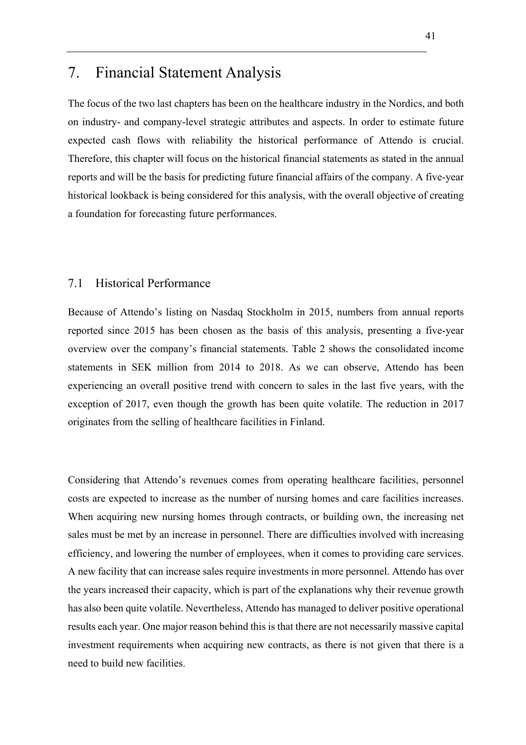# 7. Financial Statement Analysis

The focus of the two last chapters has been on the healthcare industry in the Nordics, and both on industry- and company-level strategic attributes and aspects. In order to estimate future expected cash flows with reliability the historical performance of Attendo is crucial. Therefore, this chapter will focus on the historical financial statements as stated in the annual reports and will be the basis for predicting future financial affairs of the company. A five-year historical lookback is being considered for this analysis, with the overall objective of creating a foundation for forecasting future performances.

### 7.1 Historical Performance

Because of Attendo's listing on Nasdaq Stockholm in 2015, numbers from annual reports reported since 2015 has been chosen as the basis of this analysis, presenting a five-year overview over the company's financial statements. Table 2 shows the consolidated income statements in SEK million from 2014 to 2018. As we can observe, Attendo has been experiencing an overall positive trend with concern to sales in the last five years, with the exception of 2017, even though the growth has been quite volatile. The reduction in 2017 originates from the selling of healthcare facilities in Finland.

Considering that Attendo's revenues comes from operating healthcare facilities, personnel costs are expected to increase as the number of nursing homes and care facilities increases. When acquiring new nursing homes through contracts, or building own, the increasing net sales must be met by an increase in personnel. There are difficulties involved with increasing efficiency, and lowering the number of employees, when it comes to providing care services. A new facility that can increase sales require investments in more personnel. Attendo has over the years increased their capacity, which is part of the explanations why their revenue growth has also been quite volatile. Nevertheless, Attendo has managed to deliver positive operational results each year. One major reason behind this is that there are not necessarily massive capital investment requirements when acquiring new contracts, as there is not given that there is a need to build new facilities.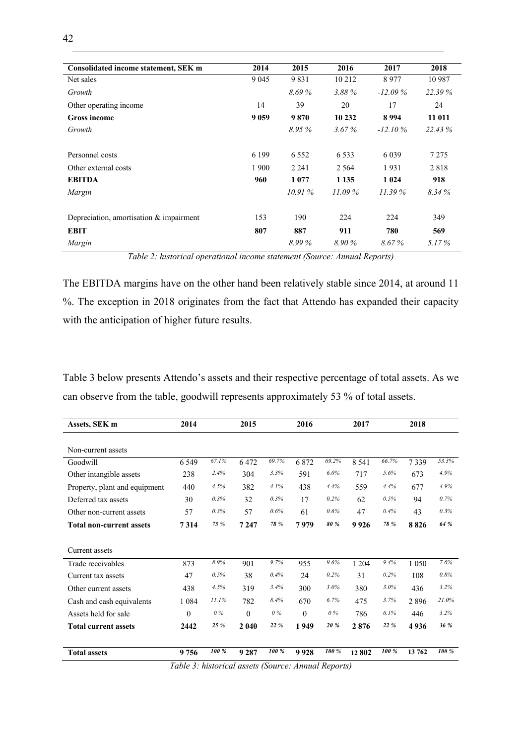| Consolidated income statement, SEK m    | 2014    | 2015     | 2016      | 2017       | 2018    |
|-----------------------------------------|---------|----------|-----------|------------|---------|
| Net sales                               | 9 0 45  | 9831     | 10 212    | 8977       | 10 987  |
| Growth                                  |         | 8.69%    | 3.88%     | $-12.09\%$ | 22.39%  |
| Other operating income                  | 14      | 39       | 20        | 17         | 24      |
| <b>Gross income</b>                     | 9 0 5 9 | 9870     | 10 232    | 8994       | 11 011  |
| Growth                                  |         | $8.95\%$ | $3.67\%$  | $-12.10\%$ | 22.43 % |
|                                         |         |          |           |            |         |
| Personnel costs                         | 6 1 9 9 | 6 5 5 2  | 6 5 3 3   | 6 0 3 9    | 7 2 7 5 |
| Other external costs                    | 1 900   | 2 2 4 1  | 2 5 6 4   | 1931       | 2818    |
| <b>EBITDA</b>                           | 960     | 1 0 7 7  | 1 1 3 5   | 1 0 24     | 918     |
| Margin                                  |         | 10.91%   | $11.09\%$ | 11.39%     | 8.34%   |
|                                         |         |          |           |            |         |
| Depreciation, amortisation & impairment | 153     | 190      | 224       | 224        | 349     |
| <b>EBIT</b>                             | 807     | 887      | 911       | 780        | 569     |
| Margin                                  |         | 8.99%    | 8.90 %    | 8.67%      | 5.17%   |

*Table 2: historical operational income statement (Source: Annual Reports)*

The EBITDA margins have on the other hand been relatively stable since 2014, at around 11 %. The exception in 2018 originates from the fact that Attendo has expanded their capacity with the anticipation of higher future results.

Table 3 below presents Attendo's assets and their respective percentage of total assets. As we can observe from the table, goodwill represents approximately 53 % of total assets.

| Assets, SEK m                   | 2014                                                |       | 2015     |       | 2016     |         | 2017    |         | 2018    |       |  |
|---------------------------------|-----------------------------------------------------|-------|----------|-------|----------|---------|---------|---------|---------|-------|--|
|                                 |                                                     |       |          |       |          |         |         |         |         |       |  |
| Non-current assets              |                                                     |       |          |       |          |         |         |         |         |       |  |
| Goodwill                        | 6 5 4 9                                             | 67.1% | 6472     | 69.7% | 6872     | 69.2%   | 8 5 4 1 | 66.7%   | 7339    | 53.3% |  |
| Other intangible assets         | 238                                                 | 2.4%  | 304      | 3.3%  | 591      | $6.0\%$ | 717     | 5.6%    | 673     | 4.9%  |  |
| Property, plant and equipment   | 440                                                 | 4.5%  | 382      | 4.1%  | 438      | 4.4%    | 559     | 4.4%    | 677     | 4.9%  |  |
| Deferred tax assets             | 30                                                  | 0.3%  | 32       | 0.3%  | 17       | 0.2%    | 62      | 0.5%    | 94      | 0.7%  |  |
| Other non-current assets        | 57                                                  | 0.3%  | 57       | 0.6%  | 61       | 0.6%    | 47      | 0.4%    | 43      | 0.3%  |  |
| <b>Total non-current assets</b> | 7314                                                | 75 %  | 7 2 4 7  | 78 %  | 7979     | 80 %    | 9926    | 78 %    | 8826    | 64 %  |  |
|                                 |                                                     |       |          |       |          |         |         |         |         |       |  |
| Current assets                  |                                                     |       |          |       |          |         |         |         |         |       |  |
| Trade receivables               | 873                                                 | 8.9%  | 901      | 9.7%  | 955      | 9.6%    | 1 2 0 4 | 9.4%    | 1 0 5 0 | 7.6%  |  |
| Current tax assets              | 47                                                  | 0.5%  | 38       | 0.4%  | 24       | 0.2%    | 31      | 0.2%    | 108     | 0.8%  |  |
| Other current assets            | 438                                                 | 4.5%  | 319      | 3.4%  | 300      | 3.0%    | 380     | $3.0\%$ | 436     | 3.2%  |  |
| Cash and cash equivalents       | 1 0 8 4                                             | 11.1% | 782      | 8.4%  | 670      | 6.7%    | 475     | 3.7%    | 2896    | 21.0% |  |
| Assets held for sale            | $\theta$                                            | $0\%$ | $\theta$ | $0\%$ | $\theta$ | $0\%$   | 786     | 6.1%    | 446     | 3.2%  |  |
| <b>Total current assets</b>     | 2442                                                | 25 %  | 2 0 4 0  | 22 %  | 1949     | 20%     | 2876    | 22 %    | 4936    | 36 %  |  |
| <b>Total assets</b>             | 9756                                                | 100 % | 9 2 8 7  | 100 % | 9928     | 100 %   | 12802   | 100 %   | 13 762  | 100 % |  |
|                                 | Table 3: historical assets (Source: Annual Reports) |       |          |       |          |         |         |         |         |       |  |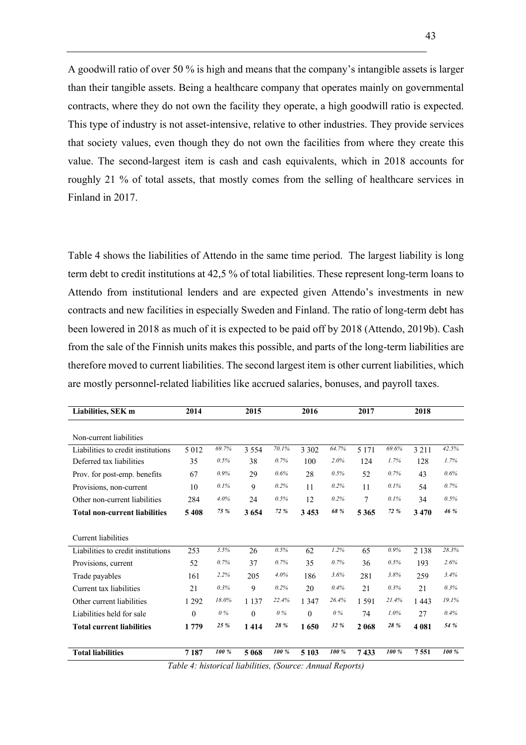A goodwill ratio of over 50 % is high and means that the company's intangible assets is larger than their tangible assets. Being a healthcare company that operates mainly on governmental contracts, where they do not own the facility they operate, a high goodwill ratio is expected. This type of industry is not asset-intensive, relative to other industries. They provide services that society values, even though they do not own the facilities from where they create this value. The second-largest item is cash and cash equivalents, which in 2018 accounts for roughly 21 % of total assets, that mostly comes from the selling of healthcare services in Finland in 2017.

Table 4 shows the liabilities of Attendo in the same time period. The largest liability is long term debt to credit institutions at 42,5 % of total liabilities. These represent long-term loans to Attendo from institutional lenders and are expected given Attendo's investments in new contracts and new facilities in especially Sweden and Finland. The ratio of long-term debt has been lowered in 2018 as much of it is expected to be paid off by 2018 (Attendo, 2019b). Cash from the sale of the Finnish units makes this possible, and parts of the long-term liabilities are therefore moved to current liabilities. The second largest item is other current liabilities, which are mostly personnel-related liabilities like accrued salaries, bonuses, and payroll taxes.

| Liabilities, SEK m                   | 2014     |       | 2015     |            | 2016           |              | 2017    |       | 2018    |       |
|--------------------------------------|----------|-------|----------|------------|----------------|--------------|---------|-------|---------|-------|
|                                      |          |       |          |            |                |              |         |       |         |       |
| Non-current liabilities              |          |       |          |            |                |              |         |       |         |       |
| Liabilities to credit institutions   | 5 0 1 2  | 69.7% | 3 5 5 4  | 70.1%      | 3 3 0 2        | 64.7%        | 5 1 7 1 | 69.6% | 3 2 1 1 | 42.5% |
| Deferred tax liabilities             | 35       | 0.5%  | 38       | 0.7%       | 100            | 2.0%         | 124     | 1.7%  | 128     | 1.7%  |
| Prov. for post-emp. benefits         | 67       | 0.9%  | 29       | 0.6%       | 28             | 0.5%         | 52      | 0.7%  | 43      | 0.6%  |
| Provisions, non-current              | 10       | 0.1%  | 9        | 0.2%       | 11             | 0.2%         | 11      | 0.1%  | 54      | 0.7%  |
| Other non-current liabilities        | 284      | 4.0%  | 24       | 0.5%       | 12             | 0.2%         | 7       | 0.1%  | 34      | 0.5%  |
| <b>Total non-current liabilities</b> | 5408     | 75 %  | 3654     | 72 %       | 3453           | 68 %         | 5365    | 72 %  | 3470    | 46 %  |
|                                      |          |       |          |            |                |              |         |       |         |       |
| Current liabilities                  |          |       |          |            |                |              |         |       |         |       |
| Liabilities to credit institutions   | 253      | 3.5%  | 26       | 0.5%       | 62             | 1.2%         | 65      | 0.9%  | 2 1 3 8 | 28.3% |
| Provisions, current                  | 52       | 0.7%  | 37       | 0.7%       | 35             | 0.7%         | 36      | 0.5%  | 193     | 2.6%  |
| Trade payables                       | 161      | 2.2%  | 205      | 4.0%       | 186            | 3.6%         | 281     | 3.8%  | 259     | 3.4%  |
| Current tax liabilities              | 21       | 0.3%  | 9        | 0.2%       | 20             | 0.4%         | 21      | 0.3%  | 21      | 0.3%  |
| Other current liabilities            | 1 2 9 2  | 18.0% | 1 1 3 7  | 22.4%      | 1 3 4 7        | 26.4%        | 1 5 9 1 | 21.4% | 1443    | 19.1% |
| Liabilities held for sale            | $\theta$ | $0\%$ | $\Omega$ | $0\%$      | $\theta$       | $0\%$        | 74      | 1.0%  | 27      | 0.4%  |
| <b>Total current liabilities</b>     | 1779     | 25 %  | 1414     | 28 %       | 1650           | 32 %         | 2 068   | 28 %  | 4 0 8 1 | 54 %  |
|                                      |          |       |          |            |                |              |         |       |         |       |
| <b>Total liabilities</b>             | 7187     | 100 % | 5 0 6 8  | 100 %      | 5 1 0 3        | 100 %        | 7433    | 100 % | 7551    | 100 % |
|                                      | 7.11111  |       |          | $\sqrt{N}$ | $\overline{ }$ | $\mathbf{r}$ | . .     |       |         |       |

*Table 4: historical liabilities, (Source: Annual Reports)*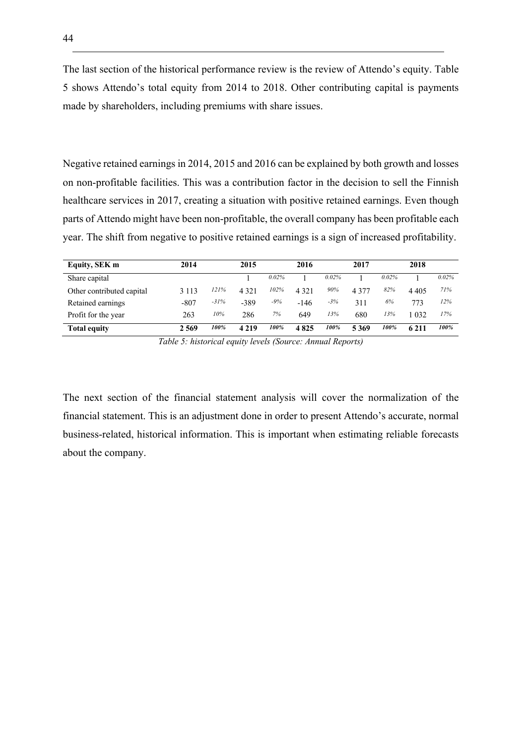The last section of the historical performance review is the review of Attendo's equity. Table 5 shows Attendo's total equity from 2014 to 2018. Other contributing capital is payments made by shareholders, including premiums with share issues.

Negative retained earnings in 2014, 2015 and 2016 can be explained by both growth and losses on non-profitable facilities. This was a contribution factor in the decision to sell the Finnish healthcare services in 2017, creating a situation with positive retained earnings. Even though parts of Attendo might have been non-profitable, the overall company has been profitable each year. The shift from negative to positive retained earnings is a sign of increased profitability.

| Equity, SEK m             | 2014    |        | 2015    |       | 2016    |          | 2017    |          | 2018    |       |
|---------------------------|---------|--------|---------|-------|---------|----------|---------|----------|---------|-------|
| Share capital             |         |        |         | 0.02% |         | $0.02\%$ |         | $0.02\%$ |         | 0.02% |
| Other contributed capital | 3 1 1 3 | 121%   | 4 3 2 1 | 102%  | 4 3 2 1 | 90%      | 4 3 7 7 | 82%      | 4 4 0 5 | 71%   |
| Retained earnings         | $-807$  | $-31%$ | $-389$  | -9%   | $-146$  | $-3%$    | 311     | 6%       | 773     | 12%   |
| Profit for the year       | 263     | 10%    | 286     | 7%    | 649     | 13%      | 680     | 13%      | 1 032   | 17%   |
| <b>Total equity</b>       | 2569    | 100%   | 4 2 1 9 | 100%  | 4825    | 100%     | 5369    | 100%     | 6 2 1 1 | 100%  |

*Table 5: historical equity levels (Source: Annual Reports)*

The next section of the financial statement analysis will cover the normalization of the financial statement. This is an adjustment done in order to present Attendo's accurate, normal business-related, historical information. This is important when estimating reliable forecasts about the company.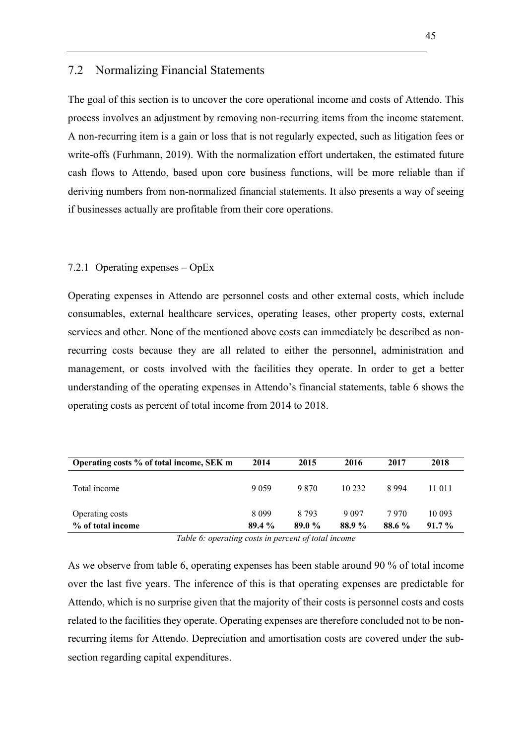### 7.2 Normalizing Financial Statements

The goal of this section is to uncover the core operational income and costs of Attendo. This process involves an adjustment by removing non-recurring items from the income statement. A non-recurring item is a gain or loss that is not regularly expected, such as litigation fees or write-offs (Furhmann, 2019). With the normalization effort undertaken, the estimated future cash flows to Attendo, based upon core business functions, will be more reliable than if deriving numbers from non-normalized financial statements. It also presents a way of seeing if businesses actually are profitable from their core operations.

#### 7.2.1 Operating expenses – OpEx

Operating expenses in Attendo are personnel costs and other external costs, which include consumables, external healthcare services, operating leases, other property costs, external services and other. None of the mentioned above costs can immediately be described as nonrecurring costs because they are all related to either the personnel, administration and management, or costs involved with the facilities they operate. In order to get a better understanding of the operating expenses in Attendo's financial statements, table 6 shows the operating costs as percent of total income from 2014 to 2018.

| Operating costs % of total income, SEK m | 2014             | 2015           | 2016             | 2017            | 2018               |
|------------------------------------------|------------------|----------------|------------------|-----------------|--------------------|
| Total income                             | 9059             | 9.870          | 10 232           | 8994            | 11 011             |
| Operating costs<br>% of total income     | 8 0 9 9<br>89.4% | 8.793<br>89.0% | 9 0 9 7<br>88.9% | 7 970<br>88.6 % | 10 093<br>$91.7\%$ |

*Table 6: operating costs in percent of total income*

As we observe from table 6, operating expenses has been stable around 90 % of total income over the last five years. The inference of this is that operating expenses are predictable for Attendo, which is no surprise given that the majority of their costs is personnel costs and costs related to the facilities they operate. Operating expenses are therefore concluded not to be nonrecurring items for Attendo. Depreciation and amortisation costs are covered under the subsection regarding capital expenditures.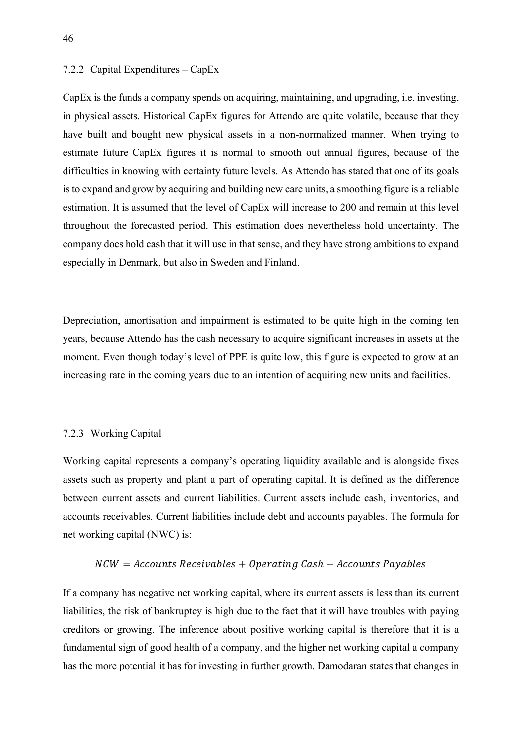#### 7.2.2 Capital Expenditures – CapEx

CapEx is the funds a company spends on acquiring, maintaining, and upgrading, i.e. investing, in physical assets. Historical CapEx figures for Attendo are quite volatile, because that they have built and bought new physical assets in a non-normalized manner. When trying to estimate future CapEx figures it is normal to smooth out annual figures, because of the difficulties in knowing with certainty future levels. As Attendo has stated that one of its goals is to expand and grow by acquiring and building new care units, a smoothing figure is a reliable estimation. It is assumed that the level of CapEx will increase to 200 and remain at this level throughout the forecasted period. This estimation does nevertheless hold uncertainty. The company does hold cash that it will use in that sense, and they have strong ambitions to expand especially in Denmark, but also in Sweden and Finland.

Depreciation, amortisation and impairment is estimated to be quite high in the coming ten years, because Attendo has the cash necessary to acquire significant increases in assets at the moment. Even though today's level of PPE is quite low, this figure is expected to grow at an increasing rate in the coming years due to an intention of acquiring new units and facilities.

#### 7.2.3 Working Capital

Working capital represents a company's operating liquidity available and is alongside fixes assets such as property and plant a part of operating capital. It is defined as the difference between current assets and current liabilities. Current assets include cash, inventories, and accounts receivables. Current liabilities include debt and accounts payables. The formula for net working capital (NWC) is:

#### $NCW = Accounts$  Receivables + Operating Cash –  $Accounts$  Payables

If a company has negative net working capital, where its current assets is less than its current liabilities, the risk of bankruptcy is high due to the fact that it will have troubles with paying creditors or growing. The inference about positive working capital is therefore that it is a fundamental sign of good health of a company, and the higher net working capital a company has the more potential it has for investing in further growth. Damodaran states that changes in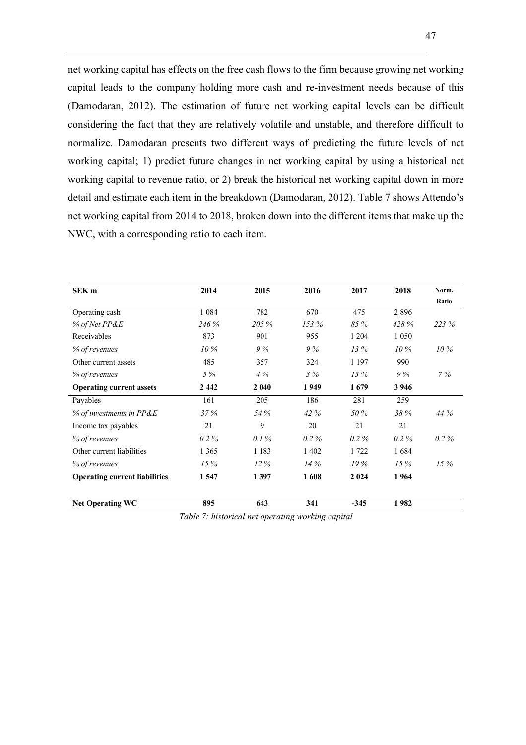net working capital has effects on the free cash flows to the firm because growing net working capital leads to the company holding more cash and re-investment needs because of this (Damodaran, 2012). The estimation of future net working capital levels can be difficult considering the fact that they are relatively volatile and unstable, and therefore difficult to normalize. Damodaran presents two different ways of predicting the future levels of net working capital; 1) predict future changes in net working capital by using a historical net working capital to revenue ratio, or 2) break the historical net working capital down in more detail and estimate each item in the breakdown (Damodaran, 2012). Table 7 shows Attendo's net working capital from 2014 to 2018, broken down into the different items that make up the NWC, with a corresponding ratio to each item.

| <b>SEK</b> m                         | 2014    | 2015    | 2016    | 2017    | 2018    | Norm.   |
|--------------------------------------|---------|---------|---------|---------|---------|---------|
|                                      |         |         |         |         |         | Ratio   |
| Operating cash                       | 1 0 8 4 | 782     | 670     | 475     | 2896    |         |
| % of Net PP&E                        | 246 %   | 205 %   | 153%    | 85 %    | 428 %   | 223 %   |
| Receivables                          | 873     | 901     | 955     | 1 2 0 4 | 1 0 5 0 |         |
| % of revenues                        | 10%     | 9%      | 9%      | 13%     | $10\%$  | $10\%$  |
| Other current assets                 | 485     | 357     | 324     | 1 1 9 7 | 990     |         |
| % of revenues                        | 5 %     | 4%      | 3%      | 13%     | 9%      | 7%      |
| <b>Operating current assets</b>      | 2442    | 2 0 4 0 | 1949    | 1679    | 3 9 4 6 |         |
| Payables                             | 161     | 205     | 186     | 281     | 259     |         |
| $%$ of investments in PP&E           | 37%     | 54 %    | 42 %    | 50 %    | 38 %    | 44 %    |
| Income tax payables                  | 21      | 9       | 20      | 21      | 21      |         |
| % of revenues                        | $0.2\%$ | 0.1%    | $0.2\%$ | $0.2\%$ | $0.2\%$ | $0.2\%$ |
| Other current liabilities            | 1 3 6 5 | 1 1 8 3 | 1 4 0 2 | 1 722   | 1684    |         |
| % of revenues                        | 15%     | $12\%$  | 14%     | 19%     | 15%     | 15%     |
| <b>Operating current liabilities</b> | 1547    | 1397    | 1608    | 2 0 2 4 | 1964    |         |
| <b>Net Operating WC</b>              | 895     | 643     | 341     | $-345$  | 1982    |         |

*Table 7: historical net operating working capital*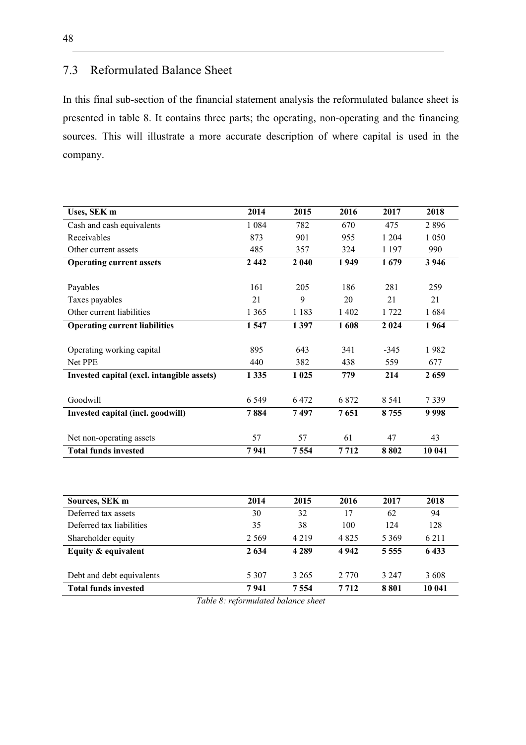## 7.3 Reformulated Balance Sheet

In this final sub-section of the financial statement analysis the reformulated balance sheet is presented in table 8. It contains three parts; the operating, non-operating and the financing sources. This will illustrate a more accurate description of where capital is used in the company.

| Uses, SEK m                                | 2014    | 2015    | 2016    | 2017    | 2018    |
|--------------------------------------------|---------|---------|---------|---------|---------|
| Cash and cash equivalents                  | 1 0 8 4 | 782     | 670     | 475     | 2896    |
| Receivables                                | 873     | 901     | 955     | 1 204   | 1 0 5 0 |
| Other current assets                       | 485     | 357     | 324     | 1 1 9 7 | 990     |
| <b>Operating current assets</b>            | 2442    | 2 0 4 0 | 1949    | 1679    | 3 9 4 6 |
|                                            |         |         |         |         |         |
| Payables                                   | 161     | 205     | 186     | 281     | 259     |
| Taxes payables                             | 21      | 9       | 20      | 21      | 21      |
| Other current liabilities                  | 1 3 6 5 | 1 1 8 3 | 1 402   | 1722    | 1684    |
| <b>Operating current liabilities</b>       | 1547    | 1397    | 1608    | 2 0 2 4 | 1964    |
|                                            |         |         |         |         |         |
| Operating working capital                  | 895     | 643     | 341     | $-345$  | 1982    |
| Net PPE                                    | 440     | 382     | 438     | 559     | 677     |
| Invested capital (excl. intangible assets) | 1335    | 1 0 25  | 779     | 214     | 2 6 5 9 |
|                                            |         |         |         |         |         |
| Goodwill                                   | 6 5 4 9 | 6472    | 6 8 7 2 | 8 5 4 1 | 7339    |
| Invested capital (incl. goodwill)          | 7884    | 7497    | 7651    | 8755    | 9998    |
|                                            |         |         |         |         |         |
| Net non-operating assets                   | 57      | 57      | 61      | 47      | 43      |
| <b>Total funds invested</b>                | 7941    | 7554    | 7 7 1 2 | 8802    | 10 041  |

| Sources, SEK m              | 2014    | 2015    | 2016    | 2017      | 2018    |
|-----------------------------|---------|---------|---------|-----------|---------|
| Deferred tax assets         | 30      | 32      | 17      | 62        | 94      |
| Deferred tax liabilities    | 35      | 38      | 100     | 124       | 128     |
| Shareholder equity          | 2.569   | 4 2 1 9 | 4 8 2 5 | 5 3 6 9   | 6 2 1 1 |
| Equity & equivalent         | 2 6 3 4 | 4 2 8 9 | 4942    | 5 5 5 5 5 | 6433    |
| Debt and debt equivalents   | 5 3 0 7 | 3 2 6 5 | 2 7 7 0 | 3 2 4 7   | 3608    |
| <b>Total funds invested</b> | 7941    | 7 5 5 4 | 7 7 1 2 | 8801      | 10 041  |

*Table 8: reformulated balance sheet*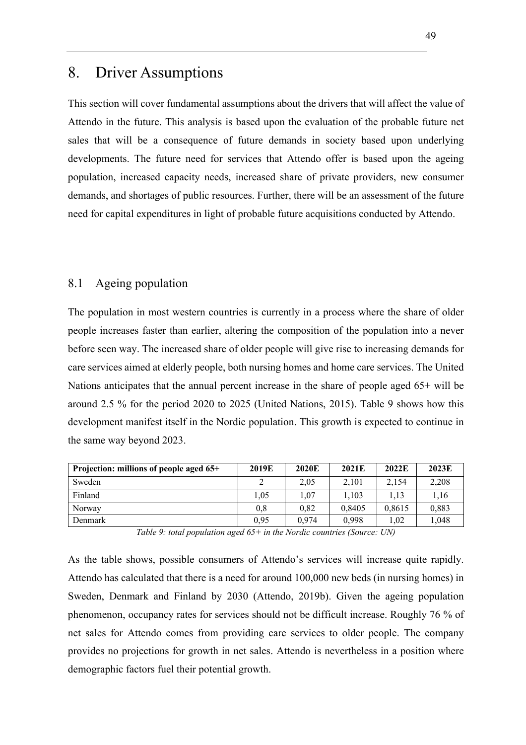## 8. Driver Assumptions

This section will cover fundamental assumptions about the drivers that will affect the value of Attendo in the future. This analysis is based upon the evaluation of the probable future net sales that will be a consequence of future demands in society based upon underlying developments. The future need for services that Attendo offer is based upon the ageing population, increased capacity needs, increased share of private providers, new consumer demands, and shortages of public resources. Further, there will be an assessment of the future need for capital expenditures in light of probable future acquisitions conducted by Attendo.

### 8.1 Ageing population

The population in most western countries is currently in a process where the share of older people increases faster than earlier, altering the composition of the population into a never before seen way. The increased share of older people will give rise to increasing demands for care services aimed at elderly people, both nursing homes and home care services. The United Nations anticipates that the annual percent increase in the share of people aged 65+ will be around 2.5 % for the period 2020 to 2025 (United Nations, 2015). Table 9 shows how this development manifest itself in the Nordic population. This growth is expected to continue in the same way beyond 2023.

| Projection: millions of people aged 65+ | 2019E | 2020E | 2021E  | 2022E  | 2023E |
|-----------------------------------------|-------|-------|--------|--------|-------|
| Sweden                                  |       | 2,05  | 2.101  | 2.154  | 2,208 |
| Finland                                 | 1.05  | 1.07  | 1,103  | 1.13   | 1.16  |
| Norway                                  | 0,8   | 0.82  | 0.8405 | 0,8615 | 0,883 |
| Denmark                                 | 0.95  | 0.974 | 0.998  | 1.02   | 1.048 |

*Table 9: total population aged 65+ in the Nordic countries (Source: UN)*

As the table shows, possible consumers of Attendo's services will increase quite rapidly. Attendo has calculated that there is a need for around 100,000 new beds (in nursing homes) in Sweden, Denmark and Finland by 2030 (Attendo, 2019b). Given the ageing population phenomenon, occupancy rates for services should not be difficult increase. Roughly 76 % of net sales for Attendo comes from providing care services to older people. The company provides no projections for growth in net sales. Attendo is nevertheless in a position where demographic factors fuel their potential growth.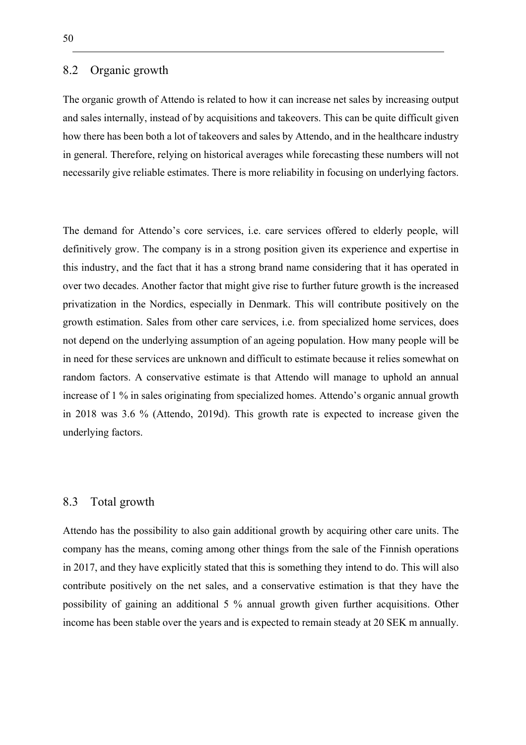### 8.2 Organic growth

The organic growth of Attendo is related to how it can increase net sales by increasing output and sales internally, instead of by acquisitions and takeovers. This can be quite difficult given how there has been both a lot of takeovers and sales by Attendo, and in the healthcare industry in general. Therefore, relying on historical averages while forecasting these numbers will not necessarily give reliable estimates. There is more reliability in focusing on underlying factors.

The demand for Attendo's core services, i.e. care services offered to elderly people, will definitively grow. The company is in a strong position given its experience and expertise in this industry, and the fact that it has a strong brand name considering that it has operated in over two decades. Another factor that might give rise to further future growth is the increased privatization in the Nordics, especially in Denmark. This will contribute positively on the growth estimation. Sales from other care services, i.e. from specialized home services, does not depend on the underlying assumption of an ageing population. How many people will be in need for these services are unknown and difficult to estimate because it relies somewhat on random factors. A conservative estimate is that Attendo will manage to uphold an annual increase of 1 % in sales originating from specialized homes. Attendo's organic annual growth in 2018 was 3.6 % (Attendo, 2019d). This growth rate is expected to increase given the underlying factors.

### 8.3 Total growth

Attendo has the possibility to also gain additional growth by acquiring other care units. The company has the means, coming among other things from the sale of the Finnish operations in 2017, and they have explicitly stated that this is something they intend to do. This will also contribute positively on the net sales, and a conservative estimation is that they have the possibility of gaining an additional 5 % annual growth given further acquisitions. Other income has been stable over the years and is expected to remain steady at 20 SEK m annually.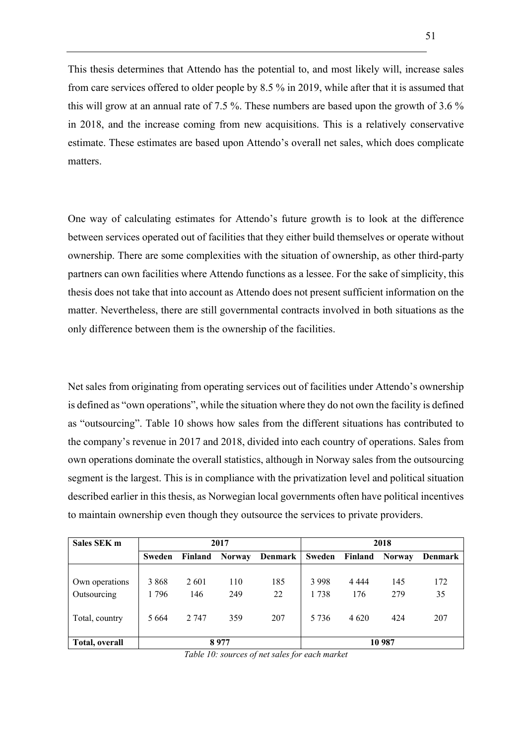This thesis determines that Attendo has the potential to, and most likely will, increase sales from care services offered to older people by 8.5 % in 2019, while after that it is assumed that this will grow at an annual rate of 7.5 %. These numbers are based upon the growth of 3.6 % in 2018, and the increase coming from new acquisitions. This is a relatively conservative estimate. These estimates are based upon Attendo's overall net sales, which does complicate matters.

One way of calculating estimates for Attendo's future growth is to look at the difference between services operated out of facilities that they either build themselves or operate without ownership. There are some complexities with the situation of ownership, as other third-party partners can own facilities where Attendo functions as a lessee. For the sake of simplicity, this thesis does not take that into account as Attendo does not present sufficient information on the matter. Nevertheless, there are still governmental contracts involved in both situations as the only difference between them is the ownership of the facilities.

Net sales from originating from operating services out of facilities under Attendo's ownership is defined as "own operations", while the situation where they do not own the facility is defined as "outsourcing". Table 10 shows how sales from the different situations has contributed to the company's revenue in 2017 and 2018, divided into each country of operations. Sales from own operations dominate the overall statistics, although in Norway sales from the outsourcing segment is the largest. This is in compliance with the privatization level and political situation described earlier in this thesis, as Norwegian local governments often have political incentives to maintain ownership even though they outsource the services to private providers.

| Sales SEK m           |               | 2017    |               |         |         | 2018    |               |                |  |
|-----------------------|---------------|---------|---------------|---------|---------|---------|---------------|----------------|--|
|                       | <b>Sweden</b> | Finland | <b>Norway</b> | Denmark | Sweden  | Finland | <b>Norway</b> | <b>Denmark</b> |  |
|                       |               |         |               |         |         |         |               |                |  |
| Own operations        | 3 8 6 8       | 2 6 0 1 | 110           | 185     | 3998    | 4 4 4 4 | 145           | 172            |  |
| Outsourcing           | 1796          | 146     | 249           | 22      | 1738    | 176     | 279           | 35             |  |
| Total, country        | 5 6 6 4       | 2 7 4 7 | 359           | 207     | 5 7 3 6 | 4 6 20  | 424           | 207            |  |
| <b>Total, overall</b> | 8977          |         |               |         | 10 987  |         |               |                |  |

*Table 10: sources of net sales for each market*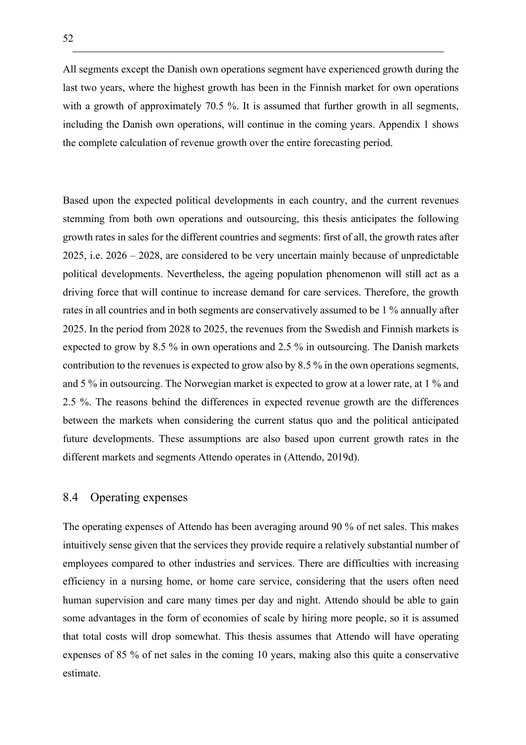All segments except the Danish own operations segment have experienced growth during the last two years, where the highest growth has been in the Finnish market for own operations with a growth of approximately 70.5 %. It is assumed that further growth in all segments, including the Danish own operations, will continue in the coming years. Appendix 1 shows the complete calculation of revenue growth over the entire forecasting period.

Based upon the expected political developments in each country, and the current revenues stemming from both own operations and outsourcing, this thesis anticipates the following growth rates in sales for the different countries and segments: first of all, the growth rates after 2025, i.e. 2026 – 2028, are considered to be very uncertain mainly because of unpredictable political developments. Nevertheless, the ageing population phenomenon will still act as a driving force that will continue to increase demand for care services. Therefore, the growth rates in all countries and in both segments are conservatively assumed to be 1 % annually after 2025. In the period from 2028 to 2025, the revenues from the Swedish and Finnish markets is expected to grow by 8.5 % in own operations and 2.5 % in outsourcing. The Danish markets contribution to the revenues is expected to grow also by 8.5 % in the own operations segments, and 5 % in outsourcing. The Norwegian market is expected to grow at a lower rate, at 1 % and 2.5 %. The reasons behind the differences in expected revenue growth are the differences between the markets when considering the current status quo and the political anticipated future developments. These assumptions are also based upon current growth rates in the different markets and segments Attendo operates in (Attendo, 2019d).

### 8.4 Operating expenses

The operating expenses of Attendo has been averaging around 90 % of net sales. This makes intuitively sense given that the services they provide require a relatively substantial number of employees compared to other industries and services. There are difficulties with increasing efficiency in a nursing home, or home care service, considering that the users often need human supervision and care many times per day and night. Attendo should be able to gain some advantages in the form of economies of scale by hiring more people, so it is assumed that total costs will drop somewhat. This thesis assumes that Attendo will have operating expenses of 85 % of net sales in the coming 10 years, making also this quite a conservative estimate.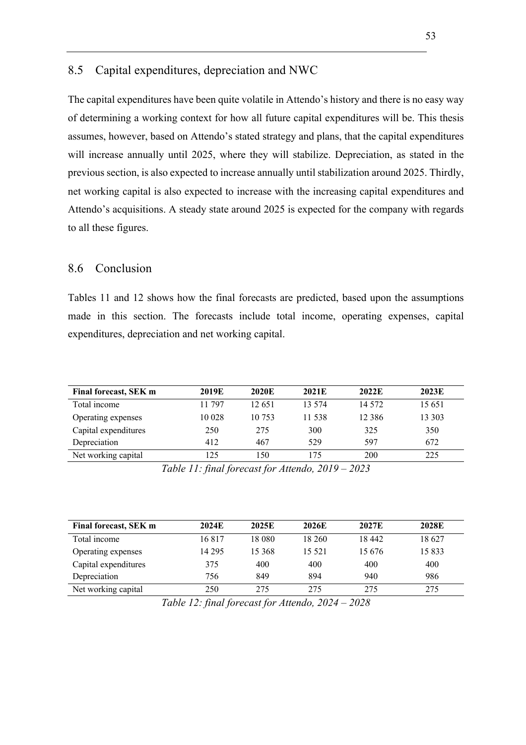## 8.5 Capital expenditures, depreciation and NWC

The capital expenditures have been quite volatile in Attendo's history and there is no easy way of determining a working context for how all future capital expenditures will be. This thesis assumes, however, based on Attendo's stated strategy and plans, that the capital expenditures will increase annually until 2025, where they will stabilize. Depreciation, as stated in the previous section, is also expected to increase annually until stabilization around 2025. Thirdly, net working capital is also expected to increase with the increasing capital expenditures and Attendo's acquisitions. A steady state around 2025 is expected for the company with regards to all these figures.

## 8.6 Conclusion

Tables 11 and 12 shows how the final forecasts are predicted, based upon the assumptions made in this section. The forecasts include total income, operating expenses, capital expenditures, depreciation and net working capital.

| Final forecast, SEK m | 2019E  | 2020E  | 2021E  | 2022E    | 2023E  |
|-----------------------|--------|--------|--------|----------|--------|
| Total income          | 11 797 | 12.651 | 13.574 | 14 572   | 15 651 |
| Operating expenses    | 10 028 | 10 753 | 11.538 | 12 3 8 6 | 13 303 |
| Capital expenditures  | 250    | 275    | 300    | 325      | 350    |
| Depreciation          | 412    | 467    | 529    | 597      | 672    |
| Net working capital   | 125    | 150    | 175    | 200      | 225    |

*Table 11: final forecast for Attendo, 2019 – 2023* 

| Final forecast, SEK m | 2024E    | 2025E  | 2026E   | 2027E  | 2028E  |
|-----------------------|----------|--------|---------|--------|--------|
| Total income          | 16817    | 18 080 | 18 260  | 18442  | 18 627 |
| Operating expenses    | 14 2 9 5 | 15 368 | 15 5 21 | 15 676 | 15 833 |
| Capital expenditures  | 375      | 400    | 400     | 400    | 400    |
| Depreciation          | 756      | 849    | 894     | 940    | 986    |
| Net working capital   | 250      | 275    | 275     | 275    | 275    |

*Table 12: final forecast for Attendo, 2024 – 2028*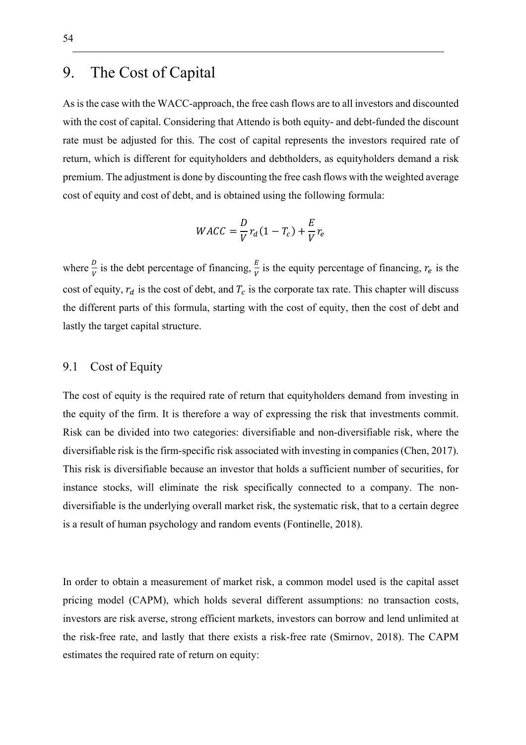# 9. The Cost of Capital

As is the case with the WACC-approach, the free cash flows are to all investors and discounted with the cost of capital. Considering that Attendo is both equity- and debt-funded the discount rate must be adjusted for this. The cost of capital represents the investors required rate of return, which is different for equityholders and debtholders, as equityholders demand a risk premium. The adjustment is done by discounting the free cash flows with the weighted average cost of equity and cost of debt, and is obtained using the following formula:

$$
WACC = \frac{D}{V}r_d(1 - T_c) + \frac{E}{V}r_e
$$

where  $\frac{D}{V}$  is the debt percentage of financing,  $\frac{E}{V}$  is the equity percentage of financing,  $r_e$  is the cost of equity,  $r_d$  is the cost of debt, and  $T_c$  is the corporate tax rate. This chapter will discuss the different parts of this formula, starting with the cost of equity, then the cost of debt and lastly the target capital structure.

## 9.1 Cost of Equity

The cost of equity is the required rate of return that equityholders demand from investing in the equity of the firm. It is therefore a way of expressing the risk that investments commit. Risk can be divided into two categories: diversifiable and non-diversifiable risk, where the diversifiable risk is the firm-specific risk associated with investing in companies (Chen, 2017). This risk is diversifiable because an investor that holds a sufficient number of securities, for instance stocks, will eliminate the risk specifically connected to a company. The nondiversifiable is the underlying overall market risk, the systematic risk, that to a certain degree is a result of human psychology and random events (Fontinelle, 2018).

In order to obtain a measurement of market risk, a common model used is the capital asset pricing model (CAPM), which holds several different assumptions: no transaction costs, investors are risk averse, strong efficient markets, investors can borrow and lend unlimited at the risk-free rate, and lastly that there exists a risk-free rate (Smirnov, 2018). The CAPM estimates the required rate of return on equity: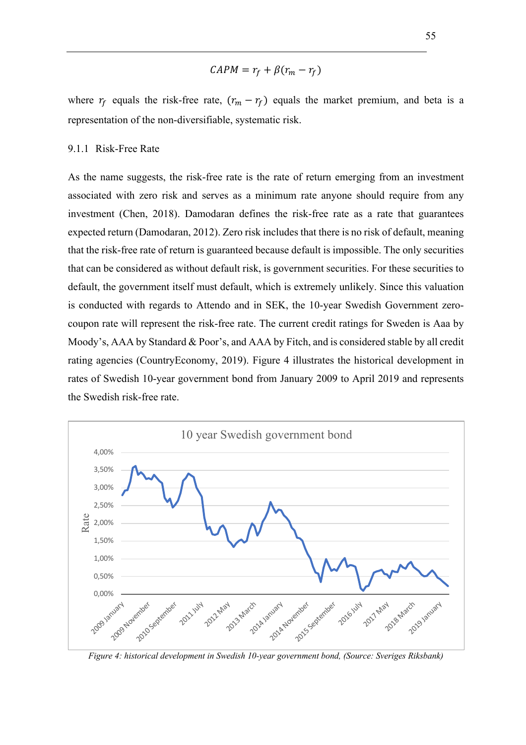$$
CAPM = r_f + \beta(r_m - r_f)
$$

where  $r_f$  equals the risk-free rate,  $(r_m - r_f)$  equals the market premium, and beta is a representation of the non-diversifiable, systematic risk.

#### 9.1.1 Risk-Free Rate

As the name suggests, the risk-free rate is the rate of return emerging from an investment associated with zero risk and serves as a minimum rate anyone should require from any investment (Chen, 2018). Damodaran defines the risk-free rate as a rate that guarantees expected return (Damodaran, 2012). Zero risk includes that there is no risk of default, meaning that the risk-free rate of return is guaranteed because default is impossible. The only securities that can be considered as without default risk, is government securities. For these securities to default, the government itself must default, which is extremely unlikely. Since this valuation is conducted with regards to Attendo and in SEK, the 10-year Swedish Government zerocoupon rate will represent the risk-free rate. The current credit ratings for Sweden is Aaa by Moody's, AAA by Standard & Poor's, and AAA by Fitch, and is considered stable by all credit rating agencies (CountryEconomy, 2019). Figure 4 illustrates the historical development in rates of Swedish 10-year government bond from January 2009 to April 2019 and represents the Swedish risk-free rate.



*Figure 4: historical development in Swedish 10-year government bond, (Source: Sveriges Riksbank)*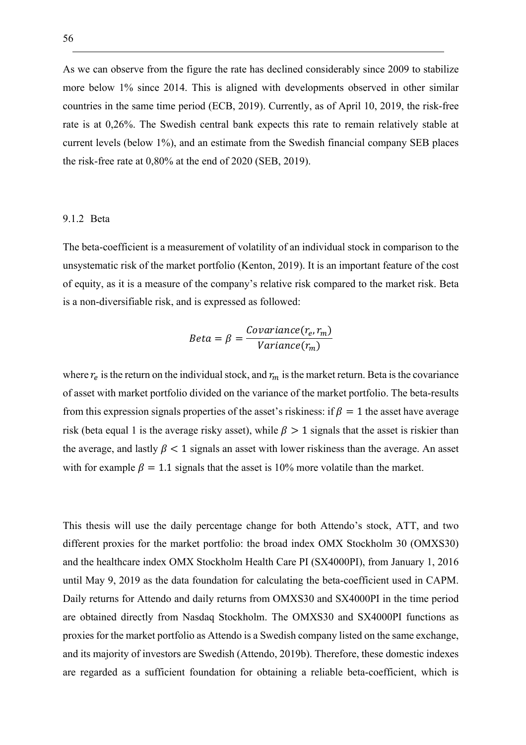As we can observe from the figure the rate has declined considerably since 2009 to stabilize more below 1% since 2014. This is aligned with developments observed in other similar countries in the same time period (ECB, 2019). Currently, as of April 10, 2019, the risk-free rate is at 0,26%. The Swedish central bank expects this rate to remain relatively stable at current levels (below 1%), and an estimate from the Swedish financial company SEB places the risk-free rate at 0,80% at the end of 2020 (SEB, 2019).

#### 9.1.2 Beta

The beta-coefficient is a measurement of volatility of an individual stock in comparison to the unsystematic risk of the market portfolio (Kenton, 2019). It is an important feature of the cost of equity, as it is a measure of the company's relative risk compared to the market risk. Beta is a non-diversifiable risk, and is expressed as followed:

$$
Beta = \beta = \frac{Covariance(r_e, r_m)}{Variance(r_m)}
$$

where  $r_e$  is the return on the individual stock, and  $r_m$  is the market return. Beta is the covariance of asset with market portfolio divided on the variance of the market portfolio. The beta-results from this expression signals properties of the asset's riskiness: if  $\beta = 1$  the asset have average risk (beta equal 1 is the average risky asset), while  $\beta > 1$  signals that the asset is riskier than the average, and lastly  $\beta$  < 1 signals an asset with lower riskiness than the average. An asset with for example  $\beta = 1.1$  signals that the asset is 10% more volatile than the market.

This thesis will use the daily percentage change for both Attendo's stock, ATT, and two different proxies for the market portfolio: the broad index OMX Stockholm 30 (OMXS30) and the healthcare index OMX Stockholm Health Care PI (SX4000PI), from January 1, 2016 until May 9, 2019 as the data foundation for calculating the beta-coefficient used in CAPM. Daily returns for Attendo and daily returns from OMXS30 and SX4000PI in the time period are obtained directly from Nasdaq Stockholm. The OMXS30 and SX4000PI functions as proxies for the market portfolio as Attendo is a Swedish company listed on the same exchange, and its majority of investors are Swedish (Attendo, 2019b). Therefore, these domestic indexes are regarded as a sufficient foundation for obtaining a reliable beta-coefficient, which is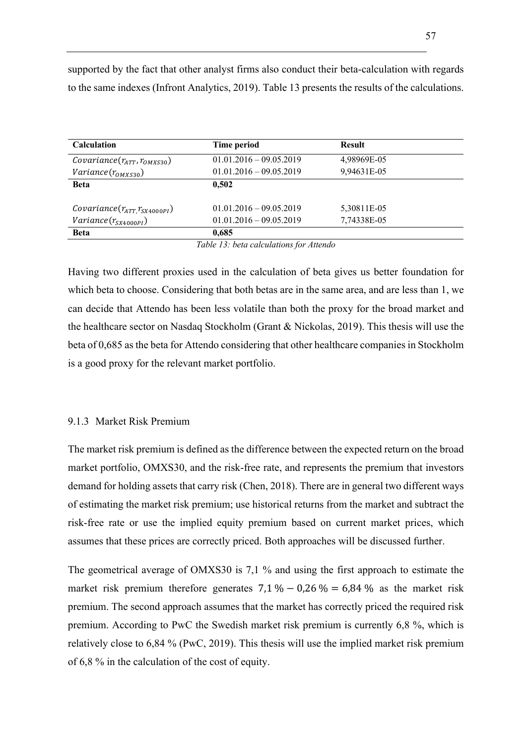| <b>Calculation</b>                                                      | Time period                                            | <b>Result</b>              |  |
|-------------------------------------------------------------------------|--------------------------------------------------------|----------------------------|--|
| Covariance $(r_{ATT}, r_{OMXS30})$                                      | $01.01.2016 - 09.05.2019$                              | 4,98969E-05                |  |
| $Variance(r_{OMXS30})$                                                  | $01.01.2016 - 09.05.2019$                              | 9,94631E-05                |  |
| <b>Beta</b>                                                             | 0.502                                                  |                            |  |
| $\mathit{Covariance}(r_{ATT,}r_{SX4000PI})$<br>$Variance(r_{SX4000PI})$ | $01.01.2016 - 09.05.2019$<br>$01.01.2016 - 09.05.2019$ | 5,30811E-05<br>7,74338E-05 |  |
| <b>Beta</b>                                                             | 0.685                                                  |                            |  |

supported by the fact that other analyst firms also conduct their beta-calculation with regards to the same indexes (Infront Analytics, 2019). Table 13 presents the results of the calculations.

*Table 13: beta calculations for Attendo*

Having two different proxies used in the calculation of beta gives us better foundation for which beta to choose. Considering that both betas are in the same area, and are less than 1, we can decide that Attendo has been less volatile than both the proxy for the broad market and the healthcare sector on Nasdaq Stockholm (Grant & Nickolas, 2019). This thesis will use the beta of 0,685 as the beta for Attendo considering that other healthcare companies in Stockholm is a good proxy for the relevant market portfolio.

## 9.1.3 Market Risk Premium

The market risk premium is defined as the difference between the expected return on the broad market portfolio, OMXS30, and the risk-free rate, and represents the premium that investors demand for holding assets that carry risk (Chen, 2018). There are in general two different ways of estimating the market risk premium; use historical returns from the market and subtract the risk-free rate or use the implied equity premium based on current market prices, which assumes that these prices are correctly priced. Both approaches will be discussed further.

The geometrical average of OMXS30 is 7,1 % and using the first approach to estimate the market risk premium therefore generates  $7.1\% - 0.26\% = 6.84\%$  as the market risk premium. The second approach assumes that the market has correctly priced the required risk premium. According to PwC the Swedish market risk premium is currently 6,8 %, which is relatively close to 6,84 % (PwC, 2019). This thesis will use the implied market risk premium of 6,8 % in the calculation of the cost of equity.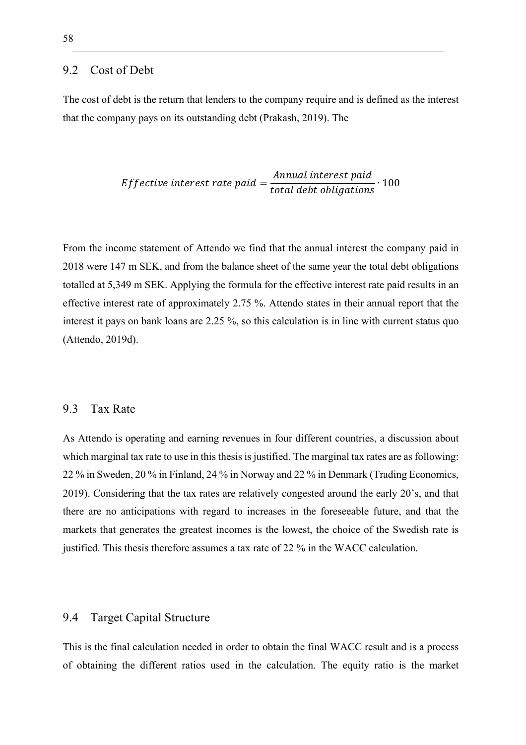#### 9.2 Cost of Debt

The cost of debt is the return that lenders to the company require and is defined as the interest that the company pays on its outstanding debt (Prakash, 2019). The

$$
Effective\ interest\ rate\ paid = \frac{Annual\ interest\ paid}{total\ debt\ obligations} \cdot 100
$$

From the income statement of Attendo we find that the annual interest the company paid in 2018 were 147 m SEK, and from the balance sheet of the same year the total debt obligations totalled at 5,349 m SEK. Applying the formula for the effective interest rate paid results in an effective interest rate of approximately 2.75 %. Attendo states in their annual report that the interest it pays on bank loans are 2.25 %, so this calculation is in line with current status quo (Attendo, 2019d).

#### 9.3 Tax Rate

As Attendo is operating and earning revenues in four different countries, a discussion about which marginal tax rate to use in this thesis is justified. The marginal tax rates are as following: 22 % in Sweden, 20 % in Finland, 24 % in Norway and 22 % in Denmark (Trading Economics, 2019). Considering that the tax rates are relatively congested around the early 20's, and that there are no anticipations with regard to increases in the foreseeable future, and that the markets that generates the greatest incomes is the lowest, the choice of the Swedish rate is justified. This thesis therefore assumes a tax rate of 22 % in the WACC calculation.

## 9.4 Target Capital Structure

This is the final calculation needed in order to obtain the final WACC result and is a process of obtaining the different ratios used in the calculation. The equity ratio is the market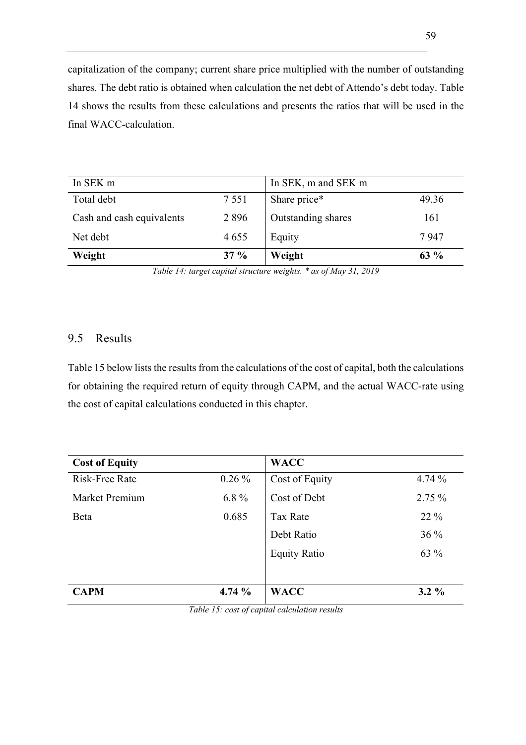capitalization of the company; current share price multiplied with the number of outstanding shares. The debt ratio is obtained when calculation the net debt of Attendo's debt today. Table 14 shows the results from these calculations and presents the ratios that will be used in the final WACC-calculation.

| In SEK m                  |         | In SEK, m and SEK m |        |
|---------------------------|---------|---------------------|--------|
| Total debt                | 7 5 5 1 | Share price*        | 49.36  |
| Cash and cash equivalents | 2896    | Outstanding shares  | 161    |
| Net debt                  | 4655    | Equity              | 7947   |
| Weight                    | $37 \%$ | Weight              | $63\%$ |

*Table 14: target capital structure weights. \* as of May 31, 2019*

## 9.5 Results

Table 15 below lists the results from the calculations of the cost of capital, both the calculations for obtaining the required return of equity through CAPM, and the actual WACC-rate using the cost of capital calculations conducted in this chapter.

| <b>Cost of Equity</b> |          | <b>WACC</b>         |          |
|-----------------------|----------|---------------------|----------|
| Risk-Free Rate        | $0.26\%$ | Cost of Equity      | 4.74%    |
| Market Premium        | $6.8\%$  | Cost of Debt        | $2.75\%$ |
| Beta                  | 0.685    | <b>Tax Rate</b>     | 22 %     |
|                       |          | Debt Ratio          | $36\%$   |
|                       |          | <b>Equity Ratio</b> | 63 %     |
|                       |          |                     |          |
| <b>CAPM</b>           | 4.74%    | <b>WACC</b>         | $3.2\%$  |

*Table 15: cost of capital calculation results*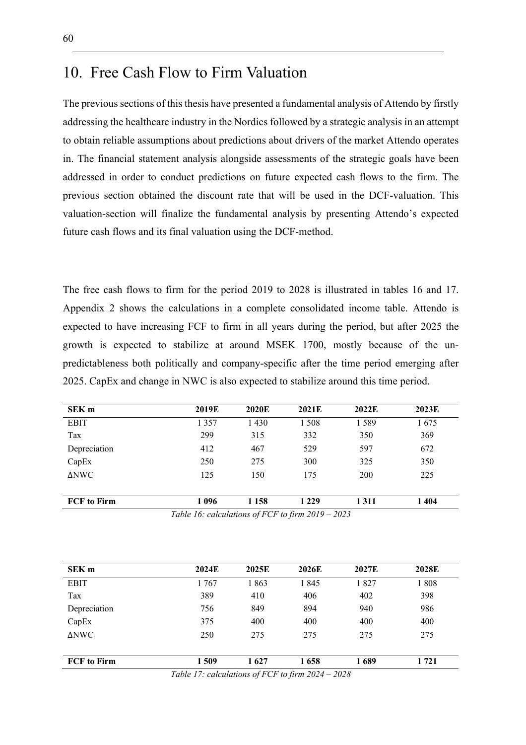## 10. Free Cash Flow to Firm Valuation

The previous sections of this thesis have presented a fundamental analysis of Attendo by firstly addressing the healthcare industry in the Nordics followed by a strategic analysis in an attempt to obtain reliable assumptions about predictions about drivers of the market Attendo operates in. The financial statement analysis alongside assessments of the strategic goals have been addressed in order to conduct predictions on future expected cash flows to the firm. The previous section obtained the discount rate that will be used in the DCF-valuation. This valuation-section will finalize the fundamental analysis by presenting Attendo's expected future cash flows and its final valuation using the DCF-method.

The free cash flows to firm for the period 2019 to 2028 is illustrated in tables 16 and 17. Appendix 2 shows the calculations in a complete consolidated income table. Attendo is expected to have increasing FCF to firm in all years during the period, but after 2025 the growth is expected to stabilize at around MSEK 1700, mostly because of the unpredictableness both politically and company-specific after the time period emerging after 2025. CapEx and change in NWC is also expected to stabilize around this time period.

| SEK <sub>m</sub>                                    | 2019E   | 2020E   | 2021E   | 2022E      | 2023E |
|-----------------------------------------------------|---------|---------|---------|------------|-------|
| EBIT                                                | 1 3 5 7 | 1 4 3 0 | 1 508   | 1589       | 1675  |
| Tax                                                 | 299     | 315     | 332     | 350        | 369   |
| Depreciation                                        | 412     | 467     | 529     | 597        | 672   |
| CapEx                                               | 250     | 275     | 300     | 325        | 350   |
| <b>ANWC</b>                                         | 125     | 150     | 175     | <b>200</b> | 225   |
| <b>FCF</b> to Firm                                  | 1 096   | 1 1 5 8 | 1 2 2 9 | 1311       | 1404  |
| Table 16: calculations of FCF to firm $2019 - 2023$ |         |         |         |            |       |

| SEK <sub>m</sub>                                     | 2024E | 2025E | 2026E | 2027E | 2028E |
|------------------------------------------------------|-------|-------|-------|-------|-------|
| <b>EBIT</b>                                          | 1767  | 1863  | 1845  | 1827  | 1808  |
| Tax                                                  | 389   | 410   | 406   | 402   | 398   |
| Depreciation                                         | 756   | 849   | 894   | 940   | 986   |
| CapEx                                                | 375   | 400   | 400   | 400   | 400   |
| ΔNWC                                                 | 250   | 275   | 275   | 275   | 275   |
| <b>FCF</b> to Firm                                   | 1 509 | 1627  | 1658  | 1689  | 1 721 |
| $Table 17: calculations of ECE to firm 2024$<br>2028 |       |       |       |       |       |

*Table 17: calculations of FCF to firm 2024 – 2028*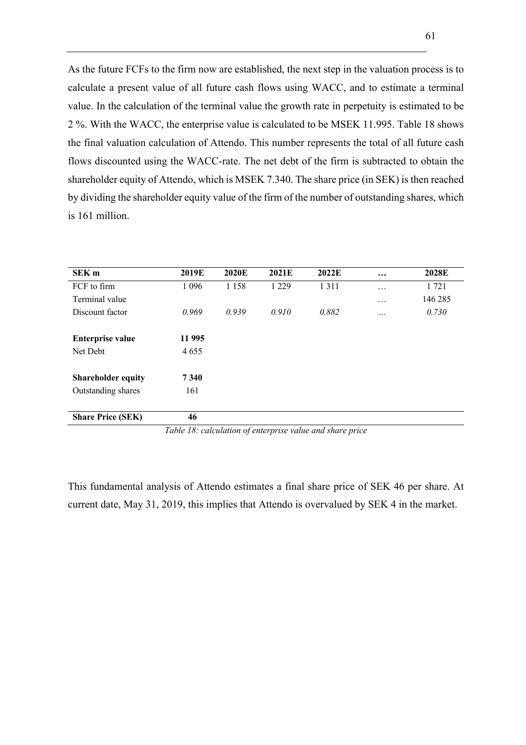As the future FCFs to the firm now are established, the next step in the valuation process is to calculate a present value of all future cash flows using WACC, and to estimate a terminal value. In the calculation of the terminal value the growth rate in perpetuity is estimated to be 2 %. With the WACC, the enterprise value is calculated to be MSEK 11.995. Table 18 shows the final valuation calculation of Attendo. This number represents the total of all future cash flows discounted using the WACC-rate. The net debt of the firm is subtracted to obtain the shareholder equity of Attendo, which is MSEK 7.340. The share price (in SEK) is then reached by dividing the shareholder equity value of the firm of the number of outstanding shares, which is 161 million.

| 2019E   | <b>2020E</b> | 2021E                          | 2022E | $\cdots$      | 2028E   |
|---------|--------------|--------------------------------|-------|---------------|---------|
| 1 0 9 6 | 1 1 5 8      | 1 2 2 9                        | 1311  | $\cdots$      | 1721    |
|         |              |                                |       | $\cdots$      | 146 285 |
| 0.969   | 0.939        | 0.910                          | 0.882 |               | 0.730   |
|         |              |                                |       |               |         |
| 11 995  |              |                                |       |               |         |
| 4655    |              |                                |       |               |         |
|         |              |                                |       |               |         |
| 7340    |              |                                |       |               |         |
| 161     |              |                                |       |               |         |
|         |              |                                |       |               |         |
| 46      |              |                                |       |               |         |
|         | __ _ _ _     | $\sim$<br>$\sim$ $\sim$ $\sim$ |       | $\sim$<br>. . |         |

*Table 18: calculation of enterprise value and share price*

This fundamental analysis of Attendo estimates a final share price of SEK 46 per share. At current date, May 31, 2019, this implies that Attendo is overvalued by SEK 4 in the market.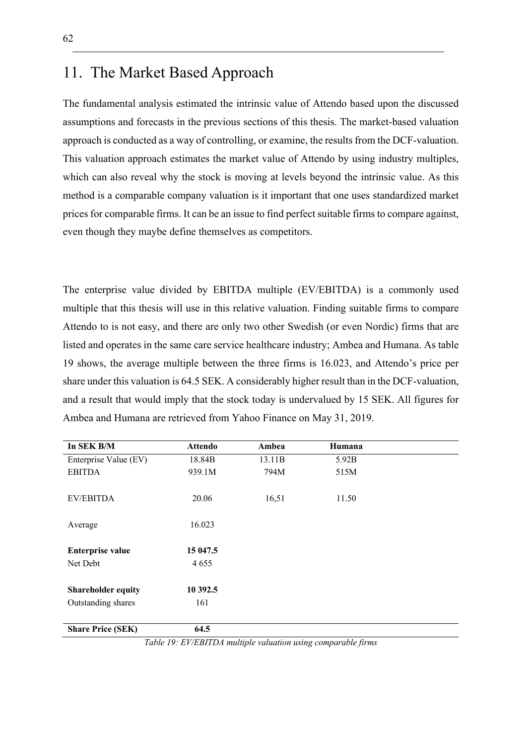## 11. The Market Based Approach

The fundamental analysis estimated the intrinsic value of Attendo based upon the discussed assumptions and forecasts in the previous sections of this thesis. The market-based valuation approach is conducted as a way of controlling, or examine, the results from the DCF-valuation. This valuation approach estimates the market value of Attendo by using industry multiples, which can also reveal why the stock is moving at levels beyond the intrinsic value. As this method is a comparable company valuation is it important that one uses standardized market prices for comparable firms. It can be an issue to find perfect suitable firms to compare against, even though they maybe define themselves as competitors.

The enterprise value divided by EBITDA multiple (EV/EBITDA) is a commonly used multiple that this thesis will use in this relative valuation. Finding suitable firms to compare Attendo to is not easy, and there are only two other Swedish (or even Nordic) firms that are listed and operates in the same care service healthcare industry; Ambea and Humana. As table 19 shows, the average multiple between the three firms is 16.023, and Attendo's price per share under this valuation is 64.5 SEK. A considerably higher result than in the DCF-valuation, and a result that would imply that the stock today is undervalued by 15 SEK. All figures for Ambea and Humana are retrieved from Yahoo Finance on May 31, 2019.

| In SEK B/M                | <b>Attendo</b> | Ambea  | Humana |  |
|---------------------------|----------------|--------|--------|--|
| Enterprise Value (EV)     | 18.84B         | 13.11B | 5.92B  |  |
| <b>EBITDA</b>             | 939.1M         | 794M   | 515M   |  |
| EV/EBITDA                 | 20.06          | 16,51  | 11.50  |  |
|                           |                |        |        |  |
| Average                   | 16.023         |        |        |  |
|                           |                |        |        |  |
| <b>Enterprise value</b>   | 15 047.5       |        |        |  |
| Net Debt                  | 4655           |        |        |  |
|                           |                |        |        |  |
| <b>Shareholder equity</b> | 10 392.5       |        |        |  |
| Outstanding shares        | 161            |        |        |  |
|                           | 64.5           |        |        |  |
| <b>Share Price (SEK)</b>  |                |        |        |  |

*Table 19: EV/EBITDA multiple valuation using comparable firms*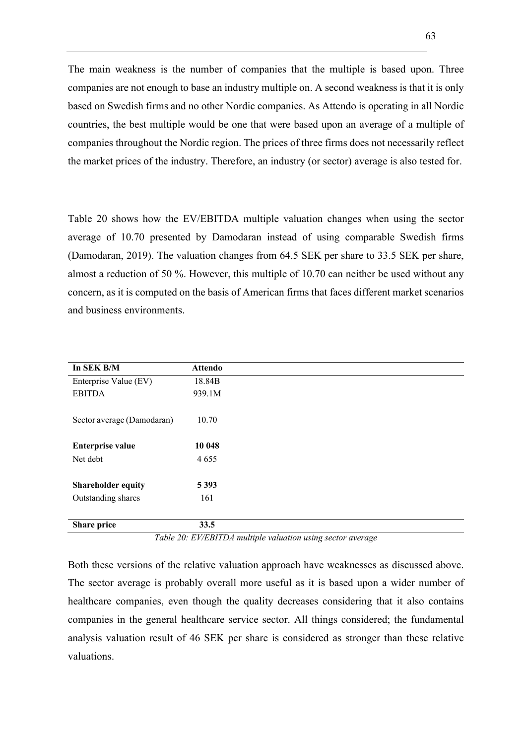The main weakness is the number of companies that the multiple is based upon. Three companies are not enough to base an industry multiple on. A second weakness is that it is only based on Swedish firms and no other Nordic companies. As Attendo is operating in all Nordic countries, the best multiple would be one that were based upon an average of a multiple of companies throughout the Nordic region. The prices of three firms does not necessarily reflect the market prices of the industry. Therefore, an industry (or sector) average is also tested for.

Table 20 shows how the EV/EBITDA multiple valuation changes when using the sector average of 10.70 presented by Damodaran instead of using comparable Swedish firms (Damodaran, 2019). The valuation changes from 64.5 SEK per share to 33.5 SEK per share, almost a reduction of 50 %. However, this multiple of 10.70 can neither be used without any concern, as it is computed on the basis of American firms that faces different market scenarios and business environments.

| <b>Attendo</b> |
|----------------|
| 18.84B         |
| 939.1M         |
| 10.70          |
| 10 048         |
| 4655           |
| 5 3 9 3        |
| 161            |
| 33.5           |
|                |

*Table 20: EV/EBITDA multiple valuation using sector average*

Both these versions of the relative valuation approach have weaknesses as discussed above. The sector average is probably overall more useful as it is based upon a wider number of healthcare companies, even though the quality decreases considering that it also contains companies in the general healthcare service sector. All things considered; the fundamental analysis valuation result of 46 SEK per share is considered as stronger than these relative valuations.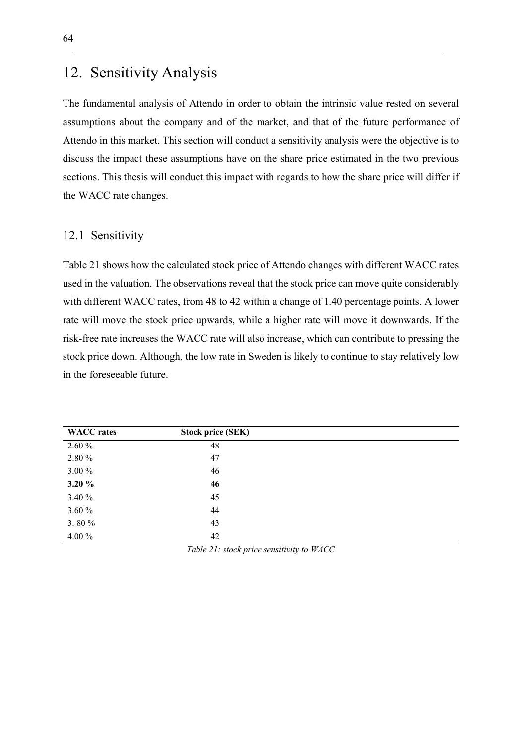## 12. Sensitivity Analysis

The fundamental analysis of Attendo in order to obtain the intrinsic value rested on several assumptions about the company and of the market, and that of the future performance of Attendo in this market. This section will conduct a sensitivity analysis were the objective is to discuss the impact these assumptions have on the share price estimated in the two previous sections. This thesis will conduct this impact with regards to how the share price will differ if the WACC rate changes.

## 12.1 Sensitivity

Table 21 shows how the calculated stock price of Attendo changes with different WACC rates used in the valuation. The observations reveal that the stock price can move quite considerably with different WACC rates, from 48 to 42 within a change of 1.40 percentage points. A lower rate will move the stock price upwards, while a higher rate will move it downwards. If the risk-free rate increases the WACC rate will also increase, which can contribute to pressing the stock price down. Although, the low rate in Sweden is likely to continue to stay relatively low in the foreseeable future.

| <b>WACC</b> rates | <b>Stock price (SEK)</b> |  |
|-------------------|--------------------------|--|
| $2.60\%$          | 48                       |  |
| 2.80 %            | 47                       |  |
| 3.00 %            | 46                       |  |
| $3.20 \%$         | 46                       |  |
| 3.40 %            | 45                       |  |
| 3.60 %            | 44                       |  |
| 3.80 $%$          | 43                       |  |
| 4.00 %            | 42                       |  |

*Table 21: stock price sensitivity to WACC*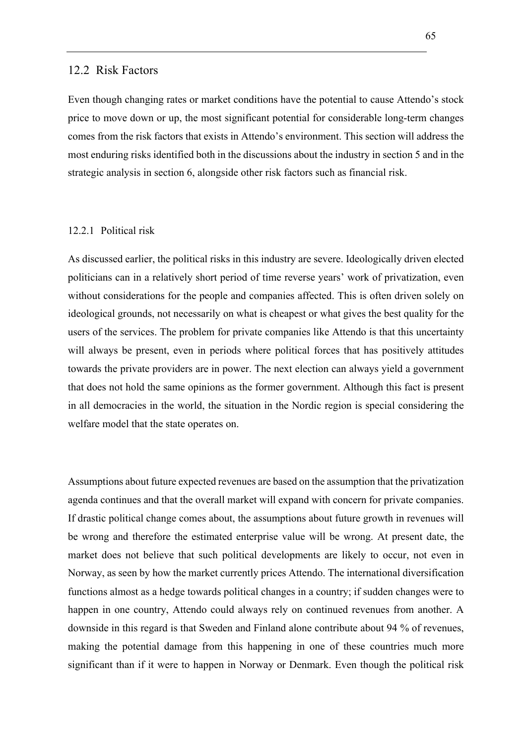### 12.2 Risk Factors

Even though changing rates or market conditions have the potential to cause Attendo's stock price to move down or up, the most significant potential for considerable long-term changes comes from the risk factors that exists in Attendo's environment. This section will address the most enduring risks identified both in the discussions about the industry in section 5 and in the strategic analysis in section 6, alongside other risk factors such as financial risk.

#### 12.2.1 Political risk

As discussed earlier, the political risks in this industry are severe. Ideologically driven elected politicians can in a relatively short period of time reverse years' work of privatization, even without considerations for the people and companies affected. This is often driven solely on ideological grounds, not necessarily on what is cheapest or what gives the best quality for the users of the services. The problem for private companies like Attendo is that this uncertainty will always be present, even in periods where political forces that has positively attitudes towards the private providers are in power. The next election can always yield a government that does not hold the same opinions as the former government. Although this fact is present in all democracies in the world, the situation in the Nordic region is special considering the welfare model that the state operates on.

Assumptions about future expected revenues are based on the assumption that the privatization agenda continues and that the overall market will expand with concern for private companies. If drastic political change comes about, the assumptions about future growth in revenues will be wrong and therefore the estimated enterprise value will be wrong. At present date, the market does not believe that such political developments are likely to occur, not even in Norway, as seen by how the market currently prices Attendo. The international diversification functions almost as a hedge towards political changes in a country; if sudden changes were to happen in one country, Attendo could always rely on continued revenues from another. A downside in this regard is that Sweden and Finland alone contribute about 94 % of revenues, making the potential damage from this happening in one of these countries much more significant than if it were to happen in Norway or Denmark. Even though the political risk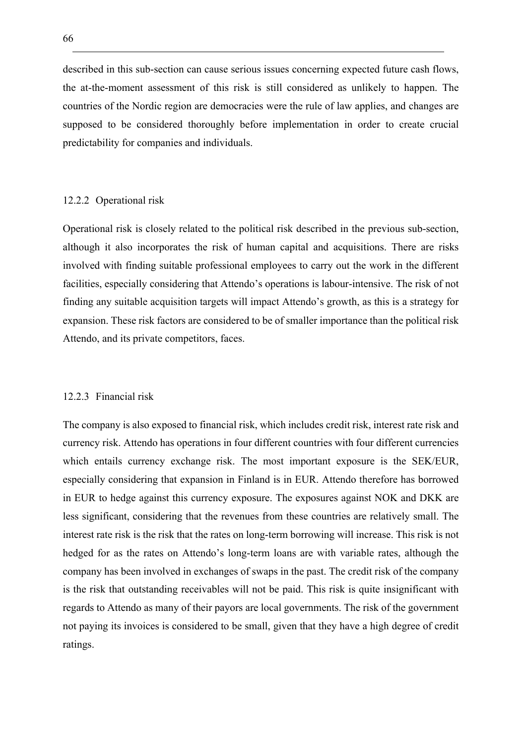described in this sub-section can cause serious issues concerning expected future cash flows, the at-the-moment assessment of this risk is still considered as unlikely to happen. The countries of the Nordic region are democracies were the rule of law applies, and changes are supposed to be considered thoroughly before implementation in order to create crucial predictability for companies and individuals.

#### 12.2.2 Operational risk

Operational risk is closely related to the political risk described in the previous sub-section, although it also incorporates the risk of human capital and acquisitions. There are risks involved with finding suitable professional employees to carry out the work in the different facilities, especially considering that Attendo's operations is labour-intensive. The risk of not finding any suitable acquisition targets will impact Attendo's growth, as this is a strategy for expansion. These risk factors are considered to be of smaller importance than the political risk Attendo, and its private competitors, faces.

#### 12.2.3 Financial risk

The company is also exposed to financial risk, which includes credit risk, interest rate risk and currency risk. Attendo has operations in four different countries with four different currencies which entails currency exchange risk. The most important exposure is the SEK/EUR, especially considering that expansion in Finland is in EUR. Attendo therefore has borrowed in EUR to hedge against this currency exposure. The exposures against NOK and DKK are less significant, considering that the revenues from these countries are relatively small. The interest rate risk is the risk that the rates on long-term borrowing will increase. This risk is not hedged for as the rates on Attendo's long-term loans are with variable rates, although the company has been involved in exchanges of swaps in the past. The credit risk of the company is the risk that outstanding receivables will not be paid. This risk is quite insignificant with regards to Attendo as many of their payors are local governments. The risk of the government not paying its invoices is considered to be small, given that they have a high degree of credit ratings.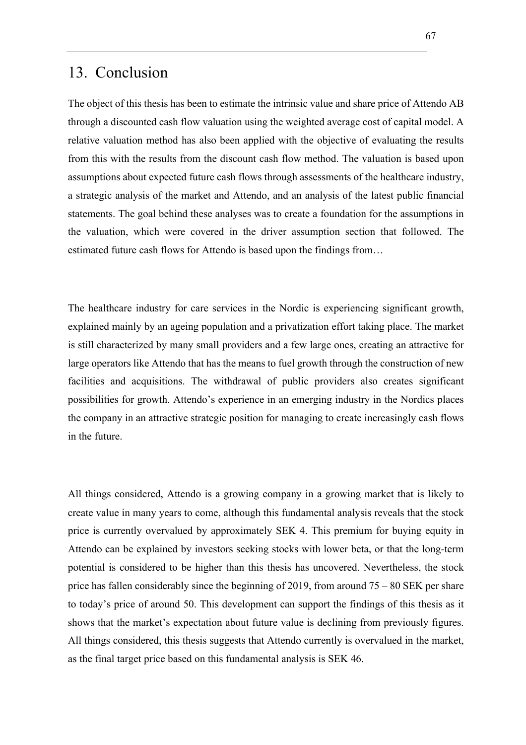## 13. Conclusion

The object of this thesis has been to estimate the intrinsic value and share price of Attendo AB through a discounted cash flow valuation using the weighted average cost of capital model. A relative valuation method has also been applied with the objective of evaluating the results from this with the results from the discount cash flow method. The valuation is based upon assumptions about expected future cash flows through assessments of the healthcare industry, a strategic analysis of the market and Attendo, and an analysis of the latest public financial statements. The goal behind these analyses was to create a foundation for the assumptions in the valuation, which were covered in the driver assumption section that followed. The estimated future cash flows for Attendo is based upon the findings from…

The healthcare industry for care services in the Nordic is experiencing significant growth, explained mainly by an ageing population and a privatization effort taking place. The market is still characterized by many small providers and a few large ones, creating an attractive for large operators like Attendo that has the means to fuel growth through the construction of new facilities and acquisitions. The withdrawal of public providers also creates significant possibilities for growth. Attendo's experience in an emerging industry in the Nordics places the company in an attractive strategic position for managing to create increasingly cash flows in the future.

All things considered, Attendo is a growing company in a growing market that is likely to create value in many years to come, although this fundamental analysis reveals that the stock price is currently overvalued by approximately SEK 4. This premium for buying equity in Attendo can be explained by investors seeking stocks with lower beta, or that the long-term potential is considered to be higher than this thesis has uncovered. Nevertheless, the stock price has fallen considerably since the beginning of 2019, from around 75 – 80 SEK per share to today's price of around 50. This development can support the findings of this thesis as it shows that the market's expectation about future value is declining from previously figures. All things considered, this thesis suggests that Attendo currently is overvalued in the market, as the final target price based on this fundamental analysis is SEK 46.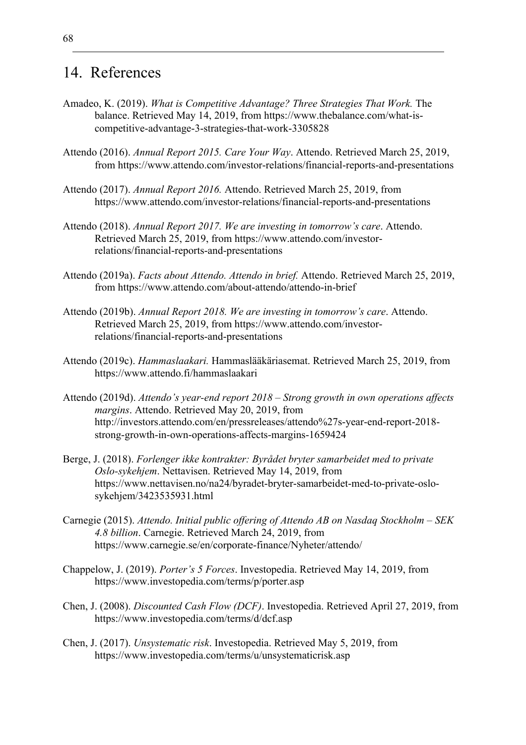# 14. References

- Amadeo, K. (2019). *What is Competitive Advantage? Three Strategies That Work.* The balance. Retrieved May 14, 2019, from https://www.thebalance.com/what-iscompetitive-advantage-3-strategies-that-work-3305828
- Attendo (2016). *Annual Report 2015. Care Your Way*. Attendo. Retrieved March 25, 2019, from https://www.attendo.com/investor-relations/financial-reports-and-presentations
- Attendo (2017). *Annual Report 2016.* Attendo. Retrieved March 25, 2019, from https://www.attendo.com/investor-relations/financial-reports-and-presentations
- Attendo (2018). *Annual Report 2017. We are investing in tomorrow's care*. Attendo. Retrieved March 25, 2019, from https://www.attendo.com/investorrelations/financial-reports-and-presentations
- Attendo (2019a). *Facts about Attendo. Attendo in brief.* Attendo. Retrieved March 25, 2019, from https://www.attendo.com/about-attendo/attendo-in-brief
- Attendo (2019b). *Annual Report 2018. We are investing in tomorrow's care*. Attendo. Retrieved March 25, 2019, from https://www.attendo.com/investorrelations/financial-reports-and-presentations
- Attendo (2019c). *Hammaslaakari.* Hammaslääkäriasemat. Retrieved March 25, 2019, from https://www.attendo.fi/hammaslaakari
- Attendo (2019d). *Attendo's year-end report 2018 – Strong growth in own operations affects margins*. Attendo. Retrieved May 20, 2019, from http://investors.attendo.com/en/pressreleases/attendo%27s-year-end-report-2018 strong-growth-in-own-operations-affects-margins-1659424
- Berge, J. (2018). *Forlenger ikke kontrakter: Byrådet bryter samarbeidet med to private Oslo-sykehjem*. Nettavisen. Retrieved May 14, 2019, from https://www.nettavisen.no/na24/byradet-bryter-samarbeidet-med-to-private-oslosykehjem/3423535931.html
- Carnegie (2015). *Attendo. Initial public offering of Attendo AB on Nasdaq Stockholm – SEK 4.8 billion*. Carnegie. Retrieved March 24, 2019, from https://www.carnegie.se/en/corporate-finance/Nyheter/attendo/
- Chappelow, J. (2019). *Porter's 5 Forces*. Investopedia. Retrieved May 14, 2019, from https://www.investopedia.com/terms/p/porter.asp
- Chen, J. (2008). *Discounted Cash Flow (DCF)*. Investopedia. Retrieved April 27, 2019, from https://www.investopedia.com/terms/d/dcf.asp
- Chen, J. (2017). *Unsystematic risk*. Investopedia. Retrieved May 5, 2019, from https://www.investopedia.com/terms/u/unsystematicrisk.asp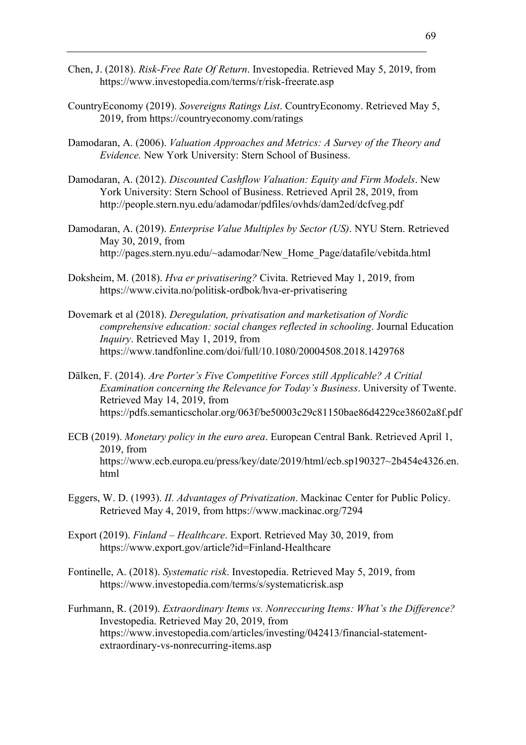- Chen, J. (2018). *Risk-Free Rate Of Return*. Investopedia. Retrieved May 5, 2019, from https://www.investopedia.com/terms/r/risk-freerate.asp
- CountryEconomy (2019). *Sovereigns Ratings List*. CountryEconomy. Retrieved May 5, 2019, from https://countryeconomy.com/ratings
- Damodaran, A. (2006). *Valuation Approaches and Metrics: A Survey of the Theory and Evidence.* New York University: Stern School of Business.
- Damodaran, A. (2012). *Discounted Cashflow Valuation: Equity and Firm Models*. New York University: Stern School of Business. Retrieved April 28, 2019, from http://people.stern.nyu.edu/adamodar/pdfiles/ovhds/dam2ed/dcfveg.pdf
- Damodaran, A. (2019). *Enterprise Value Multiples by Sector (US)*. NYU Stern. Retrieved May 30, 2019, from http://pages.stern.nyu.edu/~adamodar/New\_Home\_Page/datafile/vebitda.html
- Doksheim, M. (2018). *Hva er privatisering?* Civita. Retrieved May 1, 2019, from https://www.civita.no/politisk-ordbok/hva-er-privatisering
- Dovemark et al (2018). *Deregulation, privatisation and marketisation of Nordic comprehensive education: social changes reflected in schooling*. Journal Education *Inquiry*. Retrieved May 1, 2019, from https://www.tandfonline.com/doi/full/10.1080/20004508.2018.1429768
- Dälken, F. (2014). *Are Porter's Five Competitive Forces still Applicable? A Critial Examination concerning the Relevance for Today's Business*. University of Twente. Retrieved May 14, 2019, from https://pdfs.semanticscholar.org/063f/be50003c29c81150bae86d4229ce38602a8f.pdf
- ECB (2019). *Monetary policy in the euro area*. European Central Bank. Retrieved April 1, 2019, from https://www.ecb.europa.eu/press/key/date/2019/html/ecb.sp190327~2b454e4326.en. html
- Eggers, W. D. (1993). *II. Advantages of Privatization*. Mackinac Center for Public Policy. Retrieved May 4, 2019, from https://www.mackinac.org/7294
- Export (2019). *Finland – Healthcare*. Export. Retrieved May 30, 2019, from https://www.export.gov/article?id=Finland-Healthcare
- Fontinelle, A. (2018). *Systematic risk*. Investopedia. Retrieved May 5, 2019, from https://www.investopedia.com/terms/s/systematicrisk.asp
- Furhmann, R. (2019). *Extraordinary Items vs. Nonreccuring Items: What's the Difference?* Investopedia. Retrieved May 20, 2019, from https://www.investopedia.com/articles/investing/042413/financial-statementextraordinary-vs-nonrecurring-items.asp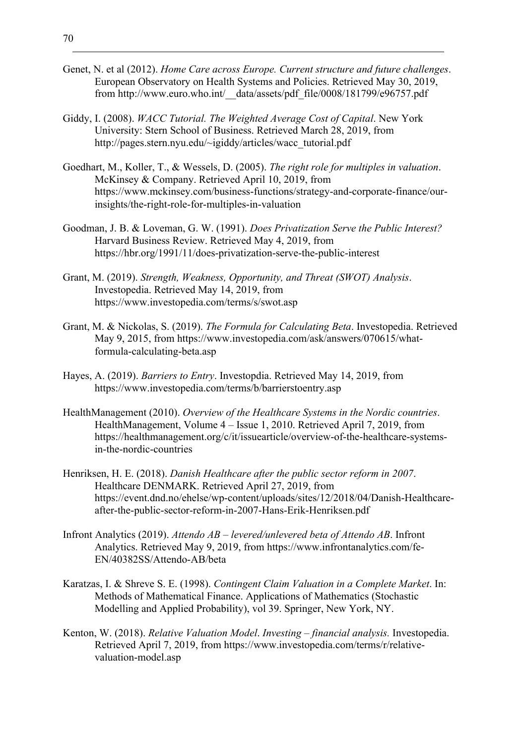- Genet, N. et al (2012). *Home Care across Europe. Current structure and future challenges*. European Observatory on Health Systems and Policies. Retrieved May 30, 2019, from http://www.euro.who.int/\_data/assets/pdf\_file/0008/181799/e96757.pdf
- Giddy, I. (2008). *WACC Tutorial. The Weighted Average Cost of Capital*. New York University: Stern School of Business. Retrieved March 28, 2019, from http://pages.stern.nyu.edu/~igiddy/articles/wacc\_tutorial.pdf
- Goedhart, M., Koller, T., & Wessels, D. (2005). *The right role for multiples in valuation*. McKinsey & Company. Retrieved April 10, 2019, from https://www.mckinsey.com/business-functions/strategy-and-corporate-finance/ourinsights/the-right-role-for-multiples-in-valuation
- Goodman, J. B. & Loveman, G. W. (1991). *Does Privatization Serve the Public Interest?* Harvard Business Review. Retrieved May 4, 2019, from https://hbr.org/1991/11/does-privatization-serve-the-public-interest
- Grant, M. (2019). *Strength, Weakness, Opportunity, and Threat (SWOT) Analysis*. Investopedia. Retrieved May 14, 2019, from https://www.investopedia.com/terms/s/swot.asp
- Grant, M. & Nickolas, S. (2019). *The Formula for Calculating Beta*. Investopedia. Retrieved May 9, 2015, from https://www.investopedia.com/ask/answers/070615/whatformula-calculating-beta.asp
- Hayes, A. (2019). *Barriers to Entry*. Investopdia. Retrieved May 14, 2019, from https://www.investopedia.com/terms/b/barrierstoentry.asp
- HealthManagement (2010). *Overview of the Healthcare Systems in the Nordic countries*. HealthManagement, Volume 4 – Issue 1, 2010. Retrieved April 7, 2019, from https://healthmanagement.org/c/it/issuearticle/overview-of-the-healthcare-systemsin-the-nordic-countries
- Henriksen, H. E. (2018). *Danish Healthcare after the public sector reform in 2007*. Healthcare DENMARK. Retrieved April 27, 2019, from https://event.dnd.no/ehelse/wp-content/uploads/sites/12/2018/04/Danish-Healthcareafter-the-public-sector-reform-in-2007-Hans-Erik-Henriksen.pdf
- Infront Analytics (2019). *Attendo AB – levered/unlevered beta of Attendo AB*. Infront Analytics. Retrieved May 9, 2019, from https://www.infrontanalytics.com/fe-EN/40382SS/Attendo-AB/beta
- Karatzas, I. & Shreve S. E. (1998). *Contingent Claim Valuation in a Complete Market*. In: Methods of Mathematical Finance. Applications of Mathematics (Stochastic Modelling and Applied Probability), vol 39. Springer, New York, NY.
- Kenton, W. (2018). *Relative Valuation Model*. *Investing – financial analysis.* Investopedia. Retrieved April 7, 2019, from https://www.investopedia.com/terms/r/relativevaluation-model.asp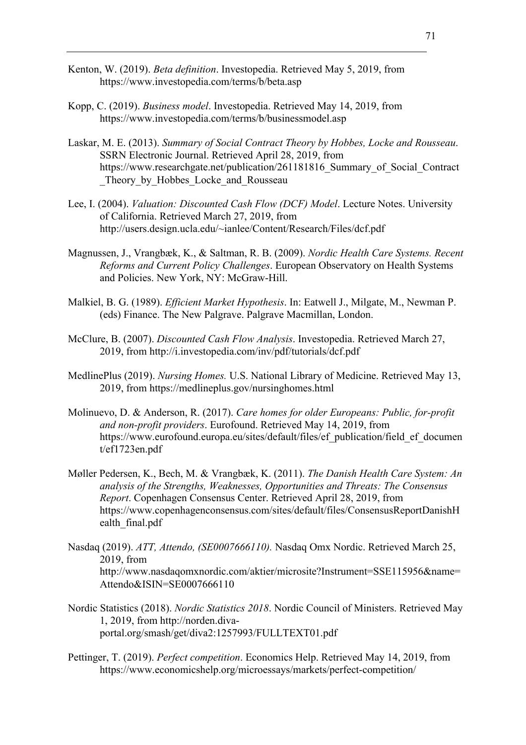- Kenton, W. (2019). *Beta definition*. Investopedia. Retrieved May 5, 2019, from https://www.investopedia.com/terms/b/beta.asp
- Kopp, C. (2019). *Business model*. Investopedia. Retrieved May 14, 2019, from https://www.investopedia.com/terms/b/businessmodel.asp
- Laskar, M. E. (2013). *Summary of Social Contract Theory by Hobbes, Locke and Rousseau*. SSRN Electronic Journal. Retrieved April 28, 2019, from https://www.researchgate.net/publication/261181816 Summary of Social Contract Theory by Hobbes Locke and Rousseau
- Lee, I. (2004). *Valuation: Discounted Cash Flow (DCF) Model*. Lecture Notes. University of California. Retrieved March 27, 2019, from http://users.design.ucla.edu/~ianlee/Content/Research/Files/dcf.pdf
- Magnussen, J., Vrangbæk, K., & Saltman, R. B. (2009). *Nordic Health Care Systems. Recent Reforms and Current Policy Challenges*. European Observatory on Health Systems and Policies. New York, NY: McGraw-Hill.
- Malkiel, B. G. (1989). *Efficient Market Hypothesis*. In: Eatwell J., Milgate, M., Newman P. (eds) Finance. The New Palgrave. Palgrave Macmillan, London.
- McClure, B. (2007). *Discounted Cash Flow Analysis*. Investopedia. Retrieved March 27, 2019, from http://i.investopedia.com/inv/pdf/tutorials/dcf.pdf
- MedlinePlus (2019). *Nursing Homes.* U.S. National Library of Medicine. Retrieved May 13, 2019, from https://medlineplus.gov/nursinghomes.html
- Molinuevo, D. & Anderson, R. (2017). *Care homes for older Europeans: Public, for-profit and non-profit providers*. Eurofound. Retrieved May 14, 2019, from https://www.eurofound.europa.eu/sites/default/files/ef\_publication/field\_ef\_documen t/ef1723en.pdf
- Møller Pedersen, K., Bech, M. & Vrangbæk, K. (2011). *The Danish Health Care System: An analysis of the Strengths, Weaknesses, Opportunities and Threats: The Consensus Report*. Copenhagen Consensus Center. Retrieved April 28, 2019, from https://www.copenhagenconsensus.com/sites/default/files/ConsensusReportDanishH ealth\_final.pdf
- Nasdaq (2019). *ATT, Attendo, (SE0007666110).* Nasdaq Omx Nordic. Retrieved March 25, 2019, from http://www.nasdaqomxnordic.com/aktier/microsite?Instrument=SSE115956&name= Attendo&ISIN=SE0007666110
- Nordic Statistics (2018). *Nordic Statistics 2018*. Nordic Council of Ministers. Retrieved May 1, 2019, from http://norden.divaportal.org/smash/get/diva2:1257993/FULLTEXT01.pdf
- Pettinger, T. (2019). *Perfect competition*. Economics Help. Retrieved May 14, 2019, from https://www.economicshelp.org/microessays/markets/perfect-competition/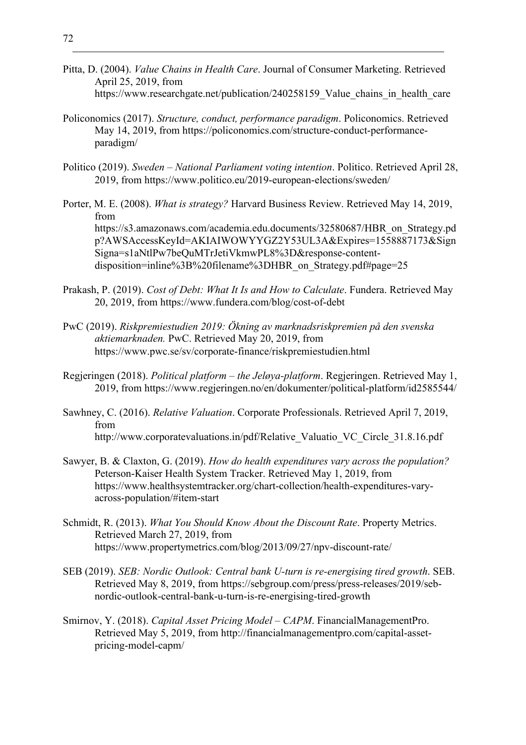- Pitta, D. (2004). *Value Chains in Health Care*. Journal of Consumer Marketing. Retrieved April 25, 2019, from https://www.researchgate.net/publication/240258159 Value chains in health care
- Policonomics (2017). *Structure, conduct, performance paradigm*. Policonomics. Retrieved May 14, 2019, from https://policonomics.com/structure-conduct-performanceparadigm/
- Politico (2019). *Sweden – National Parliament voting intention*. Politico. Retrieved April 28, 2019, from https://www.politico.eu/2019-european-elections/sweden/
- Porter, M. E. (2008). *What is strategy?* Harvard Business Review. Retrieved May 14, 2019, from https://s3.amazonaws.com/academia.edu.documents/32580687/HBR\_on\_Strategy.pd p?AWSAccessKeyId=AKIAIWOWYYGZ2Y53UL3A&Expires=1558887173&Sign Signa=s1aNtlPw7beQuMTrJetiVkmwPL8%3D&response-contentdisposition=inline%3B%20filename%3DHBR\_on\_Strategy.pdf#page=25
- Prakash, P. (2019). *Cost of Debt: What It Is and How to Calculate*. Fundera. Retrieved May 20, 2019, from https://www.fundera.com/blog/cost-of-debt
- PwC (2019). *Riskpremiestudien 2019: Ökning av marknadsriskpremien på den svenska aktiemarknaden.* PwC. Retrieved May 20, 2019, from https://www.pwc.se/sv/corporate-finance/riskpremiestudien.html
- Regjeringen (2018). *Political platform – the Jeløya-platform*. Regjeringen. Retrieved May 1, 2019, from https://www.regjeringen.no/en/dokumenter/political-platform/id2585544/
- Sawhney, C. (2016). *Relative Valuation*. Corporate Professionals. Retrieved April 7, 2019, from http://www.corporatevaluations.in/pdf/Relative Valuatio VC Circle 31.8.16.pdf
- Sawyer, B. & Claxton, G. (2019). *How do health expenditures vary across the population?* Peterson-Kaiser Health System Tracker. Retrieved May 1, 2019, from https://www.healthsystemtracker.org/chart-collection/health-expenditures-varyacross-population/#item-start
- Schmidt, R. (2013). *What You Should Know About the Discount Rate*. Property Metrics. Retrieved March 27, 2019, from https://www.propertymetrics.com/blog/2013/09/27/npv-discount-rate/
- SEB (2019). *SEB: Nordic Outlook: Central bank U-turn is re-energising tired growth*. SEB. Retrieved May 8, 2019, from https://sebgroup.com/press/press-releases/2019/sebnordic-outlook-central-bank-u-turn-is-re-energising-tired-growth
- Smirnov, Y. (2018). *Capital Asset Pricing Model – CAPM*. FinancialManagementPro. Retrieved May 5, 2019, from http://financialmanagementpro.com/capital-assetpricing-model-capm/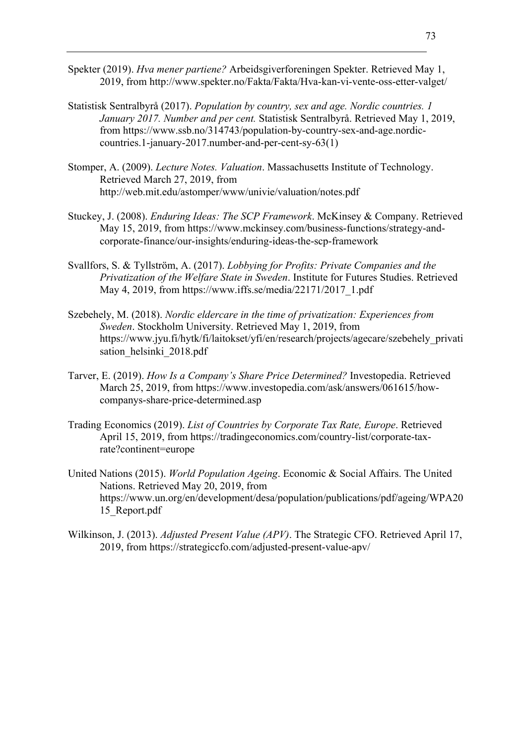- Spekter (2019). *Hva mener partiene?* Arbeidsgiverforeningen Spekter. Retrieved May 1, 2019, from http://www.spekter.no/Fakta/Fakta/Hva-kan-vi-vente-oss-etter-valget/
- Statistisk Sentralbyrå (2017). *Population by country, sex and age. Nordic countries. 1 January 2017. Number and per cent.* Statistisk Sentralbyrå. Retrieved May 1, 2019, from https://www.ssb.no/314743/population-by-country-sex-and-age.nordiccountries.1-january-2017.number-and-per-cent-sy-63(1)
- Stomper, A. (2009). *Lecture Notes. Valuation*. Massachusetts Institute of Technology. Retrieved March 27, 2019, from http://web.mit.edu/astomper/www/univie/valuation/notes.pdf
- Stuckey, J. (2008). *Enduring Ideas: The SCP Framework*. McKinsey & Company. Retrieved May 15, 2019, from https://www.mckinsey.com/business-functions/strategy-andcorporate-finance/our-insights/enduring-ideas-the-scp-framework
- Svallfors, S. & Tyllström, A. (2017). *Lobbying for Profits: Private Companies and the Privatization of the Welfare State in Sweden*. Institute for Futures Studies. Retrieved May 4, 2019, from https://www.iffs.se/media/22171/2017\_1.pdf
- Szebehely, M. (2018). *Nordic eldercare in the time of privatization: Experiences from Sweden*. Stockholm University. Retrieved May 1, 2019, from https://www.jyu.fi/hytk/fi/laitokset/yfi/en/research/projects/agecare/szebehely\_privati sation helsinki 2018.pdf
- Tarver, E. (2019). *How Is a Company's Share Price Determined?* Investopedia. Retrieved March 25, 2019, from https://www.investopedia.com/ask/answers/061615/howcompanys-share-price-determined.asp
- Trading Economics (2019). *List of Countries by Corporate Tax Rate, Europe*. Retrieved April 15, 2019, from https://tradingeconomics.com/country-list/corporate-taxrate?continent=europe
- United Nations (2015). *World Population Ageing*. Economic & Social Affairs. The United Nations. Retrieved May 20, 2019, from https://www.un.org/en/development/desa/population/publications/pdf/ageing/WPA20 15\_Report.pdf
- Wilkinson, J. (2013). *Adjusted Present Value (APV)*. The Strategic CFO. Retrieved April 17, 2019, from https://strategiccfo.com/adjusted-present-value-apv/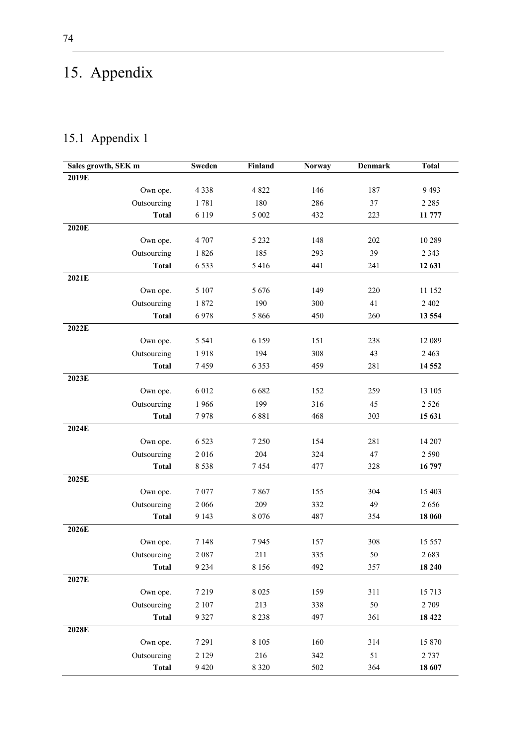## 15. Appendix

## 15.1 Appendix 1

| Sales growth, SEK m | Sweden   | Finland | <b>Norway</b> | <b>Denmark</b> | <b>Total</b> |
|---------------------|----------|---------|---------------|----------------|--------------|
| 2019E               |          |         |               |                |              |
| Own ope.            | 4 3 3 8  | 4 8 2 2 | 146           | 187            | 9493         |
| Outsourcing         | 1781     | 180     | 286           | 37             | 2 2 8 5      |
| <b>Total</b>        | 6 1 1 9  | 5 0 0 2 | 432           | 223            | 11 777       |
| 2020E               |          |         |               |                |              |
| Own ope.            | 4 707    | 5 2 3 2 | 148           | 202            | 10 289       |
| Outsourcing         | 1826     | 185     | 293           | 39             | 2 3 4 3      |
| <b>Total</b>        | 6 5 3 3  | 5416    | 441           | 241            | 12 631       |
| 2021E               |          |         |               |                |              |
| Own ope.            | 5 107    | 5676    | 149           | 220            | 11 152       |
| Outsourcing         | 1872     | 190     | 300           | 41             | 2 4 0 2      |
| <b>Total</b>        | 6978     | 5 8 6 6 | 450           | 260            | 13 554       |
| 2022E               |          |         |               |                |              |
| Own ope.            | 5 5 4 1  | 6 1 5 9 | 151           | 238            | 12 089       |
| Outsourcing         | 1918     | 194     | 308           | 43             | 2 4 6 3      |
| <b>Total</b>        | 7459     | 6 3 5 3 | 459           | 281            | 14 5 52      |
| 2023E               |          |         |               |                |              |
| Own ope.            | 6 0 1 2  | 6 6 8 2 | 152           | 259            | 13 10 5      |
| Outsourcing         | 1966     | 199     | 316           | 45             | 2 5 2 6      |
| <b>Total</b>        | 7978     | 6881    | 468           | 303            | 15 631       |
| 2024E               |          |         |               |                |              |
| Own ope.            | 6 5 23   | 7 2 5 0 | 154           | 281            | 14 207       |
| Outsourcing         | 2016     | 204     | 324           | 47             | 2 5 9 0      |
| <b>Total</b>        | 8 5 3 8  | 7454    | 477           | 328            | 16797        |
| 2025E               |          |         |               |                |              |
| Own ope.            | 7077     | 7867    | 155           | 304            | 15 403       |
| Outsourcing         | 2 0 6 6  | 209     | 332           | 49             | 2656         |
| <b>Total</b>        | 9 1 4 3  | 8 0 7 6 | 487           | 354            | 18 060       |
| 2026E               |          |         |               |                |              |
| Own ope.            | 7 1 4 8  | 7945    | 157           | 308            | 15 557       |
| Outsourcing         | 2 0 8 7  | 211     | 335           | 50             | 2683         |
| <b>Total</b>        | 9 2 3 4  | 8 1 5 6 | 492           | 357            | 18 240       |
| 2027E               |          |         |               |                |              |
| Own ope.            | 7219     | 8 0 25  | 159           | 311            | 15 7 13      |
| Outsourcing         | $2\;107$ | 213     | 338           | 50             | 2 709        |
| <b>Total</b>        | 9 3 2 7  | 8 2 3 8 | 497           | 361            | 18 4 22      |
| 2028E               |          |         |               |                |              |
| Own ope.            | 7 2 9 1  | 8 1 0 5 | 160           | 314            | 15 870       |
| Outsourcing         | 2 1 2 9  | 216     | 342           | 51             | 2 7 3 7      |
| <b>Total</b>        | 9 4 20   | 8 3 2 0 | 502           | 364            | 18 607       |